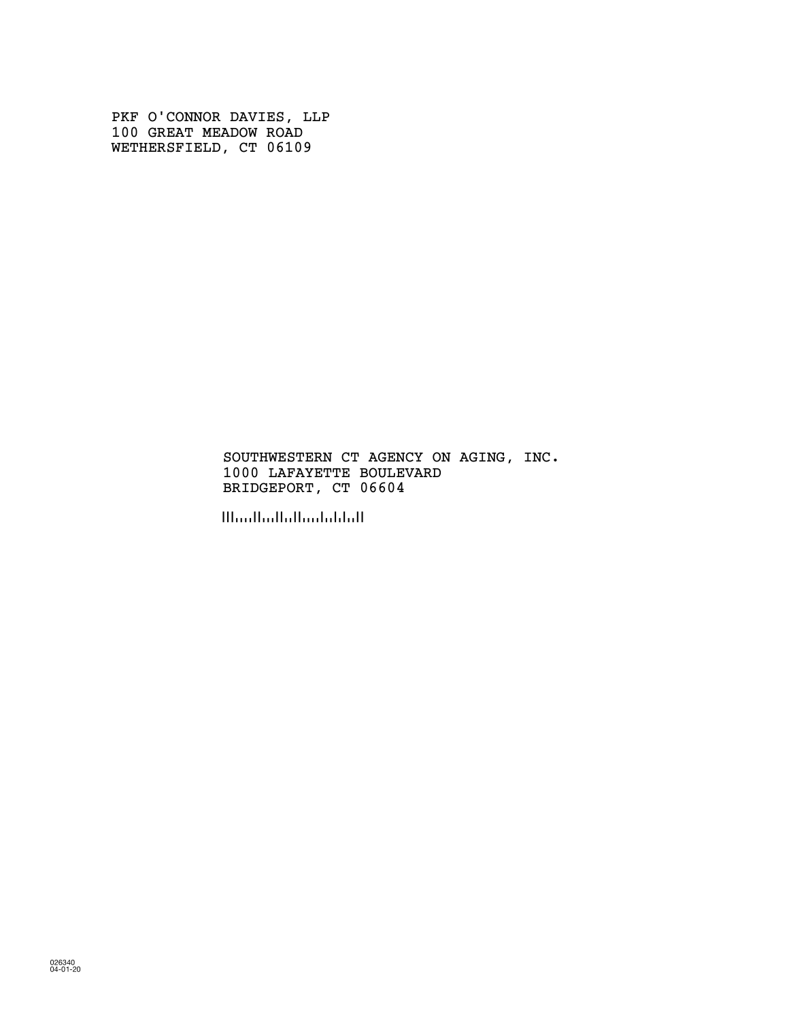PKF O'CONNOR DAVIES, LLP 100 GREAT MEADOW ROAD WETHERSFIELD, CT 06109

> SOUTHWESTERN CT AGENCY ON AGING, INC. 1000 LAFAYETTE BOULEVARD BRIDGEPORT, CT 06604

!!!oo!!oo!!o!!oo!ob!o!!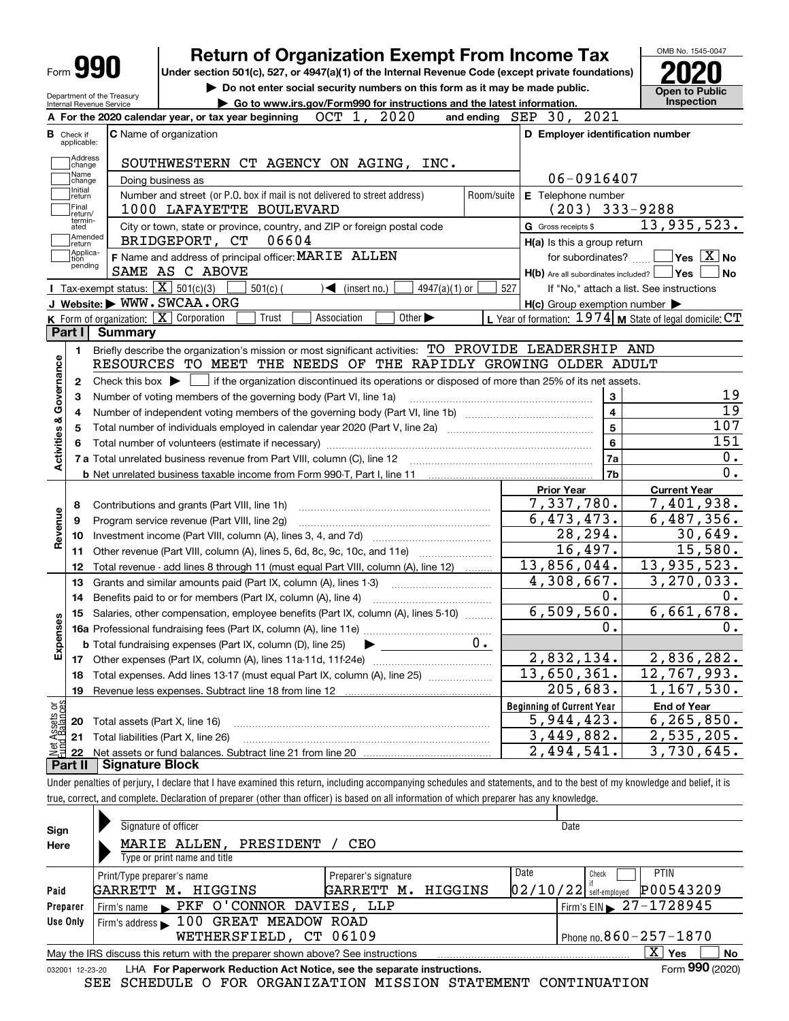| Form <b>990</b>                                     |                                      | <b>Return of Organization Exempt From Income Tax</b><br>Under section 501(c), 527, or 4947(a)(1) of the Internal Revenue Code (except private foundations) |            |                                                           | OMB No. 1545-0047                          |
|-----------------------------------------------------|--------------------------------------|------------------------------------------------------------------------------------------------------------------------------------------------------------|------------|-----------------------------------------------------------|--------------------------------------------|
| Department of the Treasury                          |                                      | Do not enter social security numbers on this form as it may be made public.<br>Go to www.irs.gov/Form990 for instructions and the latest information.      |            |                                                           | <b>Open to Public</b><br><b>Inspection</b> |
| Internal Revenue Service                            |                                      | 2020<br>OCT 1,<br>A For the 2020 calendar year, or tax year beginning                                                                                      |            | and ending SEP 30, 2021                                   |                                            |
| <b>B</b> Check if                                   |                                      | <b>C</b> Name of organization                                                                                                                              |            | D Employer identification number                          |                                            |
| applicable:                                         |                                      |                                                                                                                                                            |            |                                                           |                                            |
| Address<br>change                                   |                                      | SOUTHWESTERN CT AGENCY ON AGING, INC.                                                                                                                      |            |                                                           |                                            |
| Name<br>change                                      |                                      | Doing business as                                                                                                                                          |            | 06-0916407                                                |                                            |
| Initial<br>return                                   |                                      | Number and street (or P.O. box if mail is not delivered to street address)                                                                                 | Room/suite | E Telephone number                                        |                                            |
| Final<br>return/<br>termin-                         |                                      | 1000 LAFAYETTE BOULEVARD                                                                                                                                   |            | $(203)$ 333-9288                                          |                                            |
| ated                                                |                                      | City or town, state or province, country, and ZIP or foreign postal code                                                                                   |            | G Gross receipts \$                                       | 13,935,523.                                |
| Amended<br>return                                   |                                      | BRIDGEPORT, CT<br>06604                                                                                                                                    |            | H(a) Is this a group return                               |                                            |
| Applica-<br>tion<br>pending                         |                                      | F Name and address of principal officer: MARIE ALLEN                                                                                                       |            | for subordinates?                                         | $\exists$ Yes $\boxed{\text{X}}$ No        |
|                                                     |                                      | SAME AS C ABOVE                                                                                                                                            |            | $H(b)$ Are all subordinates included? $\Box$ Yes $\Box$   | ∣No                                        |
|                                                     |                                      | Tax-exempt status: $\boxed{\mathbf{X}}$ 501(c)(3)<br>$501(c)$ (<br>$\sqrt{\bullet}$ (insert no.)<br>$4947(a)(1)$ or                                        |            | 527<br>If "No," attach a list. See instructions           |                                            |
|                                                     |                                      | J Website: WWW.SWCAA.ORG                                                                                                                                   |            | $H(c)$ Group exemption number $\blacktriangleright$       |                                            |
|                                                     |                                      | K Form of organization: $X$ Corporation<br>Trust<br>Association<br>Other $\blacktriangleright$                                                             |            | L Year of formation: $1974$ M State of legal domicile: CT |                                            |
| Part I                                              | <b>Summary</b>                       |                                                                                                                                                            |            |                                                           |                                            |
| 1.                                                  |                                      | Briefly describe the organization's mission or most significant activities: TO PROVIDE LEADERSHIP AND                                                      |            |                                                           |                                            |
| Activities & Governance                             |                                      | RESOURCES TO MEET THE NEEDS OF THE RAPIDLY GROWING OLDER ADULT                                                                                             |            |                                                           |                                            |
| 2                                                   | Check this box $\blacktriangleright$ | if the organization discontinued its operations or disposed of more than 25% of its net assets.                                                            |            |                                                           |                                            |
| 3                                                   |                                      | Number of voting members of the governing body (Part VI, line 1a)                                                                                          | 3          | 19                                                        |                                            |
| 4                                                   |                                      |                                                                                                                                                            |            | 4                                                         | $\overline{19}$                            |
| 5                                                   |                                      |                                                                                                                                                            |            | 5                                                         | 107                                        |
| 6                                                   |                                      |                                                                                                                                                            |            | 6                                                         | 151                                        |
|                                                     |                                      | 7 a Total unrelated business revenue from Part VIII, column (C), line 12                                                                                   |            | 7a                                                        | 0.                                         |
|                                                     |                                      |                                                                                                                                                            |            | 7 <sub>b</sub>                                            | $\overline{0}$ .                           |
|                                                     |                                      |                                                                                                                                                            |            | <b>Prior Year</b>                                         | <b>Current Year</b>                        |
| 8                                                   |                                      | Contributions and grants (Part VIII, line 1h)                                                                                                              |            | 7,337,780.                                                | 7,401,938.                                 |
| 9                                                   |                                      | Program service revenue (Part VIII, line 2g)                                                                                                               |            | 6,473,473.                                                | 6,487,356.                                 |
| Revenue<br>10                                       |                                      |                                                                                                                                                            |            | 28,294.                                                   | 30,649.                                    |
| 11                                                  |                                      | Other revenue (Part VIII, column (A), lines 5, 6d, 8c, 9c, 10c, and 11e)                                                                                   |            | 16,497.                                                   | 15,580.                                    |
| 12                                                  |                                      | Total revenue - add lines 8 through 11 (must equal Part VIII, column (A), line 12)                                                                         |            | 13,856,044.                                               | 13,935,523.                                |
| 13                                                  |                                      | Grants and similar amounts paid (Part IX, column (A), lines 1-3)                                                                                           |            | $\overline{4,308,667}$ .                                  | 3,270,033.                                 |
| 14                                                  |                                      | Benefits paid to or for members (Part IX, column (A), line 4)                                                                                              |            | 0.                                                        | 0.                                         |
| w                                                   |                                      | 15 Salaries, other compensation, employee benefits (Part IX, column (A), lines 5-10)                                                                       |            | 6,509,560.                                                | 6,661,678.                                 |
|                                                     |                                      |                                                                                                                                                            |            | 0.                                                        | $0$ .                                      |
| Expense                                             |                                      | <b>b</b> Total fundraising expenses (Part IX, column (D), line 25)                                                                                         | $0$ .      |                                                           |                                            |
| 17                                                  |                                      | Other expenses (Part IX, column (A), lines 11a-11d, 11f-24e)                                                                                               |            | 2,832,134.                                                | 2,836,282.                                 |
| 18                                                  |                                      | Total expenses. Add lines 13-17 (must equal Part IX, column (A), line 25)                                                                                  |            | 13,650,361.                                               | 12,767,993.                                |
| 19                                                  |                                      |                                                                                                                                                            |            | 205,683.                                                  | 1, 167, 530.                               |
|                                                     |                                      |                                                                                                                                                            |            | <b>Beginning of Current Year</b>                          | <b>End of Year</b>                         |
|                                                     |                                      | Total assets (Part X, line 16)                                                                                                                             |            | 5,944,423.                                                | 6, 265, 850.                               |
|                                                     |                                      |                                                                                                                                                            |            |                                                           |                                            |
| 20                                                  |                                      |                                                                                                                                                            |            |                                                           |                                            |
| t Assets or<br>d Balances<br>21<br><u> 호텔</u><br>22 |                                      | Total liabilities (Part X, line 26)                                                                                                                        |            | 3,449,882.<br>$\overline{2,494},541.$                     | 2,535,205.<br>$\overline{3,730,645}$ .     |

| Sign     | Signature of officer                                                                                         |                      | Date    |                          |                                        |             |  |  |  |  |
|----------|--------------------------------------------------------------------------------------------------------------|----------------------|---------|--------------------------|----------------------------------------|-------------|--|--|--|--|
| Here     | MARIE ALLEN.<br>PRESIDENT                                                                                    |                      |         |                          |                                        |             |  |  |  |  |
|          | Type or print name and title                                                                                 |                      |         |                          |                                        |             |  |  |  |  |
|          | Print/Type preparer's name                                                                                   | Preparer's signature |         | Date                     | Check                                  | <b>PTIN</b> |  |  |  |  |
| Paid     | GARRETT M.<br>HIGGINS                                                                                        | GARRETT M.           | HIGGINS | $02/10/22$ self-employed |                                        | P00543209   |  |  |  |  |
| Preparer | PKF O'CONNOR DAVIES, LLP<br>Firm's name                                                                      |                      |         |                          | Firm's EIN $\triangleright$ 27-1728945 |             |  |  |  |  |
| Use Only | Firm's address 100 GREAT MEADOW ROAD                                                                         |                      |         |                          |                                        |             |  |  |  |  |
|          | WETHERSFIELD, CT 06109                                                                                       |                      |         |                          | Phone no. $860 - 257 - 1870$           |             |  |  |  |  |
|          | x<br><b>No</b><br>Yes<br>May the IRS discuss this return with the preparer shown above? See instructions     |                      |         |                          |                                        |             |  |  |  |  |
|          | Form 990 (2020)<br>LHA For Paperwork Reduction Act Notice, see the separate instructions.<br>032001 12-23-20 |                      |         |                          |                                        |             |  |  |  |  |

SEE SCHEDULE O FOR ORGANIZATION MISSION STATEMENT CONTINUATION

true, correct, and complete. Declaration of preparer (other than officer) is based on all information of which preparer has any knowledge.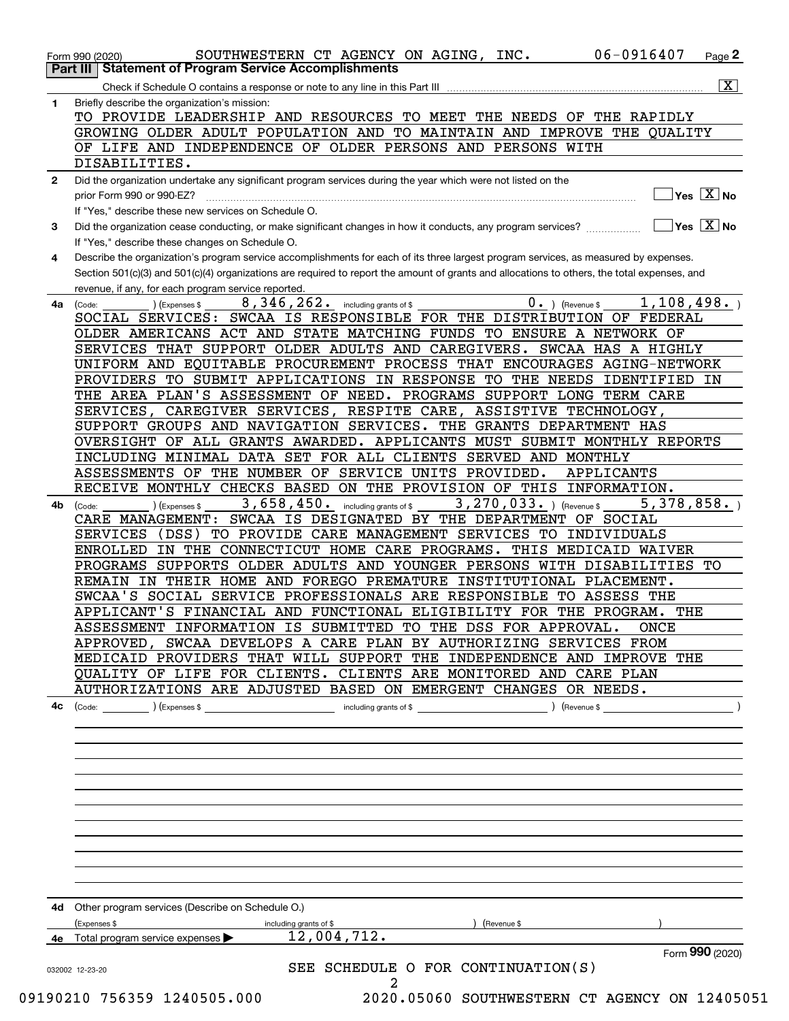|              | $\overline{\mathbf{X}}$<br>Check if Schedule O contains a response or note to any line in this Part III                                                                                 |
|--------------|-----------------------------------------------------------------------------------------------------------------------------------------------------------------------------------------|
| 1            | Briefly describe the organization's mission:                                                                                                                                            |
|              | TO PROVIDE LEADERSHIP AND RESOURCES TO MEET THE NEEDS OF THE RAPIDLY                                                                                                                    |
|              | GROWING OLDER ADULT POPULATION AND TO MAINTAIN AND IMPROVE THE QUALITY                                                                                                                  |
|              | OF LIFE AND INDEPENDENCE OF OLDER PERSONS AND PERSONS WITH                                                                                                                              |
|              |                                                                                                                                                                                         |
|              | DISABILITIES.                                                                                                                                                                           |
| $\mathbf{2}$ | Did the organization undertake any significant program services during the year which were not listed on the                                                                            |
|              | $]$ Yes $[\overline{\mathrm{X}}]$ No<br>prior Form 990 or 990-EZ?                                                                                                                       |
|              | If "Yes," describe these new services on Schedule O.                                                                                                                                    |
| 3            | $\sqrt{\phantom{a}}$ Yes $\sqrt{\phantom{a}}$ X $\sqrt{\phantom{a}}$ No<br>Did the organization cease conducting, or make significant changes in how it conducts, any program services? |
|              | If "Yes," describe these changes on Schedule O.                                                                                                                                         |
| 4            | Describe the organization's program service accomplishments for each of its three largest program services, as measured by expenses.                                                    |
|              | Section 501(c)(3) and 501(c)(4) organizations are required to report the amount of grants and allocations to others, the total expenses, and                                            |
|              | revenue, if any, for each program service reported.                                                                                                                                     |
| 4a           | 8, 346, 262. including grants of \$<br>$0.$ (Revenue \$<br>1, 108, 498.<br>(Expenses \$<br>(Code:                                                                                       |
|              | SOCIAL SERVICES: SWCAA IS RESPONSIBLE FOR THE DISTRIBUTION OF FEDERAL                                                                                                                   |
|              | OLDER AMERICANS ACT AND STATE MATCHING FUNDS TO ENSURE A NETWORK OF                                                                                                                     |
|              | SERVICES THAT SUPPORT OLDER ADULTS AND CAREGIVERS. SWCAA HAS A HIGHLY                                                                                                                   |
|              | UNIFORM AND EQUITABLE PROCUREMENT PROCESS THAT ENCOURAGES AGING-NETWORK                                                                                                                 |
|              | PROVIDERS TO SUBMIT APPLICATIONS IN RESPONSE TO THE NEEDS IDENTIFIED IN                                                                                                                 |
|              | THE AREA PLAN'S ASSESSMENT OF NEED. PROGRAMS SUPPORT LONG TERM CARE                                                                                                                     |
|              |                                                                                                                                                                                         |
|              | SERVICES, CAREGIVER SERVICES, RESPITE CARE, ASSISTIVE TECHNOLOGY,                                                                                                                       |
|              | SUPPORT GROUPS AND NAVIGATION SERVICES. THE GRANTS DEPARTMENT HAS                                                                                                                       |
|              | OVERSIGHT OF ALL GRANTS AWARDED. APPLICANTS MUST SUBMIT MONTHLY REPORTS                                                                                                                 |
|              | INCLUDING MINIMAL DATA SET FOR ALL CLIENTS SERVED AND MONTHLY                                                                                                                           |
|              | ASSESSMENTS OF THE NUMBER OF SERVICE UNITS PROVIDED.<br>APPLICANTS                                                                                                                      |
|              | RECEIVE MONTHLY CHECKS BASED ON THE PROVISION OF THIS INFORMATION.                                                                                                                      |
| 4b           | $\overline{3}$ , 658, 450. including grants of \$<br>$3,270,033.$ ) (Revenue \$<br>5,378,858.<br>) (Expenses \$<br>(Code:                                                               |
|              | CARE MANAGEMENT: SWCAA IS DESIGNATED BY THE DEPARTMENT OF SOCIAL                                                                                                                        |
|              | SERVICES (DSS) TO PROVIDE CARE MANAGEMENT SERVICES TO INDIVIDUALS                                                                                                                       |
|              | ENROLLED IN THE CONNECTICUT HOME CARE PROGRAMS. THIS MEDICAID WAIVER                                                                                                                    |
|              | PROGRAMS SUPPORTS OLDER ADULTS AND YOUNGER PERSONS WITH DISABILITIES TO                                                                                                                 |
|              | REMAIN IN THEIR HOME AND FOREGO PREMATURE INSTITUTIONAL PLACEMENT.                                                                                                                      |
|              | SWCAA'S SOCIAL SERVICE PROFESSIONALS ARE RESPONSIBLE TO ASSESS THE                                                                                                                      |
|              | APPLICANT'S FINANCIAL AND FUNCTIONAL ELIGIBILITY FOR THE PROGRAM. THE                                                                                                                   |
|              | ASSESSMENT INFORMATION IS SUBMITTED TO THE DSS FOR APPROVAL.<br>ONCE                                                                                                                    |
|              | APPROVED, SWCAA DEVELOPS A CARE PLAN BY AUTHORIZING SERVICES FROM                                                                                                                       |
|              | MEDICAID PROVIDERS THAT WILL SUPPORT THE INDEPENDENCE AND IMPROVE THE                                                                                                                   |
|              | QUALITY OF LIFE FOR CLIENTS. CLIENTS ARE MONITORED AND CARE PLAN                                                                                                                        |
|              | AUTHORIZATIONS ARE ADJUSTED BASED ON EMERGENT CHANGES OR NEEDS.                                                                                                                         |
|              |                                                                                                                                                                                         |
| 4c           | including grants of \$<br>) (Expenses \$<br>) (Revenue \$<br>(Code:                                                                                                                     |
|              |                                                                                                                                                                                         |
|              |                                                                                                                                                                                         |
|              |                                                                                                                                                                                         |
|              |                                                                                                                                                                                         |
|              |                                                                                                                                                                                         |
|              |                                                                                                                                                                                         |
|              |                                                                                                                                                                                         |
|              |                                                                                                                                                                                         |
|              |                                                                                                                                                                                         |
|              |                                                                                                                                                                                         |
|              |                                                                                                                                                                                         |
|              |                                                                                                                                                                                         |
|              | 4d Other program services (Describe on Schedule O.)                                                                                                                                     |
|              | Expenses \$<br>including grants of \$<br>Revenue \$                                                                                                                                     |
| 4е           | 12,004,712.<br>Total program service expenses                                                                                                                                           |
|              |                                                                                                                                                                                         |
|              | Form 990 (2020)                                                                                                                                                                         |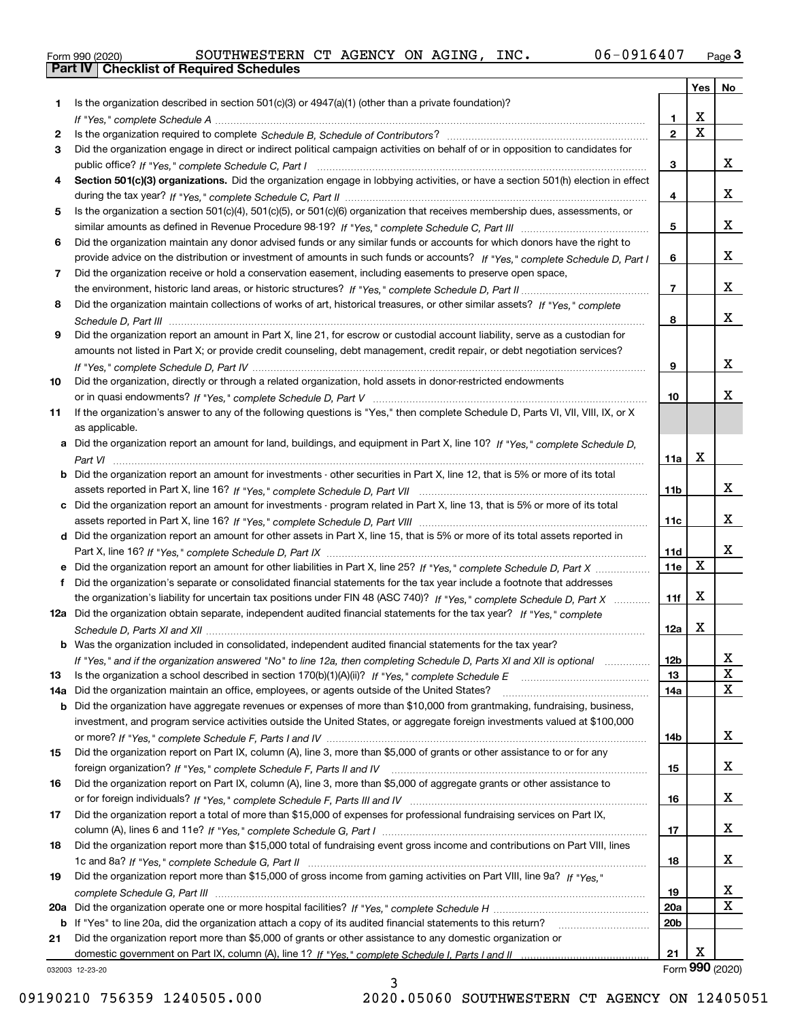|  | Form 990 (2020) |
|--|-----------------|
|  |                 |

|     |                                                                                                                                  |                 | Yes                     | No               |
|-----|----------------------------------------------------------------------------------------------------------------------------------|-----------------|-------------------------|------------------|
| 1   | Is the organization described in section $501(c)(3)$ or $4947(a)(1)$ (other than a private foundation)?                          |                 |                         |                  |
|     |                                                                                                                                  | 1.              | X                       |                  |
| 2   |                                                                                                                                  | $\overline{2}$  | $\overline{\mathbf{x}}$ |                  |
| 3   | Did the organization engage in direct or indirect political campaign activities on behalf of or in opposition to candidates for  |                 |                         | x                |
|     |                                                                                                                                  | 3               |                         |                  |
| 4   | Section 501(c)(3) organizations. Did the organization engage in lobbying activities, or have a section 501(h) election in effect | 4               |                         | x                |
| 5   | Is the organization a section 501(c)(4), 501(c)(5), or 501(c)(6) organization that receives membership dues, assessments, or     |                 |                         |                  |
|     |                                                                                                                                  | 5               |                         | x                |
| 6   | Did the organization maintain any donor advised funds or any similar funds or accounts for which donors have the right to        |                 |                         |                  |
|     | provide advice on the distribution or investment of amounts in such funds or accounts? If "Yes," complete Schedule D, Part I     | 6               |                         | x                |
| 7   | Did the organization receive or hold a conservation easement, including easements to preserve open space,                        |                 |                         |                  |
|     |                                                                                                                                  | $\overline{7}$  |                         | x                |
| 8   | Did the organization maintain collections of works of art, historical treasures, or other similar assets? If "Yes," complete     |                 |                         |                  |
|     |                                                                                                                                  | 8               |                         | х                |
| 9   | Did the organization report an amount in Part X, line 21, for escrow or custodial account liability, serve as a custodian for    |                 |                         |                  |
|     | amounts not listed in Part X; or provide credit counseling, debt management, credit repair, or debt negotiation services?        |                 |                         |                  |
|     |                                                                                                                                  | 9               |                         | x                |
| 10  | Did the organization, directly or through a related organization, hold assets in donor-restricted endowments                     |                 |                         |                  |
|     |                                                                                                                                  | 10              |                         | x                |
| 11  | If the organization's answer to any of the following questions is "Yes," then complete Schedule D, Parts VI, VII, VIII, IX, or X |                 |                         |                  |
|     | as applicable.                                                                                                                   |                 |                         |                  |
|     | a Did the organization report an amount for land, buildings, and equipment in Part X, line 10? If "Yes," complete Schedule D,    | 11a             | X                       |                  |
|     | Did the organization report an amount for investments - other securities in Part X, line 12, that is 5% or more of its total     |                 |                         |                  |
|     |                                                                                                                                  | 11 <sub>b</sub> |                         | x                |
|     | Did the organization report an amount for investments - program related in Part X, line 13, that is 5% or more of its total      |                 |                         |                  |
|     |                                                                                                                                  | 11c             |                         | x                |
| d   | Did the organization report an amount for other assets in Part X, line 15, that is 5% or more of its total assets reported in    |                 |                         |                  |
|     |                                                                                                                                  | 11d             |                         | x                |
|     | Did the organization report an amount for other liabilities in Part X, line 25? If "Yes," complete Schedule D, Part X            | 11e             | $\mathbf X$             |                  |
|     | Did the organization's separate or consolidated financial statements for the tax year include a footnote that addresses          |                 |                         |                  |
|     | the organization's liability for uncertain tax positions under FIN 48 (ASC 740)? If "Yes," complete Schedule D, Part X           | 11f             | X                       |                  |
|     | 12a Did the organization obtain separate, independent audited financial statements for the tax year? If "Yes," complete          |                 |                         |                  |
|     |                                                                                                                                  | 12a             | X                       |                  |
|     | <b>b</b> Was the organization included in consolidated, independent audited financial statements for the tax year?               |                 |                         |                  |
| 13  | If "Yes," and if the organization answered "No" to line 12a, then completing Schedule D, Parts XI and XII is optional            | 12b<br>13       |                         | ᅀ<br>$\mathbf X$ |
| 14a | Did the organization maintain an office, employees, or agents outside of the United States?                                      | 14a             |                         | X                |
| b   | Did the organization have aggregate revenues or expenses of more than \$10,000 from grantmaking, fundraising, business,          |                 |                         |                  |
|     | investment, and program service activities outside the United States, or aggregate foreign investments valued at \$100,000       |                 |                         |                  |
|     |                                                                                                                                  | 14b             |                         | x                |
| 15  | Did the organization report on Part IX, column (A), line 3, more than \$5,000 of grants or other assistance to or for any        |                 |                         |                  |
|     |                                                                                                                                  | 15              |                         | x                |
| 16  | Did the organization report on Part IX, column (A), line 3, more than \$5,000 of aggregate grants or other assistance to         |                 |                         |                  |
|     |                                                                                                                                  | 16              |                         | x                |
| 17  | Did the organization report a total of more than \$15,000 of expenses for professional fundraising services on Part IX,          |                 |                         |                  |
|     |                                                                                                                                  | 17              |                         | x                |
| 18  | Did the organization report more than \$15,000 total of fundraising event gross income and contributions on Part VIII, lines     |                 |                         |                  |
|     |                                                                                                                                  | 18              |                         | x                |
| 19  | Did the organization report more than \$15,000 of gross income from gaming activities on Part VIII, line 9a? If "Yes."           |                 |                         | x                |
| 20a |                                                                                                                                  | 19<br>20a       |                         | X                |
| b   | If "Yes" to line 20a, did the organization attach a copy of its audited financial statements to this return?                     | 20 <sub>b</sub> |                         |                  |
| 21  | Did the organization report more than \$5,000 of grants or other assistance to any domestic organization or                      |                 |                         |                  |
|     |                                                                                                                                  | 21              | X                       |                  |
|     | 032003 12-23-20                                                                                                                  |                 |                         | Form 990 (2020)  |

3

032003 12-23-20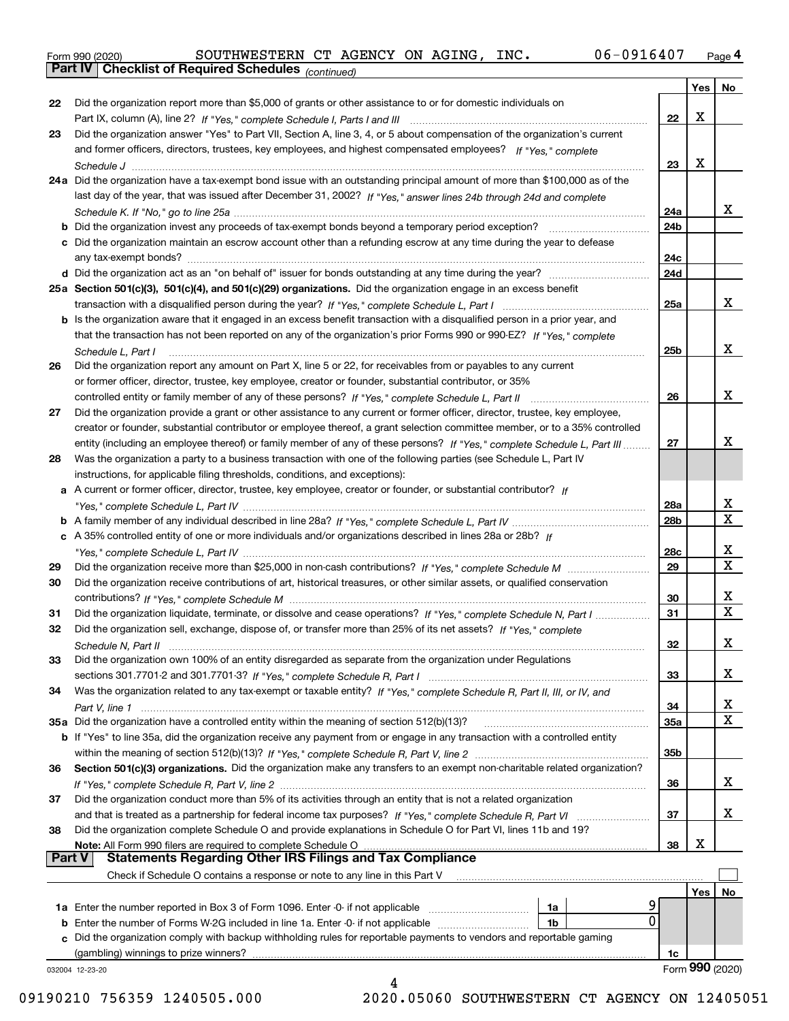|  | Form 990 (2020) |
|--|-----------------|

*(continued)*

|               |                                                                                                                                       |            | Yes | No                      |
|---------------|---------------------------------------------------------------------------------------------------------------------------------------|------------|-----|-------------------------|
| 22            | Did the organization report more than \$5,000 of grants or other assistance to or for domestic individuals on                         |            |     |                         |
|               |                                                                                                                                       | 22         | X   |                         |
| 23            | Did the organization answer "Yes" to Part VII, Section A, line 3, 4, or 5 about compensation of the organization's current            |            |     |                         |
|               | and former officers, directors, trustees, key employees, and highest compensated employees? If "Yes." complete                        |            |     |                         |
|               |                                                                                                                                       | 23         | X   |                         |
|               | 24a Did the organization have a tax-exempt bond issue with an outstanding principal amount of more than \$100,000 as of the           |            |     |                         |
|               | last day of the year, that was issued after December 31, 2002? If "Yes," answer lines 24b through 24d and complete                    |            |     |                         |
|               |                                                                                                                                       | 24a        |     | x                       |
|               | <b>b</b> Did the organization invest any proceeds of tax-exempt bonds beyond a temporary period exception?                            | 24b        |     |                         |
|               | c Did the organization maintain an escrow account other than a refunding escrow at any time during the year to defease                |            |     |                         |
|               |                                                                                                                                       | 24c        |     |                         |
|               |                                                                                                                                       | 24d        |     |                         |
|               | 25a Section 501(c)(3), 501(c)(4), and 501(c)(29) organizations. Did the organization engage in an excess benefit                      |            |     |                         |
|               |                                                                                                                                       | 25a        |     | X                       |
|               | b Is the organization aware that it engaged in an excess benefit transaction with a disqualified person in a prior year, and          |            |     |                         |
|               | that the transaction has not been reported on any of the organization's prior Forms 990 or 990-EZ? If "Yes," complete                 |            |     |                         |
|               |                                                                                                                                       | 25b        |     | x                       |
|               | Schedule L, Part I<br>Did the organization report any amount on Part X, line 5 or 22, for receivables from or payables to any current |            |     |                         |
| 26            |                                                                                                                                       |            |     |                         |
|               | or former officer, director, trustee, key employee, creator or founder, substantial contributor, or 35%                               |            |     | x                       |
|               |                                                                                                                                       | 26         |     |                         |
| 27            | Did the organization provide a grant or other assistance to any current or former officer, director, trustee, key employee,           |            |     |                         |
|               | creator or founder, substantial contributor or employee thereof, a grant selection committee member, or to a 35% controlled           |            |     |                         |
|               | entity (including an employee thereof) or family member of any of these persons? If "Yes," complete Schedule L, Part III              | 27         |     | x                       |
| 28            | Was the organization a party to a business transaction with one of the following parties (see Schedule L, Part IV                     |            |     |                         |
|               | instructions, for applicable filing thresholds, conditions, and exceptions):                                                          |            |     |                         |
|               | a A current or former officer, director, trustee, key employee, creator or founder, or substantial contributor? If                    |            |     |                         |
|               |                                                                                                                                       | 28a        |     | x                       |
|               |                                                                                                                                       | 28b        |     | $\overline{\text{x}}$   |
|               | c A 35% controlled entity of one or more individuals and/or organizations described in lines 28a or 28b? If                           |            |     |                         |
|               |                                                                                                                                       | 28c        |     | х                       |
| 29            |                                                                                                                                       | 29         |     | $\overline{\text{x}}$   |
| 30            | Did the organization receive contributions of art, historical treasures, or other similar assets, or qualified conservation           |            |     |                         |
|               |                                                                                                                                       | 30         |     | x                       |
| 31            | Did the organization liquidate, terminate, or dissolve and cease operations? If "Yes," complete Schedule N, Part I                    | 31         |     | $\overline{\mathbf{x}}$ |
| 32            | Did the organization sell, exchange, dispose of, or transfer more than 25% of its net assets? If "Yes," complete                      |            |     |                         |
|               |                                                                                                                                       | 32         |     | х                       |
| 33            | Did the organization own 100% of an entity disregarded as separate from the organization under Regulations                            |            |     |                         |
|               |                                                                                                                                       | 33         |     | х                       |
| 34            | Was the organization related to any tax-exempt or taxable entity? If "Yes," complete Schedule R, Part II, III, or IV, and             |            |     |                         |
|               |                                                                                                                                       | 34         |     | x                       |
|               | 35a Did the organization have a controlled entity within the meaning of section 512(b)(13)?                                           | <b>35a</b> |     | $\overline{\mathbf{X}}$ |
|               | b If "Yes" to line 35a, did the organization receive any payment from or engage in any transaction with a controlled entity           |            |     |                         |
|               |                                                                                                                                       | 35b        |     |                         |
| 36            | Section 501(c)(3) organizations. Did the organization make any transfers to an exempt non-charitable related organization?            |            |     |                         |
|               |                                                                                                                                       | 36         |     | x                       |
|               |                                                                                                                                       |            |     |                         |
| 37            | Did the organization conduct more than 5% of its activities through an entity that is not a related organization                      |            |     |                         |
|               | and that is treated as a partnership for federal income tax purposes? If "Yes," complete Schedule R, Part VI                          | 37         |     | x                       |
| 38            | Did the organization complete Schedule O and provide explanations in Schedule O for Part VI, lines 11b and 19?                        |            | х   |                         |
| <b>Part V</b> | Note: All Form 990 filers are required to complete Schedule O<br><b>Statements Regarding Other IRS Filings and Tax Compliance</b>     | 38         |     |                         |
|               |                                                                                                                                       |            |     |                         |
|               | Check if Schedule O contains a response or note to any line in this Part V                                                            |            |     |                         |
|               |                                                                                                                                       |            | Yes | No                      |
|               | 1a Enter the number reported in Box 3 of Form 1096. Enter -0- if not applicable<br>1a                                                 |            |     |                         |
|               | 0<br><b>b</b> Enter the number of Forms W-2G included in line 1a. Enter -0- if not applicable <i>manumenome</i><br>1b                 |            |     |                         |
|               | c Did the organization comply with backup withholding rules for reportable payments to vendors and reportable gaming                  |            |     |                         |
|               | (gambling) winnings to prize winners?                                                                                                 | 1c         |     |                         |
|               | 032004 12-23-20                                                                                                                       |            |     | Form 990 (2020)         |
|               | 4                                                                                                                                     |            |     |                         |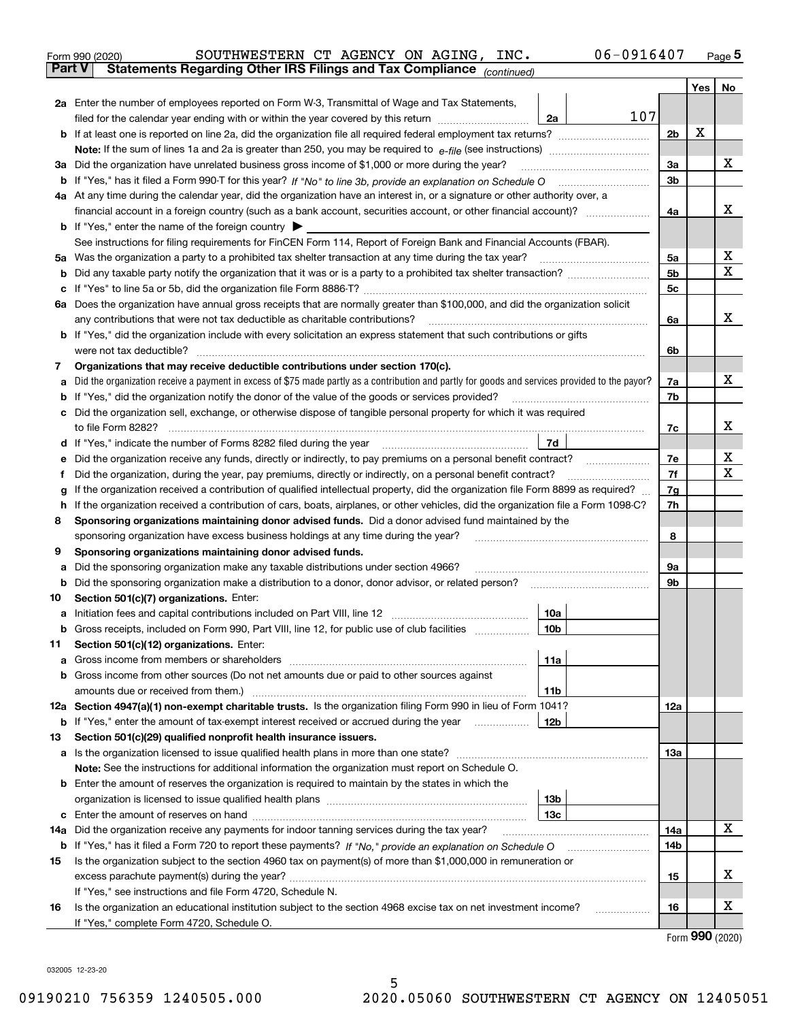|               |                                                                                                                                | SOUTHWESTERN CT AGENCY ON AGING, INC.<br>Form 990 (2020)                                                                                                            | 06-0916407      |     |     | $_{\text{Page}}$ 5 |  |
|---------------|--------------------------------------------------------------------------------------------------------------------------------|---------------------------------------------------------------------------------------------------------------------------------------------------------------------|-----------------|-----|-----|--------------------|--|
| <b>Part V</b> |                                                                                                                                | Statements Regarding Other IRS Filings and Tax Compliance (continued)                                                                                               |                 |     |     |                    |  |
|               |                                                                                                                                |                                                                                                                                                                     |                 |     | Yes | No                 |  |
|               |                                                                                                                                | 2a Enter the number of employees reported on Form W-3, Transmittal of Wage and Tax Statements,                                                                      |                 |     |     |                    |  |
|               |                                                                                                                                | filed for the calendar year ending with or within the year covered by this return                                                                                   | 107<br>2a       |     |     |                    |  |
|               |                                                                                                                                |                                                                                                                                                                     |                 | 2b  | х   |                    |  |
|               |                                                                                                                                |                                                                                                                                                                     |                 |     |     |                    |  |
| За            |                                                                                                                                | Did the organization have unrelated business gross income of \$1,000 or more during the year?                                                                       |                 | 3a  |     | x                  |  |
|               |                                                                                                                                |                                                                                                                                                                     |                 | 3b  |     |                    |  |
|               |                                                                                                                                | 4a At any time during the calendar year, did the organization have an interest in, or a signature or other authority over, a                                        |                 |     |     |                    |  |
|               |                                                                                                                                | financial account in a foreign country (such as a bank account, securities account, or other financial account)?                                                    |                 | 4a  |     | x                  |  |
|               |                                                                                                                                | <b>b</b> If "Yes," enter the name of the foreign country $\blacktriangleright$                                                                                      |                 |     |     |                    |  |
|               |                                                                                                                                | See instructions for filing requirements for FinCEN Form 114, Report of Foreign Bank and Financial Accounts (FBAR).                                                 |                 |     |     |                    |  |
| 5a            |                                                                                                                                | Was the organization a party to a prohibited tax shelter transaction at any time during the tax year?                                                               |                 | 5a  |     | х<br>X             |  |
| b             |                                                                                                                                |                                                                                                                                                                     |                 |     |     |                    |  |
| с             |                                                                                                                                |                                                                                                                                                                     |                 | 5c  |     |                    |  |
|               | 6a Does the organization have annual gross receipts that are normally greater than \$100,000, and did the organization solicit |                                                                                                                                                                     |                 |     |     |                    |  |
|               |                                                                                                                                | any contributions that were not tax deductible as charitable contributions?                                                                                         |                 | 6a  |     | x                  |  |
|               |                                                                                                                                | <b>b</b> If "Yes," did the organization include with every solicitation an express statement that such contributions or gifts                                       |                 |     |     |                    |  |
|               |                                                                                                                                | were not tax deductible?                                                                                                                                            |                 | 6b  |     |                    |  |
| 7             |                                                                                                                                | Organizations that may receive deductible contributions under section 170(c).                                                                                       |                 |     |     |                    |  |
| а             |                                                                                                                                | Did the organization receive a payment in excess of \$75 made partly as a contribution and partly for goods and services provided to the payor?                     |                 | 7a  |     | x                  |  |
| b             |                                                                                                                                | If "Yes," did the organization notify the donor of the value of the goods or services provided?                                                                     |                 | 7b  |     |                    |  |
| с             |                                                                                                                                | Did the organization sell, exchange, or otherwise dispose of tangible personal property for which it was required                                                   |                 |     |     |                    |  |
|               |                                                                                                                                |                                                                                                                                                                     |                 | 7c  |     | х                  |  |
|               |                                                                                                                                | d If "Yes," indicate the number of Forms 8282 filed during the year [11,111] The set response to the number of Forms 8282 filed during the year                     | 7d              |     |     |                    |  |
| е             |                                                                                                                                |                                                                                                                                                                     |                 | 7e  |     | х                  |  |
| f             |                                                                                                                                | Did the organization, during the year, pay premiums, directly or indirectly, on a personal benefit contract?                                                        |                 | 7f  |     | X                  |  |
| g             |                                                                                                                                | If the organization received a contribution of qualified intellectual property, did the organization file Form 8899 as required?                                    |                 | 7g  |     |                    |  |
| h             |                                                                                                                                | If the organization received a contribution of cars, boats, airplanes, or other vehicles, did the organization file a Form 1098-C?                                  |                 | 7h  |     |                    |  |
| 8             |                                                                                                                                | Sponsoring organizations maintaining donor advised funds. Did a donor advised fund maintained by the                                                                |                 |     |     |                    |  |
|               |                                                                                                                                | sponsoring organization have excess business holdings at any time during the year?                                                                                  |                 | 8   |     |                    |  |
| 9             |                                                                                                                                | Sponsoring organizations maintaining donor advised funds.                                                                                                           |                 |     |     |                    |  |
| а             |                                                                                                                                | Did the sponsoring organization make any taxable distributions under section 4966?                                                                                  |                 | 9а  |     |                    |  |
| b             |                                                                                                                                | Did the sponsoring organization make a distribution to a donor, donor advisor, or related person?                                                                   |                 | 9b  |     |                    |  |
| 10            |                                                                                                                                | Section 501(c)(7) organizations. Enter:                                                                                                                             |                 |     |     |                    |  |
|               |                                                                                                                                | a Initiation fees and capital contributions included on Part VIII, line 12 [111] [11] [11] Initiation fees and capital contributions included on Part VIII, line 12 | 10a             |     |     |                    |  |
|               |                                                                                                                                | Gross receipts, included on Form 990, Part VIII, line 12, for public use of club facilities                                                                         | 10 <sub>b</sub> |     |     |                    |  |
| 11            |                                                                                                                                | Section 501(c)(12) organizations. Enter:                                                                                                                            |                 |     |     |                    |  |
| a             |                                                                                                                                | Gross income from members or shareholders                                                                                                                           | 11a             |     |     |                    |  |
| b             |                                                                                                                                | Gross income from other sources (Do not net amounts due or paid to other sources against                                                                            |                 |     |     |                    |  |
|               |                                                                                                                                |                                                                                                                                                                     | 11b             |     |     |                    |  |
|               |                                                                                                                                | 12a Section 4947(a)(1) non-exempt charitable trusts. Is the organization filing Form 990 in lieu of Form 1041?                                                      |                 | 12a |     |                    |  |
|               |                                                                                                                                | <b>b</b> If "Yes," enter the amount of tax-exempt interest received or accrued during the year                                                                      | 12 <sub>b</sub> |     |     |                    |  |
| 13            |                                                                                                                                | Section 501(c)(29) qualified nonprofit health insurance issuers.                                                                                                    |                 |     |     |                    |  |
| a             |                                                                                                                                | Is the organization licensed to issue qualified health plans in more than one state?                                                                                |                 | 13a |     |                    |  |
|               |                                                                                                                                | Note: See the instructions for additional information the organization must report on Schedule O.                                                                   |                 |     |     |                    |  |
| b             |                                                                                                                                | Enter the amount of reserves the organization is required to maintain by the states in which the                                                                    |                 |     |     |                    |  |
|               |                                                                                                                                |                                                                                                                                                                     | 13 <sub>b</sub> |     |     |                    |  |
|               |                                                                                                                                |                                                                                                                                                                     | 13 <sub>c</sub> |     |     | x                  |  |
| 14a           |                                                                                                                                | Did the organization receive any payments for indoor tanning services during the tax year?                                                                          |                 | 14a |     |                    |  |
|               |                                                                                                                                | <b>b</b> If "Yes," has it filed a Form 720 to report these payments? If "No," provide an explanation on Schedule O                                                  |                 | 14b |     |                    |  |
| 15            |                                                                                                                                | Is the organization subject to the section 4960 tax on payment(s) of more than \$1,000,000 in remuneration or                                                       |                 |     |     | х                  |  |
|               |                                                                                                                                |                                                                                                                                                                     |                 | 15  |     |                    |  |
|               |                                                                                                                                | If "Yes," see instructions and file Form 4720, Schedule N.                                                                                                          |                 |     |     | х                  |  |
| 16            |                                                                                                                                | Is the organization an educational institution subject to the section 4968 excise tax on net investment income?                                                     |                 | 16  |     |                    |  |
|               |                                                                                                                                | If "Yes," complete Form 4720, Schedule O.                                                                                                                           |                 |     |     | Form 990 (2020)    |  |
|               |                                                                                                                                |                                                                                                                                                                     |                 |     |     |                    |  |

5

032005 12-23-20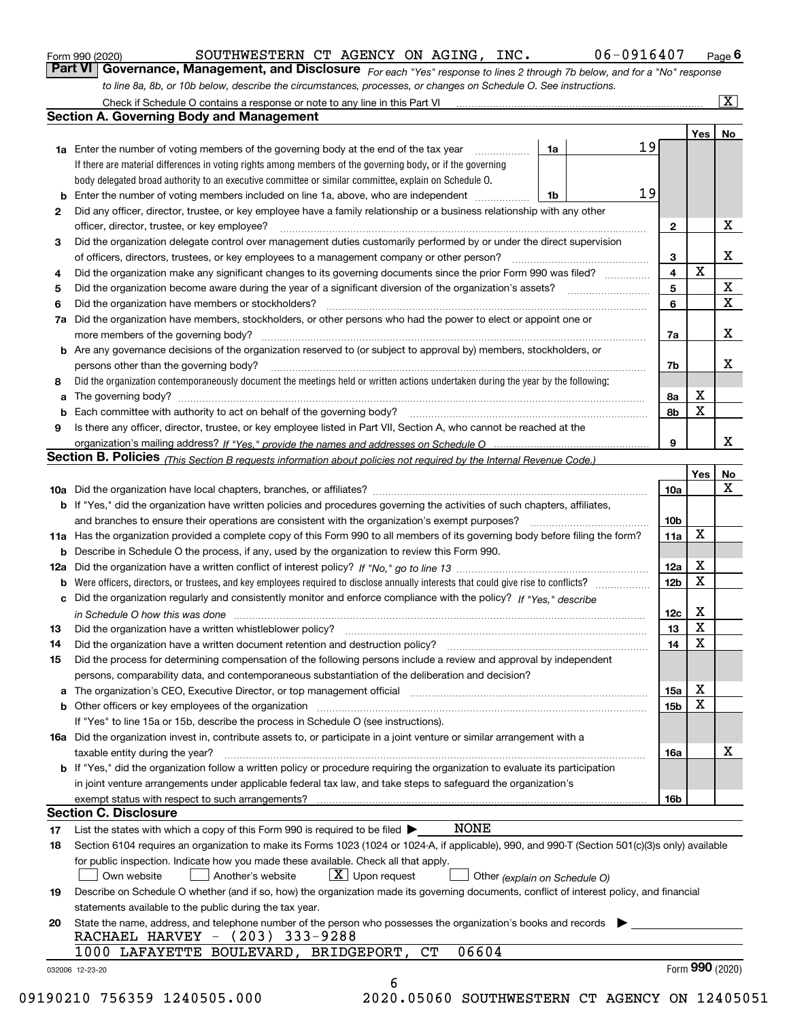|  | Form 990 (2020) |
|--|-----------------|
|  |                 |

| Form 990 (2020) | SOUTHWESTERN CT AGENCY ON AGING,                                                                                 |  |  | INC. | 06-0916407                                                                                                                    | $P$ <sub>age</sub> 6 |
|-----------------|------------------------------------------------------------------------------------------------------------------|--|--|------|-------------------------------------------------------------------------------------------------------------------------------|----------------------|
|                 |                                                                                                                  |  |  |      | Part VI   Governance, Management, and Disclosure For each "Yes" response to lines 2 through 7b below, and for a "No" response |                      |
|                 | to line 8a, 8b, or 10b below, describe the circumstances, processes, or changes on Schedule O. See instructions. |  |  |      |                                                                                                                               |                      |

|    | Check if Schedule O contains a response or note to any line in this Part VI                                                                                           |    |    |                         |                 | X  |
|----|-----------------------------------------------------------------------------------------------------------------------------------------------------------------------|----|----|-------------------------|-----------------|----|
|    | <b>Section A. Governing Body and Management</b>                                                                                                                       |    |    |                         |                 |    |
|    |                                                                                                                                                                       |    |    |                         | Yes             | No |
|    | <b>1a</b> Enter the number of voting members of the governing body at the end of the tax year                                                                         | 1a | 19 |                         |                 |    |
|    | If there are material differences in voting rights among members of the governing body, or if the governing                                                           |    |    |                         |                 |    |
|    | body delegated broad authority to an executive committee or similar committee, explain on Schedule O.                                                                 |    |    |                         |                 |    |
| b  | Enter the number of voting members included on line 1a, above, who are independent                                                                                    | 1b | 19 |                         |                 |    |
| 2  | Did any officer, director, trustee, or key employee have a family relationship or a business relationship with any other                                              |    |    |                         |                 |    |
|    | officer, director, trustee, or key employee?                                                                                                                          |    |    | $\mathbf{2}$            |                 | X  |
| 3  | Did the organization delegate control over management duties customarily performed by or under the direct supervision                                                 |    |    |                         |                 |    |
|    | of officers, directors, trustees, or key employees to a management company or other person?                                                                           |    |    | 3                       |                 | x  |
| 4  | Did the organization make any significant changes to its governing documents since the prior Form 990 was filed?                                                      |    |    | $\overline{\mathbf{4}}$ | $\mathbf X$     |    |
| 5  |                                                                                                                                                                       |    |    | 5                       |                 | X  |
| 6  | Did the organization have members or stockholders?                                                                                                                    |    |    | 6                       |                 | X  |
| 7a | Did the organization have members, stockholders, or other persons who had the power to elect or appoint one or                                                        |    |    |                         |                 |    |
|    | more members of the governing body?                                                                                                                                   |    |    | 7a                      |                 | x  |
|    | <b>b</b> Are any governance decisions of the organization reserved to (or subject to approval by) members, stockholders, or                                           |    |    |                         |                 |    |
|    | persons other than the governing body?                                                                                                                                |    |    | 7b                      |                 | x  |
|    |                                                                                                                                                                       |    |    |                         |                 |    |
| 8  | Did the organization contemporaneously document the meetings held or written actions undertaken during the year by the following:                                     |    |    |                         | х               |    |
| a  |                                                                                                                                                                       |    |    | 8a                      | X               |    |
| b  |                                                                                                                                                                       |    |    | 8b                      |                 |    |
| 9  | Is there any officer, director, trustee, or key employee listed in Part VII, Section A, who cannot be reached at the                                                  |    |    |                         |                 |    |
|    |                                                                                                                                                                       |    |    | 9                       |                 | x  |
|    | <b>Section B. Policies</b> (This Section B requests information about policies not required by the Internal Revenue Code.)                                            |    |    |                         |                 |    |
|    |                                                                                                                                                                       |    |    |                         | Yes             | No |
|    |                                                                                                                                                                       |    |    | 10a                     |                 | x  |
|    | <b>b</b> If "Yes," did the organization have written policies and procedures governing the activities of such chapters, affiliates,                                   |    |    |                         |                 |    |
|    | and branches to ensure their operations are consistent with the organization's exempt purposes?                                                                       |    |    | 10 <sub>b</sub>         |                 |    |
|    | 11a Has the organization provided a complete copy of this Form 990 to all members of its governing body before filing the form?                                       |    |    | 11a                     | X               |    |
| b  | Describe in Schedule O the process, if any, used by the organization to review this Form 990.                                                                         |    |    |                         |                 |    |
|    |                                                                                                                                                                       |    |    | 12a                     | X               |    |
| b  |                                                                                                                                                                       |    |    | 12 <sub>b</sub>         | $\mathbf X$     |    |
| c  | Did the organization regularly and consistently monitor and enforce compliance with the policy? If "Yes." describe                                                    |    |    |                         |                 |    |
|    | in Schedule O how this was done measured and contain an account of the state of the state of the state of the                                                         |    |    | 12c                     | X               |    |
| 13 | Did the organization have a written whistleblower policy?                                                                                                             |    |    | 13                      | X               |    |
| 14 | Did the organization have a written document retention and destruction policy?                                                                                        |    |    | 14                      | X               |    |
| 15 | Did the process for determining compensation of the following persons include a review and approval by independent                                                    |    |    |                         |                 |    |
|    | persons, comparability data, and contemporaneous substantiation of the deliberation and decision?                                                                     |    |    |                         |                 |    |
| a  | The organization's CEO, Executive Director, or top management official manufactured content of the organization's CEO, Executive Director, or top management official |    |    | 15a                     | х               |    |
|    | <b>b</b> Other officers or key employees of the organization                                                                                                          |    |    | 15b                     | X               |    |
|    | If "Yes" to line 15a or 15b, describe the process in Schedule O (see instructions).                                                                                   |    |    |                         |                 |    |
|    | 16a Did the organization invest in, contribute assets to, or participate in a joint venture or similar arrangement with a                                             |    |    |                         |                 |    |
|    | taxable entity during the year?                                                                                                                                       |    |    | 16a                     |                 | X  |
|    | b If "Yes," did the organization follow a written policy or procedure requiring the organization to evaluate its participation                                        |    |    |                         |                 |    |
|    | in joint venture arrangements under applicable federal tax law, and take steps to safeguard the organization's                                                        |    |    |                         |                 |    |
|    | exempt status with respect to such arrangements?                                                                                                                      |    |    | 16b                     |                 |    |
|    | <b>Section C. Disclosure</b>                                                                                                                                          |    |    |                         |                 |    |
| 17 | <b>NONE</b><br>List the states with which a copy of this Form 990 is required to be filed $\blacktriangleright$                                                       |    |    |                         |                 |    |
|    | Section 6104 requires an organization to make its Forms 1023 (1024 or 1024-A, if applicable), 990, and 990-T (Section 501(c)(3)s only) available                      |    |    |                         |                 |    |
| 18 |                                                                                                                                                                       |    |    |                         |                 |    |
|    | for public inspection. Indicate how you made these available. Check all that apply.                                                                                   |    |    |                         |                 |    |
|    | $X$ Upon request<br>Another's website<br>Own website<br>Other (explain on Schedule O)                                                                                 |    |    |                         |                 |    |
| 19 | Describe on Schedule O whether (and if so, how) the organization made its governing documents, conflict of interest policy, and financial                             |    |    |                         |                 |    |
|    | statements available to the public during the tax year.                                                                                                               |    |    |                         |                 |    |
| 20 | State the name, address, and telephone number of the person who possesses the organization's books and records                                                        |    |    |                         |                 |    |
|    | RACHAEL HARVEY - (203) 333-9288                                                                                                                                       |    |    |                         |                 |    |
|    | 06604<br>C <sub>T</sub><br>1000 LAFAYETTE BOULEVARD, BRIDGEPORT,                                                                                                      |    |    |                         |                 |    |
|    | 032006 12-23-20                                                                                                                                                       |    |    |                         | Form 990 (2020) |    |
|    | 6                                                                                                                                                                     |    |    |                         |                 |    |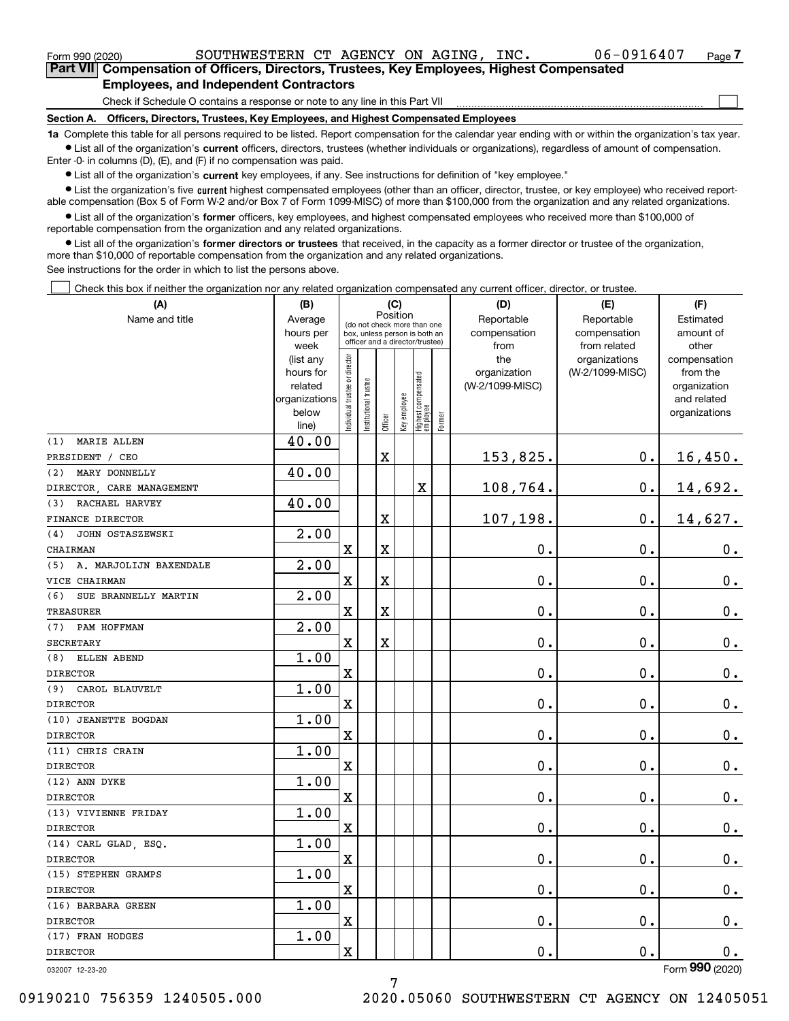| Form 990 (2020)                                                                                                                                            | SOUTHWESTERN CT AGENCY ON AGING.<br>INC.                                                          | $06 - 0916407$ | Page |  |  |  |  |
|------------------------------------------------------------------------------------------------------------------------------------------------------------|---------------------------------------------------------------------------------------------------|----------------|------|--|--|--|--|
|                                                                                                                                                            | <b>Part VII</b> Compensation of Officers, Directors, Trustees, Key Employees, Highest Compensated |                |      |  |  |  |  |
|                                                                                                                                                            | <b>Employees, and Independent Contractors</b>                                                     |                |      |  |  |  |  |
|                                                                                                                                                            | Check if Schedule O contains a response or note to any line in this Part VII                      |                |      |  |  |  |  |
| Section A.                                                                                                                                                 | Officers, Directors, Trustees, Key Employees, and Highest Compensated Employees                   |                |      |  |  |  |  |
| 1a Complete this table for all persons required to be listed. Report compensation for the calendar year ending with or within the organization's tay year. |                                                                                                   |                |      |  |  |  |  |

**1a •** List all of the organization's current officers, directors, trustees (whether individuals or organizations), regardless of amount of compensation. ed to be listed. Report compensation for the calendar year ending with or within the organization for the calendar year.

Enter -0- in columns (D), (E), and (F) if no compensation was paid.

 $\bullet$  List all of the organization's  $\,$ current key employees, if any. See instructions for definition of "key employee."

**•** List the organization's five current highest compensated employees (other than an officer, director, trustee, or key employee) who received reportable compensation (Box 5 of Form W-2 and/or Box 7 of Form 1099-MISC) of more than \$100,000 from the organization and any related organizations.

**•** List all of the organization's former officers, key employees, and highest compensated employees who received more than \$100,000 of reportable compensation from the organization and any related organizations.

**former directors or trustees**  ¥ List all of the organization's that received, in the capacity as a former director or trustee of the organization, more than \$10,000 of reportable compensation from the organization and any related organizations.

See instructions for the order in which to list the persons above.

Check this box if neither the organization nor any related organization compensated any current officer, director, or trustee.  $\mathcal{L}^{\text{max}}$ 

| Position<br>Reportable<br>Reportable<br>Name and title<br>Average<br>Estimated<br>(do not check more than one<br>hours per<br>compensation<br>compensation<br>amount of<br>box, unless person is both an<br>officer and a director/trustee)<br>from related<br>week<br>from<br>other<br>ndividual trustee or director<br>(list any<br>the<br>organizations<br>compensation<br>(W-2/1099-MISC)<br>hours for<br>organization<br>from the<br>  Highest compensated<br>  employee<br>nstitutional trustee<br>(W-2/1099-MISC)<br>related<br>organization<br>Key employee<br>organizations<br>and related<br>below<br>organizations<br>Former<br>Officer<br>line)<br>40.00<br><b>MARIE ALLEN</b><br>153,825.<br>0.<br>X<br>16,450.<br>40.00<br>MARY DONNELLY<br>0.<br>14,692.<br>X<br>108,764.<br>40.00<br>RACHAEL HARVEY<br>107,198.<br>0.<br>14,627.<br>X<br>2.00<br>JOHN OSTASZEWSKI<br>$0$ .<br>0.<br>X<br>X<br>0.<br>2.00<br>A. MARJOLIJN BAXENDALE<br>0.<br>0.<br>$0_{\cdot}$<br>$\mathbf X$<br>X<br>2.00<br>SUE BRANNELLY MARTIN<br>0.<br>$\overline{\text{X}}$<br>X<br>0.<br>$0_{.}$<br>$\overline{2.00}$<br>PAM HOFFMAN<br>0.<br>$\mathbf X$<br>X<br>0.<br>0.<br>1.00<br>ELLEN ABEND<br>$\overline{\textbf{X}}$<br>0.<br>0.<br>0.<br>1.00<br>$\rm X$<br>0.<br>0.<br>0.<br>1.00<br>0.<br>$\overline{\text{X}}$<br>0.<br>$0_{.}$<br>1.00<br>0.<br>$\mathbf X$<br>0.<br>$0_{.}$<br>1.00<br>$\overline{\mathbf{X}}$<br>0.<br>0.<br>$0_{.}$<br>1.00<br>$\rm X$<br>0.<br>0.<br>$0_{.}$<br>1.00<br>$\overline{\textbf{X}}$<br>0.<br>0.<br>0.<br>1.00<br>$\rm X$<br>0.<br>0.<br>0.<br>1.00<br>0.<br>X<br>0.<br>$\mathbf 0$ .<br>1.00 | (A)                       | (B) |   |  | (C) |  | (D) | (E) | (F)           |
|---------------------------------------------------------------------------------------------------------------------------------------------------------------------------------------------------------------------------------------------------------------------------------------------------------------------------------------------------------------------------------------------------------------------------------------------------------------------------------------------------------------------------------------------------------------------------------------------------------------------------------------------------------------------------------------------------------------------------------------------------------------------------------------------------------------------------------------------------------------------------------------------------------------------------------------------------------------------------------------------------------------------------------------------------------------------------------------------------------------------------------------------------------------------------------------------------------------------------------------------------------------------------------------------------------------------------------------------------------------------------------------------------------------------------------------------------------------------------------------------------------------------------------------------------------------------------------------------------------------------------------|---------------------------|-----|---|--|-----|--|-----|-----|---------------|
|                                                                                                                                                                                                                                                                                                                                                                                                                                                                                                                                                                                                                                                                                                                                                                                                                                                                                                                                                                                                                                                                                                                                                                                                                                                                                                                                                                                                                                                                                                                                                                                                                                 |                           |     |   |  |     |  |     |     |               |
|                                                                                                                                                                                                                                                                                                                                                                                                                                                                                                                                                                                                                                                                                                                                                                                                                                                                                                                                                                                                                                                                                                                                                                                                                                                                                                                                                                                                                                                                                                                                                                                                                                 |                           |     |   |  |     |  |     |     |               |
|                                                                                                                                                                                                                                                                                                                                                                                                                                                                                                                                                                                                                                                                                                                                                                                                                                                                                                                                                                                                                                                                                                                                                                                                                                                                                                                                                                                                                                                                                                                                                                                                                                 |                           |     |   |  |     |  |     |     |               |
|                                                                                                                                                                                                                                                                                                                                                                                                                                                                                                                                                                                                                                                                                                                                                                                                                                                                                                                                                                                                                                                                                                                                                                                                                                                                                                                                                                                                                                                                                                                                                                                                                                 |                           |     |   |  |     |  |     |     |               |
|                                                                                                                                                                                                                                                                                                                                                                                                                                                                                                                                                                                                                                                                                                                                                                                                                                                                                                                                                                                                                                                                                                                                                                                                                                                                                                                                                                                                                                                                                                                                                                                                                                 |                           |     |   |  |     |  |     |     |               |
|                                                                                                                                                                                                                                                                                                                                                                                                                                                                                                                                                                                                                                                                                                                                                                                                                                                                                                                                                                                                                                                                                                                                                                                                                                                                                                                                                                                                                                                                                                                                                                                                                                 |                           |     |   |  |     |  |     |     |               |
|                                                                                                                                                                                                                                                                                                                                                                                                                                                                                                                                                                                                                                                                                                                                                                                                                                                                                                                                                                                                                                                                                                                                                                                                                                                                                                                                                                                                                                                                                                                                                                                                                                 |                           |     |   |  |     |  |     |     |               |
|                                                                                                                                                                                                                                                                                                                                                                                                                                                                                                                                                                                                                                                                                                                                                                                                                                                                                                                                                                                                                                                                                                                                                                                                                                                                                                                                                                                                                                                                                                                                                                                                                                 |                           |     |   |  |     |  |     |     |               |
|                                                                                                                                                                                                                                                                                                                                                                                                                                                                                                                                                                                                                                                                                                                                                                                                                                                                                                                                                                                                                                                                                                                                                                                                                                                                                                                                                                                                                                                                                                                                                                                                                                 | (1)                       |     |   |  |     |  |     |     |               |
|                                                                                                                                                                                                                                                                                                                                                                                                                                                                                                                                                                                                                                                                                                                                                                                                                                                                                                                                                                                                                                                                                                                                                                                                                                                                                                                                                                                                                                                                                                                                                                                                                                 | PRESIDENT / CEO           |     |   |  |     |  |     |     |               |
|                                                                                                                                                                                                                                                                                                                                                                                                                                                                                                                                                                                                                                                                                                                                                                                                                                                                                                                                                                                                                                                                                                                                                                                                                                                                                                                                                                                                                                                                                                                                                                                                                                 | (2)                       |     |   |  |     |  |     |     |               |
|                                                                                                                                                                                                                                                                                                                                                                                                                                                                                                                                                                                                                                                                                                                                                                                                                                                                                                                                                                                                                                                                                                                                                                                                                                                                                                                                                                                                                                                                                                                                                                                                                                 | DIRECTOR, CARE MANAGEMENT |     |   |  |     |  |     |     |               |
|                                                                                                                                                                                                                                                                                                                                                                                                                                                                                                                                                                                                                                                                                                                                                                                                                                                                                                                                                                                                                                                                                                                                                                                                                                                                                                                                                                                                                                                                                                                                                                                                                                 | (3)                       |     |   |  |     |  |     |     |               |
|                                                                                                                                                                                                                                                                                                                                                                                                                                                                                                                                                                                                                                                                                                                                                                                                                                                                                                                                                                                                                                                                                                                                                                                                                                                                                                                                                                                                                                                                                                                                                                                                                                 | FINANCE DIRECTOR          |     |   |  |     |  |     |     |               |
|                                                                                                                                                                                                                                                                                                                                                                                                                                                                                                                                                                                                                                                                                                                                                                                                                                                                                                                                                                                                                                                                                                                                                                                                                                                                                                                                                                                                                                                                                                                                                                                                                                 | (4)                       |     |   |  |     |  |     |     |               |
|                                                                                                                                                                                                                                                                                                                                                                                                                                                                                                                                                                                                                                                                                                                                                                                                                                                                                                                                                                                                                                                                                                                                                                                                                                                                                                                                                                                                                                                                                                                                                                                                                                 | CHAIRMAN                  |     |   |  |     |  |     |     |               |
|                                                                                                                                                                                                                                                                                                                                                                                                                                                                                                                                                                                                                                                                                                                                                                                                                                                                                                                                                                                                                                                                                                                                                                                                                                                                                                                                                                                                                                                                                                                                                                                                                                 | (5)                       |     |   |  |     |  |     |     |               |
|                                                                                                                                                                                                                                                                                                                                                                                                                                                                                                                                                                                                                                                                                                                                                                                                                                                                                                                                                                                                                                                                                                                                                                                                                                                                                                                                                                                                                                                                                                                                                                                                                                 | VICE CHAIRMAN             |     |   |  |     |  |     |     |               |
|                                                                                                                                                                                                                                                                                                                                                                                                                                                                                                                                                                                                                                                                                                                                                                                                                                                                                                                                                                                                                                                                                                                                                                                                                                                                                                                                                                                                                                                                                                                                                                                                                                 | (6)                       |     |   |  |     |  |     |     |               |
|                                                                                                                                                                                                                                                                                                                                                                                                                                                                                                                                                                                                                                                                                                                                                                                                                                                                                                                                                                                                                                                                                                                                                                                                                                                                                                                                                                                                                                                                                                                                                                                                                                 | <b>TREASURER</b>          |     |   |  |     |  |     |     |               |
|                                                                                                                                                                                                                                                                                                                                                                                                                                                                                                                                                                                                                                                                                                                                                                                                                                                                                                                                                                                                                                                                                                                                                                                                                                                                                                                                                                                                                                                                                                                                                                                                                                 | (7)                       |     |   |  |     |  |     |     |               |
|                                                                                                                                                                                                                                                                                                                                                                                                                                                                                                                                                                                                                                                                                                                                                                                                                                                                                                                                                                                                                                                                                                                                                                                                                                                                                                                                                                                                                                                                                                                                                                                                                                 | <b>SECRETARY</b>          |     |   |  |     |  |     |     |               |
|                                                                                                                                                                                                                                                                                                                                                                                                                                                                                                                                                                                                                                                                                                                                                                                                                                                                                                                                                                                                                                                                                                                                                                                                                                                                                                                                                                                                                                                                                                                                                                                                                                 | (8)                       |     |   |  |     |  |     |     |               |
|                                                                                                                                                                                                                                                                                                                                                                                                                                                                                                                                                                                                                                                                                                                                                                                                                                                                                                                                                                                                                                                                                                                                                                                                                                                                                                                                                                                                                                                                                                                                                                                                                                 | <b>DIRECTOR</b>           |     |   |  |     |  |     |     |               |
|                                                                                                                                                                                                                                                                                                                                                                                                                                                                                                                                                                                                                                                                                                                                                                                                                                                                                                                                                                                                                                                                                                                                                                                                                                                                                                                                                                                                                                                                                                                                                                                                                                 | (9) CAROL BLAUVELT        |     |   |  |     |  |     |     |               |
|                                                                                                                                                                                                                                                                                                                                                                                                                                                                                                                                                                                                                                                                                                                                                                                                                                                                                                                                                                                                                                                                                                                                                                                                                                                                                                                                                                                                                                                                                                                                                                                                                                 | <b>DIRECTOR</b>           |     |   |  |     |  |     |     |               |
|                                                                                                                                                                                                                                                                                                                                                                                                                                                                                                                                                                                                                                                                                                                                                                                                                                                                                                                                                                                                                                                                                                                                                                                                                                                                                                                                                                                                                                                                                                                                                                                                                                 | (10) JEANETTE BOGDAN      |     |   |  |     |  |     |     |               |
|                                                                                                                                                                                                                                                                                                                                                                                                                                                                                                                                                                                                                                                                                                                                                                                                                                                                                                                                                                                                                                                                                                                                                                                                                                                                                                                                                                                                                                                                                                                                                                                                                                 | <b>DIRECTOR</b>           |     |   |  |     |  |     |     |               |
|                                                                                                                                                                                                                                                                                                                                                                                                                                                                                                                                                                                                                                                                                                                                                                                                                                                                                                                                                                                                                                                                                                                                                                                                                                                                                                                                                                                                                                                                                                                                                                                                                                 | (11) CHRIS CRAIN          |     |   |  |     |  |     |     |               |
|                                                                                                                                                                                                                                                                                                                                                                                                                                                                                                                                                                                                                                                                                                                                                                                                                                                                                                                                                                                                                                                                                                                                                                                                                                                                                                                                                                                                                                                                                                                                                                                                                                 | <b>DIRECTOR</b>           |     |   |  |     |  |     |     |               |
|                                                                                                                                                                                                                                                                                                                                                                                                                                                                                                                                                                                                                                                                                                                                                                                                                                                                                                                                                                                                                                                                                                                                                                                                                                                                                                                                                                                                                                                                                                                                                                                                                                 | (12) ANN DYKE             |     |   |  |     |  |     |     |               |
|                                                                                                                                                                                                                                                                                                                                                                                                                                                                                                                                                                                                                                                                                                                                                                                                                                                                                                                                                                                                                                                                                                                                                                                                                                                                                                                                                                                                                                                                                                                                                                                                                                 | <b>DIRECTOR</b>           |     |   |  |     |  |     |     |               |
|                                                                                                                                                                                                                                                                                                                                                                                                                                                                                                                                                                                                                                                                                                                                                                                                                                                                                                                                                                                                                                                                                                                                                                                                                                                                                                                                                                                                                                                                                                                                                                                                                                 | (13) VIVIENNE FRIDAY      |     |   |  |     |  |     |     |               |
|                                                                                                                                                                                                                                                                                                                                                                                                                                                                                                                                                                                                                                                                                                                                                                                                                                                                                                                                                                                                                                                                                                                                                                                                                                                                                                                                                                                                                                                                                                                                                                                                                                 | <b>DIRECTOR</b>           |     |   |  |     |  |     |     |               |
|                                                                                                                                                                                                                                                                                                                                                                                                                                                                                                                                                                                                                                                                                                                                                                                                                                                                                                                                                                                                                                                                                                                                                                                                                                                                                                                                                                                                                                                                                                                                                                                                                                 | (14) CARL GLAD, ESQ.      |     |   |  |     |  |     |     |               |
|                                                                                                                                                                                                                                                                                                                                                                                                                                                                                                                                                                                                                                                                                                                                                                                                                                                                                                                                                                                                                                                                                                                                                                                                                                                                                                                                                                                                                                                                                                                                                                                                                                 | <b>DIRECTOR</b>           |     |   |  |     |  |     |     |               |
|                                                                                                                                                                                                                                                                                                                                                                                                                                                                                                                                                                                                                                                                                                                                                                                                                                                                                                                                                                                                                                                                                                                                                                                                                                                                                                                                                                                                                                                                                                                                                                                                                                 | (15) STEPHEN GRAMPS       |     |   |  |     |  |     |     |               |
|                                                                                                                                                                                                                                                                                                                                                                                                                                                                                                                                                                                                                                                                                                                                                                                                                                                                                                                                                                                                                                                                                                                                                                                                                                                                                                                                                                                                                                                                                                                                                                                                                                 | <b>DIRECTOR</b>           |     |   |  |     |  |     |     |               |
|                                                                                                                                                                                                                                                                                                                                                                                                                                                                                                                                                                                                                                                                                                                                                                                                                                                                                                                                                                                                                                                                                                                                                                                                                                                                                                                                                                                                                                                                                                                                                                                                                                 | (16) BARBARA GREEN        |     |   |  |     |  |     |     |               |
|                                                                                                                                                                                                                                                                                                                                                                                                                                                                                                                                                                                                                                                                                                                                                                                                                                                                                                                                                                                                                                                                                                                                                                                                                                                                                                                                                                                                                                                                                                                                                                                                                                 | <b>DIRECTOR</b>           |     |   |  |     |  |     |     |               |
|                                                                                                                                                                                                                                                                                                                                                                                                                                                                                                                                                                                                                                                                                                                                                                                                                                                                                                                                                                                                                                                                                                                                                                                                                                                                                                                                                                                                                                                                                                                                                                                                                                 | (17) FRAN HODGES          |     |   |  |     |  |     |     |               |
|                                                                                                                                                                                                                                                                                                                                                                                                                                                                                                                                                                                                                                                                                                                                                                                                                                                                                                                                                                                                                                                                                                                                                                                                                                                                                                                                                                                                                                                                                                                                                                                                                                 | <b>DIRECTOR</b>           |     | X |  |     |  | 0.  | 0.  | $\mathbf 0$ . |

032007 12-23-20

Form (2020) **990**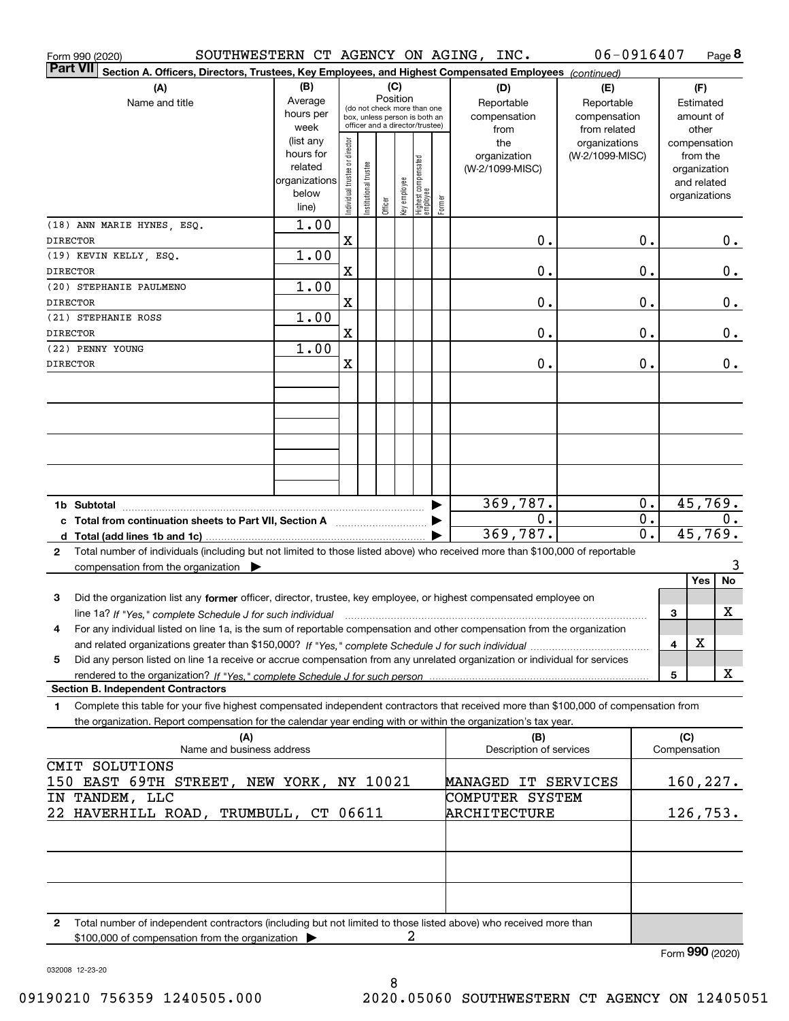| Form 990 (2020)                                                                                                                                                          |                                                                      |                                |                      |          |              |                                                                                                 |        | SOUTHWESTERN CT AGENCY ON AGING, INC.     | 06-0916407                                        |          |              | Page 8                                                                   |
|--------------------------------------------------------------------------------------------------------------------------------------------------------------------------|----------------------------------------------------------------------|--------------------------------|----------------------|----------|--------------|-------------------------------------------------------------------------------------------------|--------|-------------------------------------------|---------------------------------------------------|----------|--------------|--------------------------------------------------------------------------|
| Part VI <br>Section A. Officers, Directors, Trustees, Key Employees, and Highest Compensated Employees (continued)                                                       |                                                                      |                                |                      |          |              |                                                                                                 |        |                                           |                                                   |          |              |                                                                          |
| (A)<br>Name and title                                                                                                                                                    | (B)<br>Average<br>hours per<br>week                                  |                                |                      | Position | (C)          | (do not check more than one<br>box, unless person is both an<br>officer and a director/trustee) |        | (D)<br>Reportable<br>compensation<br>from | (E)<br>Reportable<br>compensation<br>from related |          |              | (F)<br>Estimated<br>amount of<br>other                                   |
|                                                                                                                                                                          | (list any<br>hours for<br>related<br>organizations<br>below<br>line) | Individual trustee or director | nstitutional trustee | Officer  | Key employee | Highest compensated<br> employee                                                                | Former | the<br>organization<br>(W-2/1099-MISC)    | organizations<br>(W-2/1099-MISC)                  |          |              | compensation<br>from the<br>organization<br>and related<br>organizations |
| (18) ANN MARIE HYNES, ESQ.<br><b>DIRECTOR</b>                                                                                                                            | 1.00                                                                 | $\mathbf X$                    |                      |          |              |                                                                                                 |        | 0.                                        |                                                   | Ο.       |              | 0.                                                                       |
| (19) KEVIN KELLY, ESQ.                                                                                                                                                   | 1.00                                                                 |                                |                      |          |              |                                                                                                 |        |                                           |                                                   |          |              |                                                                          |
| <b>DIRECTOR</b>                                                                                                                                                          |                                                                      | $\mathbf X$                    |                      |          |              |                                                                                                 |        | 0.                                        |                                                   | Ο.       |              | 0.                                                                       |
| (20) STEPHANIE PAULMENO<br><b>DIRECTOR</b>                                                                                                                               | 1.00                                                                 | $\mathbf X$                    |                      |          |              |                                                                                                 |        | 0.                                        |                                                   | Ο.       |              | 0.                                                                       |
| (21) STEPHANIE ROSS                                                                                                                                                      | 1.00                                                                 |                                |                      |          |              |                                                                                                 |        |                                           |                                                   |          |              |                                                                          |
| <b>DIRECTOR</b>                                                                                                                                                          |                                                                      | $\mathbf X$                    |                      |          |              |                                                                                                 |        | 0.                                        |                                                   | Ο.       |              | 0.                                                                       |
| (22) PENNY YOUNG<br><b>DIRECTOR</b>                                                                                                                                      | 1.00                                                                 | $\mathbf X$                    |                      |          |              |                                                                                                 |        | 0.                                        |                                                   | Ο.       |              | 0.                                                                       |
|                                                                                                                                                                          |                                                                      |                                |                      |          |              |                                                                                                 |        |                                           |                                                   |          |              |                                                                          |
|                                                                                                                                                                          |                                                                      |                                |                      |          |              |                                                                                                 |        |                                           |                                                   |          |              |                                                                          |
|                                                                                                                                                                          |                                                                      |                                |                      |          |              |                                                                                                 |        |                                           |                                                   |          |              |                                                                          |
|                                                                                                                                                                          |                                                                      |                                |                      |          |              |                                                                                                 |        |                                           |                                                   |          |              |                                                                          |
|                                                                                                                                                                          |                                                                      |                                |                      |          |              |                                                                                                 |        |                                           |                                                   |          |              |                                                                          |
| 1b Subtotal                                                                                                                                                              |                                                                      |                                |                      |          |              |                                                                                                 |        | 369,787.                                  |                                                   | 0.       |              | 45,769.                                                                  |
| c Total from continuation sheets to Part VII, Section A                                                                                                                  |                                                                      |                                |                      |          |              |                                                                                                 |        | 0.<br>369,787.                            |                                                   | 0.<br>0. |              | 0.<br>45,769.                                                            |
| Total number of individuals (including but not limited to those listed above) who received more than \$100,000 of reportable<br>2                                        |                                                                      |                                |                      |          |              |                                                                                                 |        |                                           |                                                   |          |              |                                                                          |
| compensation from the organization $\blacktriangleright$                                                                                                                 |                                                                      |                                |                      |          |              |                                                                                                 |        |                                           |                                                   |          |              | 3                                                                        |
| Did the organization list any former officer, director, trustee, key employee, or highest compensated employee on                                                        |                                                                      |                                |                      |          |              |                                                                                                 |        |                                           |                                                   |          |              | No<br>Yes                                                                |
| 3<br>line 1a? If "Yes," complete Schedule J for such individual manufactured contained and the 1a? If "Yes," complete Schedule J for such individual                     |                                                                      |                                |                      |          |              |                                                                                                 |        |                                           |                                                   |          | 3            | x                                                                        |
| For any individual listed on line 1a, is the sum of reportable compensation and other compensation from the organization<br>4                                            |                                                                      |                                |                      |          |              |                                                                                                 |        |                                           |                                                   |          |              |                                                                          |
|                                                                                                                                                                          |                                                                      |                                |                      |          |              |                                                                                                 |        |                                           |                                                   |          | 4            | х                                                                        |
| Did any person listed on line 1a receive or accrue compensation from any unrelated organization or individual for services<br>5                                          |                                                                      |                                |                      |          |              |                                                                                                 |        |                                           |                                                   |          | 5            | x                                                                        |
| <b>Section B. Independent Contractors</b>                                                                                                                                |                                                                      |                                |                      |          |              |                                                                                                 |        |                                           |                                                   |          |              |                                                                          |
| Complete this table for your five highest compensated independent contractors that received more than \$100,000 of compensation from<br>1                                |                                                                      |                                |                      |          |              |                                                                                                 |        |                                           |                                                   |          |              |                                                                          |
| the organization. Report compensation for the calendar year ending with or within the organization's tax year.<br>(A)                                                    |                                                                      |                                |                      |          |              |                                                                                                 |        | (B)                                       |                                                   |          | (C)          |                                                                          |
| Name and business address                                                                                                                                                |                                                                      |                                |                      |          |              |                                                                                                 |        | Description of services                   |                                                   |          | Compensation |                                                                          |
| CMIT SOLUTIONS                                                                                                                                                           |                                                                      |                                |                      |          |              |                                                                                                 |        |                                           |                                                   |          |              |                                                                          |
| 150 EAST 69TH STREET, NEW YORK, NY 10021<br>IN TANDEM, LLC                                                                                                               |                                                                      |                                |                      |          |              |                                                                                                 |        | MANAGED IT SERVICES<br>COMPUTER SYSTEM    |                                                   |          |              | 160, 227.                                                                |
| 22 HAVERHILL ROAD, TRUMBULL, CT 06611                                                                                                                                    |                                                                      |                                |                      |          |              |                                                                                                 |        | ARCHITECTURE                              |                                                   |          |              | 126,753.                                                                 |
|                                                                                                                                                                          |                                                                      |                                |                      |          |              |                                                                                                 |        |                                           |                                                   |          |              |                                                                          |
|                                                                                                                                                                          |                                                                      |                                |                      |          |              |                                                                                                 |        |                                           |                                                   |          |              |                                                                          |
|                                                                                                                                                                          |                                                                      |                                |                      |          |              |                                                                                                 |        |                                           |                                                   |          |              |                                                                          |
|                                                                                                                                                                          |                                                                      |                                |                      |          |              |                                                                                                 |        |                                           |                                                   |          |              |                                                                          |
| Total number of independent contractors (including but not limited to those listed above) who received more than<br>2<br>\$100,000 of compensation from the organization |                                                                      |                                |                      |          |              | 2                                                                                               |        |                                           |                                                   |          |              |                                                                          |
|                                                                                                                                                                          |                                                                      |                                |                      |          |              |                                                                                                 |        |                                           |                                                   |          |              | Form 990 (2020)                                                          |

032008 12-23-20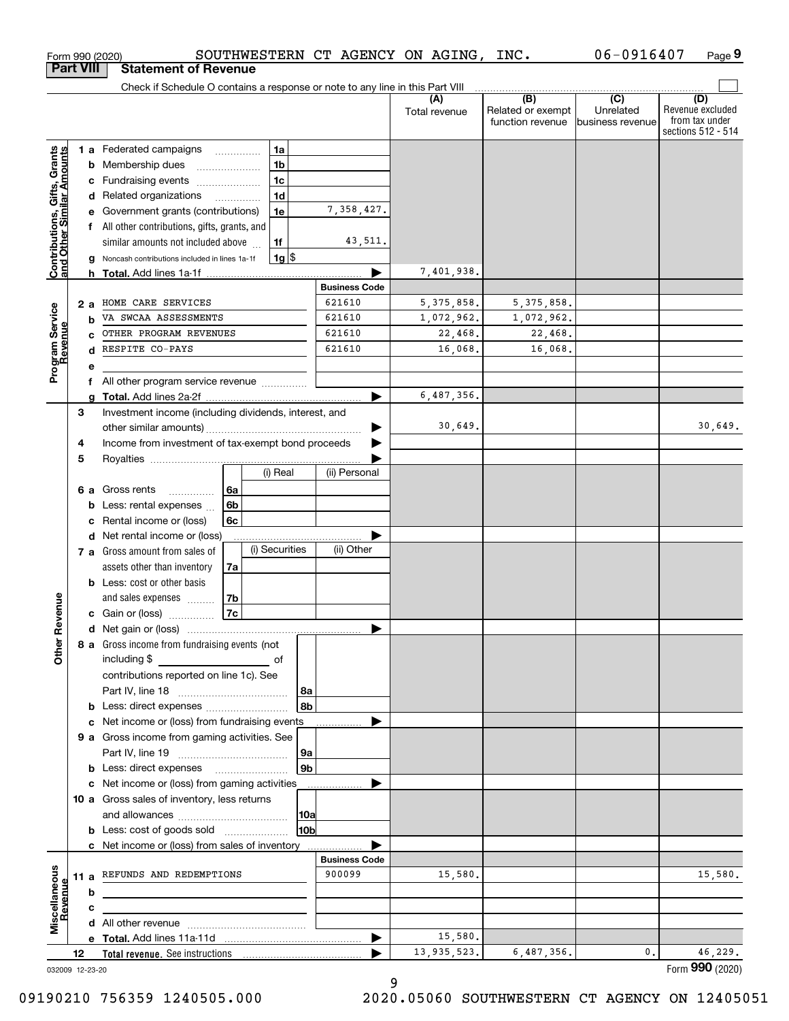|                                                           |    |     | SOUTHWESTERN CT AGENCY ON AGING,<br>Form 990 (2020)                                |                      |                        | INC.                                         | 06-0916407                                      | Page 9                                                          |
|-----------------------------------------------------------|----|-----|------------------------------------------------------------------------------------|----------------------|------------------------|----------------------------------------------|-------------------------------------------------|-----------------------------------------------------------------|
| <b>Part VIII</b>                                          |    |     | <b>Statement of Revenue</b>                                                        |                      |                        |                                              |                                                 |                                                                 |
|                                                           |    |     | Check if Schedule O contains a response or note to any line in this Part VIII      |                      |                        |                                              |                                                 |                                                                 |
|                                                           |    |     |                                                                                    |                      | (A)<br>Total revenue   | (B)<br>Related or exempt<br>function revenue | $\overline{C}$<br>Unrelated<br>business revenue | (D)<br>Revenue excluded<br>from tax under<br>sections 512 - 514 |
|                                                           |    |     | 1 a Federated campaigns<br>1a                                                      |                      |                        |                                              |                                                 |                                                                 |
| Contributions, Gifts, Grants<br>and Other Similar Amounts |    |     | 1 <sub>b</sub><br><b>b</b> Membership dues<br>$\ldots \ldots \ldots \ldots \ldots$ |                      |                        |                                              |                                                 |                                                                 |
|                                                           |    |     | 1 <sub>c</sub><br>c Fundraising events                                             |                      |                        |                                              |                                                 |                                                                 |
|                                                           |    |     | 1 <sub>d</sub><br>d Related organizations                                          |                      |                        |                                              |                                                 |                                                                 |
|                                                           |    |     | e Government grants (contributions)<br>1e                                          | 7,358,427.           |                        |                                              |                                                 |                                                                 |
|                                                           |    |     | f All other contributions, gifts, grants, and                                      |                      |                        |                                              |                                                 |                                                                 |
|                                                           |    |     | 1f<br>similar amounts not included above                                           | 43,511.              |                        |                                              |                                                 |                                                                 |
|                                                           |    |     | $1g$ $\frac{1}{3}$<br>g Noncash contributions included in lines 1a-1f              |                      |                        |                                              |                                                 |                                                                 |
|                                                           |    |     |                                                                                    |                      | 7,401,938.             |                                              |                                                 |                                                                 |
|                                                           |    |     |                                                                                    | <b>Business Code</b> |                        |                                              |                                                 |                                                                 |
|                                                           |    | 2 a | HOME CARE SERVICES                                                                 | 621610               | 5, 375, 858.           | 5, 375, 858.                                 |                                                 |                                                                 |
|                                                           |    | b   | VA SWCAA ASSESSMENTS                                                               | 621610               | 1,072,962.             | 1,072,962.                                   |                                                 |                                                                 |
|                                                           |    | C.  | OTHER PROGRAM REVENUES                                                             | 621610               | 22,468.                | 22,468.                                      |                                                 |                                                                 |
|                                                           |    | d   | RESPITE CO-PAYS                                                                    | 621610               | 16,068.                | 16,068.                                      |                                                 |                                                                 |
| Program Service<br>Revenue                                |    | е   |                                                                                    |                      |                        |                                              |                                                 |                                                                 |
|                                                           |    | f   | All other program service revenue                                                  |                      |                        |                                              |                                                 |                                                                 |
|                                                           |    | a   |                                                                                    |                      | 6,487,356.             |                                              |                                                 |                                                                 |
|                                                           | З  |     | Investment income (including dividends, interest, and                              |                      |                        |                                              |                                                 | 30,649.                                                         |
|                                                           |    |     |                                                                                    |                      | 30,649.                |                                              |                                                 |                                                                 |
|                                                           | 4  |     | Income from investment of tax-exempt bond proceeds                                 |                      |                        |                                              |                                                 |                                                                 |
|                                                           | 5  |     | (i) Real                                                                           | (ii) Personal        |                        |                                              |                                                 |                                                                 |
|                                                           |    |     |                                                                                    |                      |                        |                                              |                                                 |                                                                 |
|                                                           |    |     | 6 a Gross rents<br>l 6a<br>.<br><b>b</b> Less: rental expenses $\ldots$<br>6b      |                      |                        |                                              |                                                 |                                                                 |
|                                                           |    |     | c Rental income or (loss)<br>6с                                                    |                      |                        |                                              |                                                 |                                                                 |
|                                                           |    |     | d Net rental income or (loss)                                                      |                      |                        |                                              |                                                 |                                                                 |
|                                                           |    |     | (i) Securities<br>7 a Gross amount from sales of                                   | (ii) Other           |                        |                                              |                                                 |                                                                 |
|                                                           |    |     | assets other than inventory<br>7a                                                  |                      |                        |                                              |                                                 |                                                                 |
|                                                           |    |     | <b>b</b> Less: cost or other basis                                                 |                      |                        |                                              |                                                 |                                                                 |
|                                                           |    |     | 7b<br>and sales expenses                                                           |                      |                        |                                              |                                                 |                                                                 |
| evenue                                                    |    |     | 7c<br>c Gain or (loss)                                                             |                      |                        |                                              |                                                 |                                                                 |
|                                                           |    |     |                                                                                    |                      |                        |                                              |                                                 |                                                                 |
| Other R                                                   |    |     | 8 a Gross income from fundraising events (not<br>including \$<br><u>of</u> of      |                      |                        |                                              |                                                 |                                                                 |
|                                                           |    |     | contributions reported on line 1c). See                                            |                      |                        |                                              |                                                 |                                                                 |
|                                                           |    |     |                                                                                    | 8a                   |                        |                                              |                                                 |                                                                 |
|                                                           |    |     |                                                                                    | 8b                   |                        |                                              |                                                 |                                                                 |
|                                                           |    |     | c Net income or (loss) from fundraising events                                     |                      |                        |                                              |                                                 |                                                                 |
|                                                           |    |     | 9 a Gross income from gaming activities. See                                       |                      |                        |                                              |                                                 |                                                                 |
|                                                           |    |     |                                                                                    | 9a                   |                        |                                              |                                                 |                                                                 |
|                                                           |    |     | <b>b</b> Less: direct expenses <b>manually</b>                                     | 9 <sub>b</sub>       |                        |                                              |                                                 |                                                                 |
|                                                           |    |     | c Net income or (loss) from gaming activities                                      |                      |                        |                                              |                                                 |                                                                 |
|                                                           |    |     | 10 a Gross sales of inventory, less returns                                        |                      |                        |                                              |                                                 |                                                                 |
|                                                           |    |     |                                                                                    | 10a                  |                        |                                              |                                                 |                                                                 |
|                                                           |    |     |                                                                                    | 10 <sub>b</sub>      |                        |                                              |                                                 |                                                                 |
|                                                           |    |     | c Net income or (loss) from sales of inventory                                     |                      |                        |                                              |                                                 |                                                                 |
|                                                           |    |     |                                                                                    | <b>Business Code</b> |                        |                                              |                                                 |                                                                 |
|                                                           |    |     | 11 a REFUNDS AND REDEMPTIONS                                                       | 900099               | 15,580.                |                                              |                                                 | 15,580.                                                         |
| Revenue                                                   |    | b   |                                                                                    |                      |                        |                                              |                                                 |                                                                 |
| Miscellaneous                                             |    | c   |                                                                                    |                      |                        |                                              |                                                 |                                                                 |
|                                                           |    |     |                                                                                    |                      |                        |                                              |                                                 |                                                                 |
|                                                           | 12 |     |                                                                                    | ▶                    | 15,580.<br>13,935,523. | 6,487,356.                                   | 0.                                              | 46,229.                                                         |
|                                                           |    |     |                                                                                    |                      |                        |                                              |                                                 |                                                                 |

9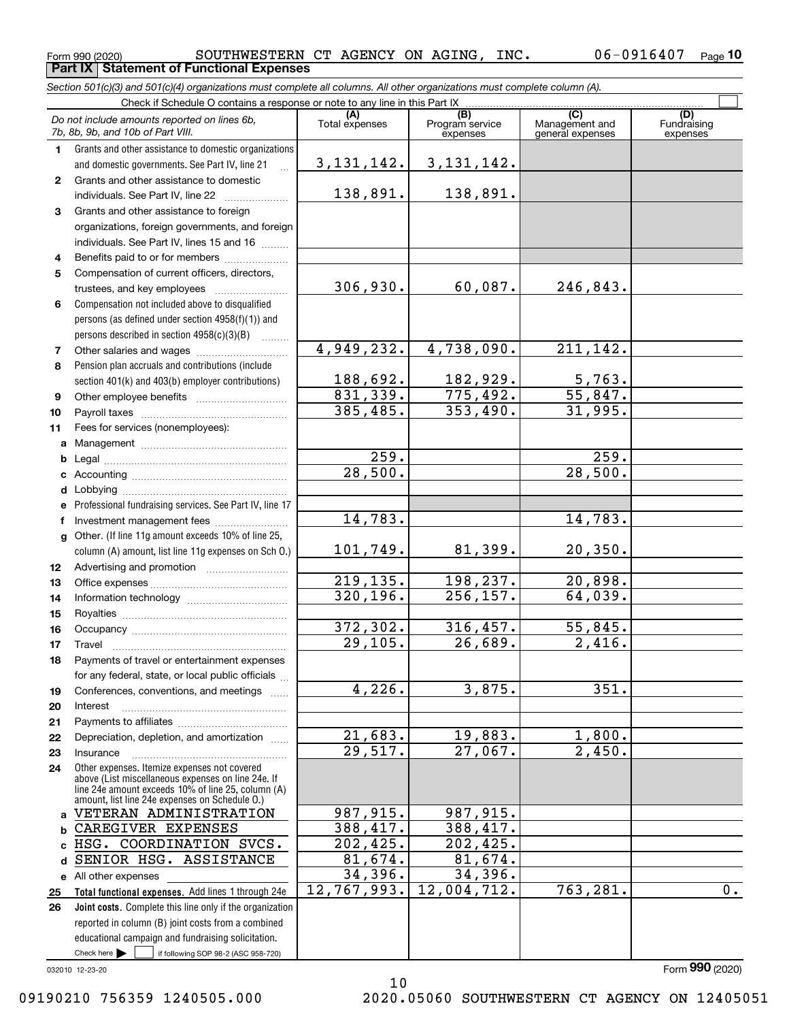$_{\rm Form}$   $_{990}$  (2020) SOUTHWESTERN CT AGENCY ON AGING, INC.  $06$  -  $0916407$   $_{\rm Page}$ **Part IX Statement of Functional Expenses**

*Section 501(c)(3) and 501(c)(4) organizations must complete all columns. All other organizations must complete column (A).*

|                | Check if Schedule O contains a response or note to any line in this Part IX                                                                                |                             |                                    |                                           |                                |
|----------------|------------------------------------------------------------------------------------------------------------------------------------------------------------|-----------------------------|------------------------------------|-------------------------------------------|--------------------------------|
|                | Do not include amounts reported on lines 6b,<br>7b, 8b, 9b, and 10b of Part VIII.                                                                          | Total expenses              | (B)<br>Program service<br>expenses | (C)<br>Management and<br>general expenses | (D)<br>Fundraising<br>expenses |
| $\mathbf 1$    | Grants and other assistance to domestic organizations                                                                                                      |                             |                                    |                                           |                                |
|                | and domestic governments. See Part IV, line 21                                                                                                             | <u>3,131,142.</u>           | 3, 131, 142.                       |                                           |                                |
| $\mathbf{2}$   | Grants and other assistance to domestic                                                                                                                    |                             |                                    |                                           |                                |
|                | individuals. See Part IV, line 22                                                                                                                          | 138,891.                    | 138,891.                           |                                           |                                |
| 3              | Grants and other assistance to foreign                                                                                                                     |                             |                                    |                                           |                                |
|                | organizations, foreign governments, and foreign                                                                                                            |                             |                                    |                                           |                                |
|                | individuals. See Part IV, lines 15 and 16                                                                                                                  |                             |                                    |                                           |                                |
| 4              | Benefits paid to or for members                                                                                                                            |                             |                                    |                                           |                                |
| 5              | Compensation of current officers, directors,                                                                                                               |                             |                                    |                                           |                                |
|                | trustees, and key employees                                                                                                                                | 306,930.                    | 60,087.                            | 246,843.                                  |                                |
| 6              | Compensation not included above to disqualified                                                                                                            |                             |                                    |                                           |                                |
|                | persons (as defined under section 4958(f)(1)) and                                                                                                          |                             |                                    |                                           |                                |
|                | persons described in section $4958(c)(3)(B)$<br>.                                                                                                          |                             |                                    |                                           |                                |
| $\overline{7}$ |                                                                                                                                                            | 4,949,232.                  | 4,738,090.                         | 211,142.                                  |                                |
| 8              | Pension plan accruals and contributions (include                                                                                                           |                             |                                    |                                           |                                |
|                | section 401(k) and 403(b) employer contributions)                                                                                                          | $\frac{188,692.}{831,339.}$ | <u>182,929.</u><br>775,492.        | $\frac{5,763}{55,847}$                    |                                |
| 9              |                                                                                                                                                            |                             |                                    |                                           |                                |
| 10             |                                                                                                                                                            | 385, 485.                   | 353,490.                           | 31,995.                                   |                                |
| 11             | Fees for services (nonemployees):                                                                                                                          |                             |                                    |                                           |                                |
| a              |                                                                                                                                                            |                             |                                    |                                           |                                |
| b              |                                                                                                                                                            | $\frac{259}{28,500}$        |                                    | $\frac{259}{28,500}$                      |                                |
| c              |                                                                                                                                                            |                             |                                    |                                           |                                |
| d              |                                                                                                                                                            |                             |                                    |                                           |                                |
| e              | Professional fundraising services. See Part IV, line 17                                                                                                    |                             |                                    |                                           |                                |
| f              | Investment management fees                                                                                                                                 | 14,783.                     |                                    | 14,783.                                   |                                |
| g              | Other. (If line 11g amount exceeds 10% of line 25,                                                                                                         |                             |                                    |                                           |                                |
|                | column (A) amount, list line 11g expenses on Sch O.)                                                                                                       | 101,749.                    | 81,399.                            | 20, 350.                                  |                                |
| 12             |                                                                                                                                                            |                             |                                    |                                           |                                |
| 13             |                                                                                                                                                            | 219,135.<br>320, 196.       | 198,237.                           | 20,898.                                   |                                |
| 14             |                                                                                                                                                            |                             | 256, 157.                          | 64,039.                                   |                                |
| 15             |                                                                                                                                                            |                             |                                    | 55,845.                                   |                                |
| 16             |                                                                                                                                                            | 372,302.<br>29, 105.        | 316,457.<br>$\overline{26,689}$ .  | $\overline{2,416}$ .                      |                                |
| 17             | Travel                                                                                                                                                     |                             |                                    |                                           |                                |
| 18             | Payments of travel or entertainment expenses<br>for any federal, state, or local public officials                                                          |                             |                                    |                                           |                                |
|                |                                                                                                                                                            | $\overline{4,226}$ .        | 3,875.                             | 351.                                      |                                |
| 19<br>20       | Conferences, conventions, and meetings<br>Interest                                                                                                         |                             |                                    |                                           |                                |
| 21             |                                                                                                                                                            |                             |                                    |                                           |                                |
| 22             | Depreciation, depletion, and amortization                                                                                                                  | <u>21,683.</u>              | 19,883.                            | 1,800.                                    |                                |
| 23             | Insurance                                                                                                                                                  | 29,517.                     | 27,067.                            | 2,450.                                    |                                |
| 24             | Other expenses. Itemize expenses not covered                                                                                                               |                             |                                    |                                           |                                |
|                | above (List miscellaneous expenses on line 24e. If<br>line 24e amount exceeds 10% of line 25, column (A)<br>amount, list line 24e expenses on Schedule O.) |                             |                                    |                                           |                                |
| a              | VETERAN ADMINISTRATION                                                                                                                                     | 987,915.                    | 987,915.                           |                                           |                                |
| b              | CAREGIVER EXPENSES                                                                                                                                         | 388,417.                    | 388,417.                           |                                           |                                |
| C              | HSG. COORDINATION SVCS.                                                                                                                                    | 202,425.                    | 202,425.                           |                                           |                                |
| d              | SENIOR HSG. ASSISTANCE                                                                                                                                     | 81,674.                     | 81,674.                            |                                           |                                |
| е              | All other expenses                                                                                                                                         | 34,396.                     | 34,396.                            |                                           |                                |
| 25             | Total functional expenses. Add lines 1 through 24e                                                                                                         | 12,767,993.                 | 12,004,712.                        | 763,281.                                  | $\overline{0}$ .               |
| 26             | Joint costs. Complete this line only if the organization                                                                                                   |                             |                                    |                                           |                                |
|                | reported in column (B) joint costs from a combined                                                                                                         |                             |                                    |                                           |                                |
|                | educational campaign and fundraising solicitation.                                                                                                         |                             |                                    |                                           |                                |
|                | Check here $\blacktriangleright$<br>if following SOP 98-2 (ASC 958-720)                                                                                    |                             |                                    |                                           |                                |
|                | 032010 12-23-20                                                                                                                                            |                             |                                    |                                           | Form 990 (2020)                |

10

032010 12-23-20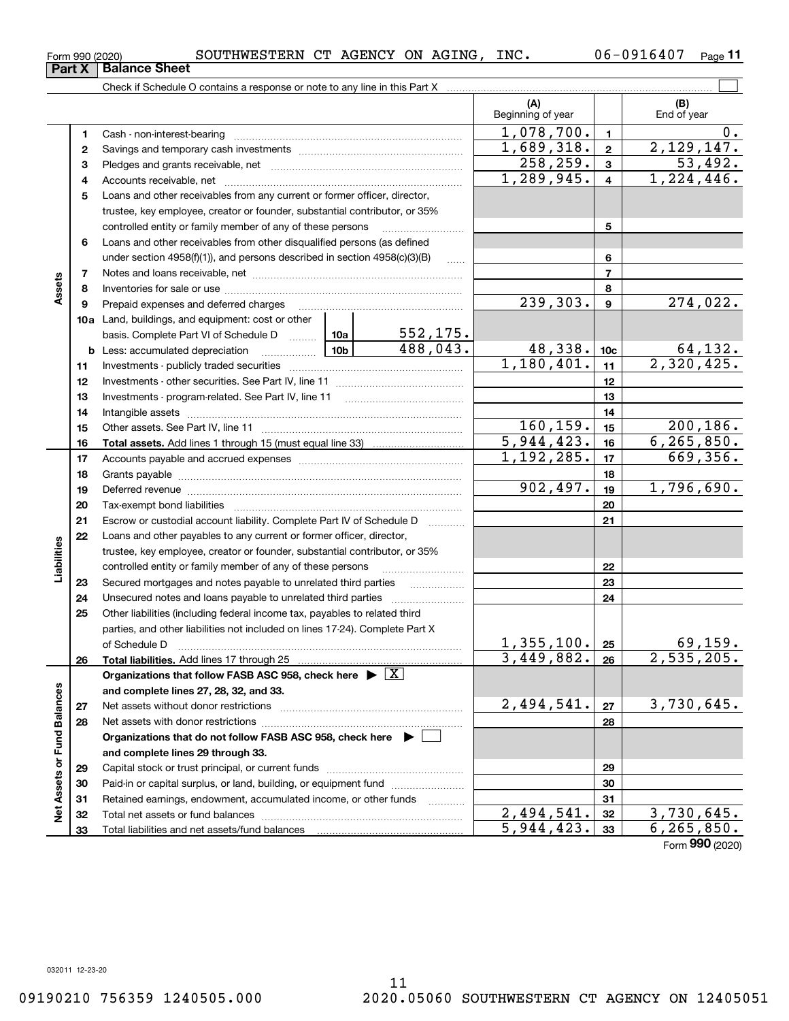| 1.  | Cash - non-interest-bearing                                                   |            |                | 1,078,700. | $\overline{1}$  | $0$ .        |
|-----|-------------------------------------------------------------------------------|------------|----------------|------------|-----------------|--------------|
| 2   |                                                                               | 1,689,318. | $\overline{2}$ | 2,129,147. |                 |              |
| 3   |                                                                               |            |                | 258, 259.  | 3               | 53,492.      |
| 4   |                                                                               |            |                | 1,289,945. | 4               | 1,224,446.   |
| 5   | Loans and other receivables from any current or former officer, director,     |            |                |            |                 |              |
|     | trustee, key employee, creator or founder, substantial contributor, or 35%    |            |                |            |                 |              |
|     | controlled entity or family member of any of these persons                    |            |                |            | 5               |              |
| 6   | Loans and other receivables from other disqualified persons (as defined       |            |                |            |                 |              |
|     | under section $4958(f)(1)$ , and persons described in section $4958(c)(3)(B)$ |            |                |            | 6               |              |
| 7   |                                                                               |            | 7              |            |                 |              |
| 8   |                                                                               |            | 8              |            |                 |              |
| 9   | Prepaid expenses and deferred charges                                         |            |                | 239,303.   | 9               | 274,022.     |
| 10a | Land, buildings, and equipment: cost or other                                 |            |                |            |                 |              |
|     | basis. Complete Part VI of Schedule D                                         | 10a l      | 552, 175.      |            |                 |              |
|     | <b>b</b> Less: accumulated depreciation <i></i>                               | 10b        | 488,043.       | 48,338.    | 10 <sub>c</sub> | 64,132.      |
| 11  |                                                                               |            |                | 1,180,401. | 11              | 2,320,425.   |
| 12  |                                                                               |            |                |            | 12              |              |
| 13  | Investments - program-related. See Part IV, line 11                           |            | 13             |            |                 |              |
| 14  |                                                                               |            | 14             |            |                 |              |
| 15  |                                                                               | 160, 159.  | 15             | 200, 186.  |                 |              |
| 16  |                                                                               |            |                | 5,944,423. | 16              | 6, 265, 850. |
| 17  |                                                                               |            |                | 1,192,285. | 17              | 669,356.     |
| 18. | Grante navahle                                                                |            |                |            | 18              |              |

|                   | 15 |                                                                                                                                                                                                                                | 160,159.   | 15 | 200, 186.                  |
|-------------------|----|--------------------------------------------------------------------------------------------------------------------------------------------------------------------------------------------------------------------------------|------------|----|----------------------------|
|                   | 16 |                                                                                                                                                                                                                                | 5,944,423. | 16 | 6, 265, 850.               |
|                   | 17 |                                                                                                                                                                                                                                | 1,192,285. | 17 | 669,356.                   |
|                   | 18 |                                                                                                                                                                                                                                |            | 18 |                            |
|                   | 19 | Deferred revenue material contracts and a contract of the contract of the contract of the contract of the contract of the contract of the contract of the contract of the contract of the contract of the contract of the cont | 902,497.   | 19 | 1,796,690.                 |
|                   | 20 |                                                                                                                                                                                                                                |            | 20 |                            |
|                   | 21 | Escrow or custodial account liability. Complete Part IV of Schedule D                                                                                                                                                          |            | 21 |                            |
|                   | 22 | Loans and other payables to any current or former officer, director,                                                                                                                                                           |            |    |                            |
|                   |    | trustee, key employee, creator or founder, substantial contributor, or 35%                                                                                                                                                     |            |    |                            |
| Liabilities       |    | controlled entity or family member of any of these persons                                                                                                                                                                     |            | 22 |                            |
|                   | 23 | Secured mortgages and notes payable to unrelated third parties                                                                                                                                                                 |            | 23 |                            |
|                   | 24 |                                                                                                                                                                                                                                |            | 24 |                            |
|                   | 25 | Other liabilities (including federal income tax, payables to related third                                                                                                                                                     |            |    |                            |
|                   |    | parties, and other liabilities not included on lines 17-24). Complete Part X                                                                                                                                                   |            |    |                            |
|                   |    | of Schedule D                                                                                                                                                                                                                  | 1,355,100. | 25 | $\frac{69,159}{2,535,205}$ |
|                   | 26 |                                                                                                                                                                                                                                | 3,449,882. | 26 |                            |
|                   |    | Organizations that follow FASB ASC 958, check here $\triangleright \lfloor X \rfloor$                                                                                                                                          |            |    |                            |
|                   |    | and complete lines 27, 28, 32, and 33.                                                                                                                                                                                         |            |    |                            |
|                   | 27 |                                                                                                                                                                                                                                | 2,494,541. | 27 | 3,730,645.                 |
|                   | 28 |                                                                                                                                                                                                                                |            | 28 |                            |
| or Fund Balances  |    | Organizations that do not follow FASB ASC 958, check here ▶ □                                                                                                                                                                  |            |    |                            |
|                   |    | and complete lines 29 through 33.                                                                                                                                                                                              |            |    |                            |
|                   | 29 |                                                                                                                                                                                                                                |            | 29 |                            |
|                   | 30 | Paid-in or capital surplus, or land, building, or equipment fund                                                                                                                                                               |            | 30 |                            |
|                   | 31 | Retained earnings, endowment, accumulated income, or other funds                                                                                                                                                               |            | 31 |                            |
| <b>Net Assets</b> | 32 |                                                                                                                                                                                                                                | 2,494,541. | 32 | 3,730,645.                 |
|                   | 33 |                                                                                                                                                                                                                                | 5,944,423. | 33 | 6, 265, 850.               |
|                   |    |                                                                                                                                                                                                                                |            |    | Form 990 (2020)            |

Check if Schedule O contains a response or note to any line in this Part X

(B)<br>End of year

 $\mathcal{L}^{\text{max}}$ 

**(A) (B)**

Beginning of year | | End of year

**Part X Balance Sheet**

**Assets**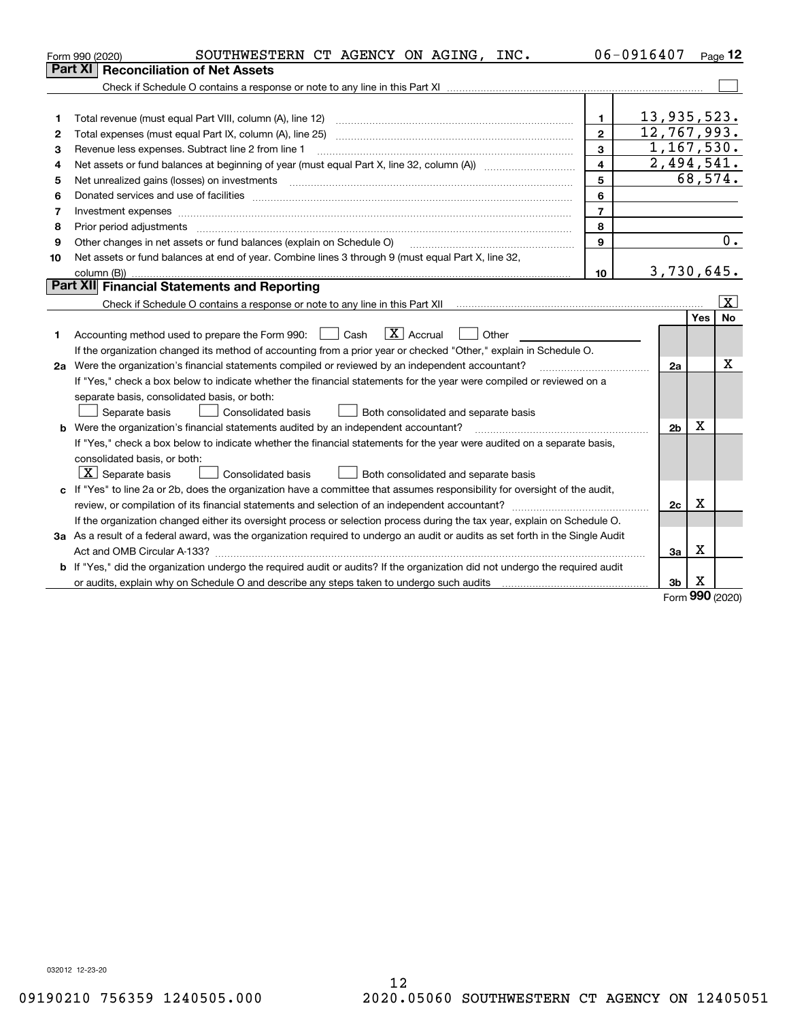|    | SOUTHWESTERN CT AGENCY ON AGING, INC.<br>Form 990 (2020)                                                                                                                                                                       |                | 06-0916407     |     | Page $12$               |
|----|--------------------------------------------------------------------------------------------------------------------------------------------------------------------------------------------------------------------------------|----------------|----------------|-----|-------------------------|
|    | <b>Reconciliation of Net Assets</b><br>Part XI                                                                                                                                                                                 |                |                |     |                         |
|    |                                                                                                                                                                                                                                |                |                |     |                         |
|    |                                                                                                                                                                                                                                |                |                |     |                         |
| 1  | Total revenue (must equal Part VIII, column (A), line 12)                                                                                                                                                                      | 1.             | 13,935,523.    |     |                         |
| 2  |                                                                                                                                                                                                                                | $\mathbf{2}$   | 12, 767, 993.  |     |                         |
| 3  | Revenue less expenses. Subtract line 2 from line 1                                                                                                                                                                             | 3              | 1,167,530.     |     |                         |
| 4  | Net assets or fund balances at beginning of year (must equal Part X, line 32, column (A)) manured manu-                                                                                                                        | 4              | 2,494,541.     |     |                         |
| 5  | Net unrealized gains (losses) on investments                                                                                                                                                                                   | 5              |                |     | 68,574.                 |
| 6  |                                                                                                                                                                                                                                | 6              |                |     |                         |
| 7  | Investment expenses with an annual contract expenses and contract and contract expenses and contract expenses and contract expenses and contract expenses and contract expenses and contract expenses and contract expenses an | $\overline{7}$ |                |     |                         |
| 8  | Prior period adjustments                                                                                                                                                                                                       | 8              |                |     |                         |
| 9  | Other changes in net assets or fund balances (explain on Schedule O)                                                                                                                                                           | 9              |                |     | $\overline{0}$ .        |
| 10 | Net assets or fund balances at end of year. Combine lines 3 through 9 (must equal Part X, line 32,                                                                                                                             |                |                |     |                         |
|    |                                                                                                                                                                                                                                | 10             | 3,730,645.     |     |                         |
|    | Part XII Financial Statements and Reporting                                                                                                                                                                                    |                |                |     |                         |
|    |                                                                                                                                                                                                                                |                |                |     | $\overline{\mathbf{x}}$ |
|    |                                                                                                                                                                                                                                |                |                | Yes | No                      |
| 1  | $\boxed{\mathbf{X}}$ Accrual<br>Accounting method used to prepare the Form 990: <u>[</u> Cash<br>Other                                                                                                                         |                |                |     |                         |
|    | If the organization changed its method of accounting from a prior year or checked "Other," explain in Schedule O.                                                                                                              |                |                |     |                         |
|    | 2a Were the organization's financial statements compiled or reviewed by an independent accountant?                                                                                                                             |                | 2a             |     | Χ                       |
|    | If "Yes," check a box below to indicate whether the financial statements for the year were compiled or reviewed on a                                                                                                           |                |                |     |                         |
|    | separate basis, consolidated basis, or both:                                                                                                                                                                                   |                |                |     |                         |
|    | Separate basis<br><b>Consolidated basis</b><br>Both consolidated and separate basis                                                                                                                                            |                |                |     |                         |
|    | <b>b</b> Were the organization's financial statements audited by an independent accountant?                                                                                                                                    |                | 2 <sub>b</sub> | х   |                         |
|    | If "Yes," check a box below to indicate whether the financial statements for the year were audited on a separate basis,                                                                                                        |                |                |     |                         |
|    | consolidated basis, or both:                                                                                                                                                                                                   |                |                |     |                         |
|    | $\vert X \vert$ Separate basis<br>Consolidated basis<br>Both consolidated and separate basis                                                                                                                                   |                |                |     |                         |
|    | c If "Yes" to line 2a or 2b, does the organization have a committee that assumes responsibility for oversight of the audit,                                                                                                    |                |                |     |                         |
|    |                                                                                                                                                                                                                                |                | 2c             | x   |                         |
|    | If the organization changed either its oversight process or selection process during the tax year, explain on Schedule O.                                                                                                      |                |                |     |                         |
|    | 3a As a result of a federal award, was the organization required to undergo an audit or audits as set forth in the Single Audit                                                                                                |                |                |     |                         |
|    |                                                                                                                                                                                                                                |                | 3a             | х   |                         |
|    | b If "Yes," did the organization undergo the required audit or audits? If the organization did not undergo the required audit                                                                                                  |                |                |     |                         |
|    | or audits, explain why on Schedule O and describe any steps taken to undergo such audits [11] contains the school of audits [11] or audits [11] or audits [11] or audits [11] or audits [11] or audits [11] or audits [11] or  |                | 3b             | х   |                         |

Form (2020) **990**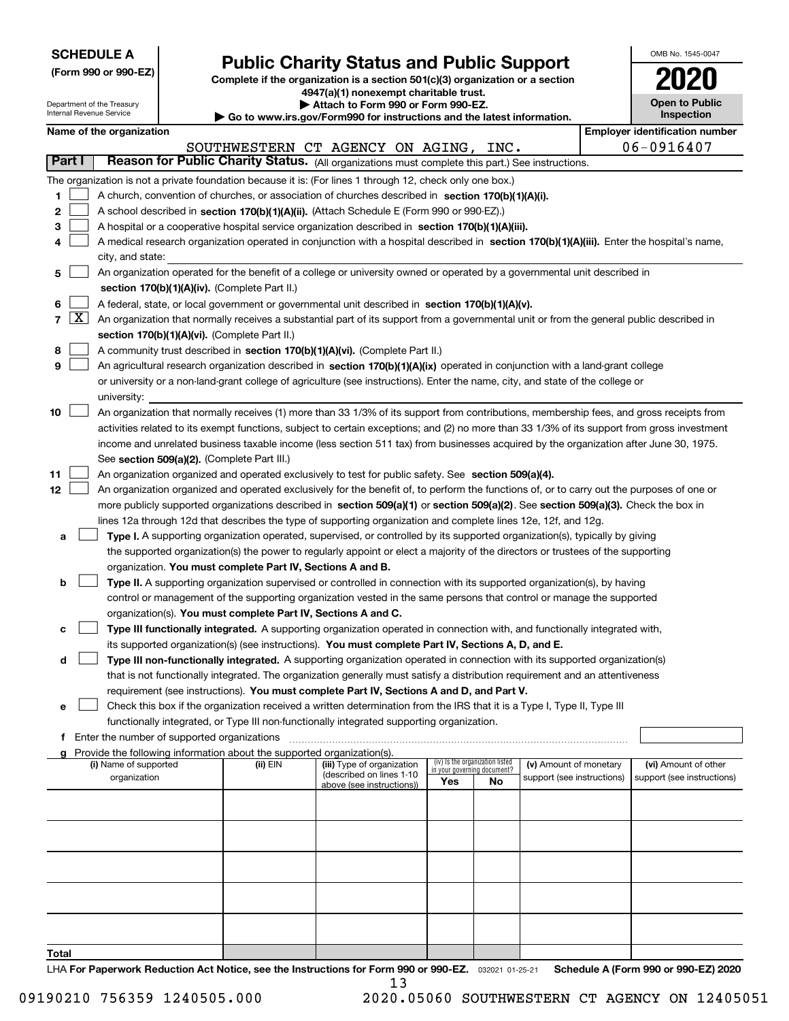| <b>SCHEDULE A</b> |
|-------------------|
|-------------------|

Department of the Treasury Internal Revenue Service

**(Form 990 or 990-EZ)**

# **Public Charity Status and Public Support**

**Complete if the organization is a section 501(c)(3) organization or a section 4947(a)(1) nonexempt charitable trust. | Attach to Form 990 or Form 990-EZ.** 

| OMB No. 1545-0047                   |
|-------------------------------------|
| 2020                                |
| <b>Open to Public</b><br>Inspection |

|  | Name of the organization |
|--|--------------------------|

|        |                    | Name of the organization                                                                                                                     |          |                                       |     |                                   |                            | <b>Employer identification number</b> |
|--------|--------------------|----------------------------------------------------------------------------------------------------------------------------------------------|----------|---------------------------------------|-----|-----------------------------------|----------------------------|---------------------------------------|
|        |                    |                                                                                                                                              |          | SOUTHWESTERN CT AGENCY ON AGING, INC. |     |                                   |                            | 06-0916407                            |
| Part I |                    | Reason for Public Charity Status. (All organizations must complete this part.) See instructions.                                             |          |                                       |     |                                   |                            |                                       |
|        |                    | The organization is not a private foundation because it is: (For lines 1 through 12, check only one box.)                                    |          |                                       |     |                                   |                            |                                       |
| 1      |                    | A church, convention of churches, or association of churches described in section 170(b)(1)(A)(i).                                           |          |                                       |     |                                   |                            |                                       |
| 2      |                    | A school described in section 170(b)(1)(A)(ii). (Attach Schedule E (Form 990 or 990-EZ).)                                                    |          |                                       |     |                                   |                            |                                       |
| з      |                    | A hospital or a cooperative hospital service organization described in section 170(b)(1)(A)(iii).                                            |          |                                       |     |                                   |                            |                                       |
|        |                    | A medical research organization operated in conjunction with a hospital described in section 170(b)(1)(A)(iii). Enter the hospital's name,   |          |                                       |     |                                   |                            |                                       |
|        |                    | city, and state:                                                                                                                             |          |                                       |     |                                   |                            |                                       |
| 5      |                    | An organization operated for the benefit of a college or university owned or operated by a governmental unit described in                    |          |                                       |     |                                   |                            |                                       |
|        |                    | section 170(b)(1)(A)(iv). (Complete Part II.)                                                                                                |          |                                       |     |                                   |                            |                                       |
| 6      |                    | A federal, state, or local government or governmental unit described in section 170(b)(1)(A)(v).                                             |          |                                       |     |                                   |                            |                                       |
| 7      | $\boxed{\text{X}}$ | An organization that normally receives a substantial part of its support from a governmental unit or from the general public described in    |          |                                       |     |                                   |                            |                                       |
|        |                    | section 170(b)(1)(A)(vi). (Complete Part II.)                                                                                                |          |                                       |     |                                   |                            |                                       |
| 8      |                    | A community trust described in section 170(b)(1)(A)(vi). (Complete Part II.)                                                                 |          |                                       |     |                                   |                            |                                       |
| 9      |                    | An agricultural research organization described in section 170(b)(1)(A)(ix) operated in conjunction with a land-grant college                |          |                                       |     |                                   |                            |                                       |
|        |                    | or university or a non-land-grant college of agriculture (see instructions). Enter the name, city, and state of the college or               |          |                                       |     |                                   |                            |                                       |
|        |                    | university:                                                                                                                                  |          |                                       |     |                                   |                            |                                       |
| 10     |                    | An organization that normally receives (1) more than 33 1/3% of its support from contributions, membership fees, and gross receipts from     |          |                                       |     |                                   |                            |                                       |
|        |                    | activities related to its exempt functions, subject to certain exceptions; and (2) no more than 33 1/3% of its support from gross investment |          |                                       |     |                                   |                            |                                       |
|        |                    | income and unrelated business taxable income (less section 511 tax) from businesses acquired by the organization after June 30, 1975.        |          |                                       |     |                                   |                            |                                       |
|        |                    | See section 509(a)(2). (Complete Part III.)                                                                                                  |          |                                       |     |                                   |                            |                                       |
| 11     |                    | An organization organized and operated exclusively to test for public safety. See section 509(a)(4).                                         |          |                                       |     |                                   |                            |                                       |
| 12     |                    | An organization organized and operated exclusively for the benefit of, to perform the functions of, or to carry out the purposes of one or   |          |                                       |     |                                   |                            |                                       |
|        |                    | more publicly supported organizations described in section 509(a)(1) or section 509(a)(2). See section 509(a)(3). Check the box in           |          |                                       |     |                                   |                            |                                       |
|        |                    | lines 12a through 12d that describes the type of supporting organization and complete lines 12e, 12f, and 12g.                               |          |                                       |     |                                   |                            |                                       |
| а      |                    | Type I. A supporting organization operated, supervised, or controlled by its supported organization(s), typically by giving                  |          |                                       |     |                                   |                            |                                       |
|        |                    | the supported organization(s) the power to regularly appoint or elect a majority of the directors or trustees of the supporting              |          |                                       |     |                                   |                            |                                       |
|        |                    | organization. You must complete Part IV, Sections A and B.                                                                                   |          |                                       |     |                                   |                            |                                       |
| b      |                    | Type II. A supporting organization supervised or controlled in connection with its supported organization(s), by having                      |          |                                       |     |                                   |                            |                                       |
|        |                    | control or management of the supporting organization vested in the same persons that control or manage the supported                         |          |                                       |     |                                   |                            |                                       |
|        |                    | organization(s). You must complete Part IV, Sections A and C.                                                                                |          |                                       |     |                                   |                            |                                       |
| с      |                    | Type III functionally integrated. A supporting organization operated in connection with, and functionally integrated with,                   |          |                                       |     |                                   |                            |                                       |
|        |                    | its supported organization(s) (see instructions). You must complete Part IV, Sections A, D, and E.                                           |          |                                       |     |                                   |                            |                                       |
| d      |                    | Type III non-functionally integrated. A supporting organization operated in connection with its supported organization(s)                    |          |                                       |     |                                   |                            |                                       |
|        |                    | that is not functionally integrated. The organization generally must satisfy a distribution requirement and an attentiveness                 |          |                                       |     |                                   |                            |                                       |
|        |                    | requirement (see instructions). You must complete Part IV, Sections A and D, and Part V.                                                     |          |                                       |     |                                   |                            |                                       |
| е      |                    | Check this box if the organization received a written determination from the IRS that it is a Type I, Type II, Type III                      |          |                                       |     |                                   |                            |                                       |
|        |                    | functionally integrated, or Type III non-functionally integrated supporting organization.                                                    |          |                                       |     |                                   |                            |                                       |
|        |                    | f Enter the number of supported organizations                                                                                                |          |                                       |     |                                   |                            |                                       |
|        |                    | Provide the following information about the supported organization(s).<br>(i) Name of supported                                              | (ii) EIN | (iii) Type of organization            |     | (iv) Is the organization listed   | (v) Amount of monetary     | (vi) Amount of other                  |
|        |                    | organization                                                                                                                                 |          | (described on lines 1-10              | Yes | in your governing document?<br>No | support (see instructions) | support (see instructions)            |
|        |                    |                                                                                                                                              |          | above (see instructions))             |     |                                   |                            |                                       |
|        |                    |                                                                                                                                              |          |                                       |     |                                   |                            |                                       |
|        |                    |                                                                                                                                              |          |                                       |     |                                   |                            |                                       |
|        |                    |                                                                                                                                              |          |                                       |     |                                   |                            |                                       |
|        |                    |                                                                                                                                              |          |                                       |     |                                   |                            |                                       |
|        |                    |                                                                                                                                              |          |                                       |     |                                   |                            |                                       |
|        |                    |                                                                                                                                              |          |                                       |     |                                   |                            |                                       |
|        |                    |                                                                                                                                              |          |                                       |     |                                   |                            |                                       |
|        |                    |                                                                                                                                              |          |                                       |     |                                   |                            |                                       |
|        |                    |                                                                                                                                              |          |                                       |     |                                   |                            |                                       |
| Total  |                    |                                                                                                                                              |          |                                       |     |                                   |                            |                                       |

LHA For Paperwork Reduction Act Notice, see the Instructions for Form 990 or 990-EZ. <sub>032021</sub> o1-25-21 Schedule A (Form 990 or 990-EZ) 2020 13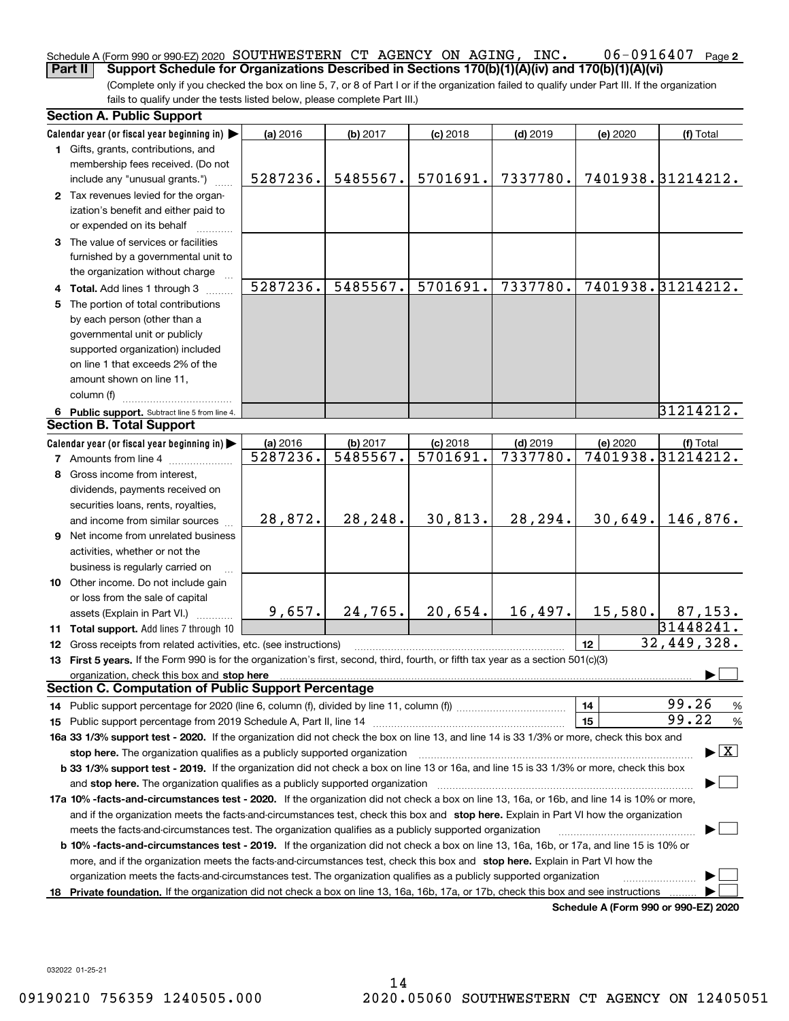#### 06-0916407 Page 2 Schedule A (Form 990 or 990-EZ) 2020 Page SOUTHWESTERN CT AGENCY ON AGING, INC. 06-0916407 **Part II** Support Schedule for Organizations Described in Sections 170(b)(1)(A)(iv) and 170(b)(1)(A)(vi)

(Complete only if you checked the box on line 5, 7, or 8 of Part I or if the organization failed to qualify under Part III. If the organization fails to qualify under the tests listed below, please complete Part III.)

| <b>Section A. Public Support</b>                                                                                                               |          |          |            |            |                 |                                          |
|------------------------------------------------------------------------------------------------------------------------------------------------|----------|----------|------------|------------|-----------------|------------------------------------------|
| Calendar year (or fiscal year beginning in)                                                                                                    | (a) 2016 | (b) 2017 | $(c)$ 2018 | $(d)$ 2019 | (e) 2020        | (f) Total                                |
| 1 Gifts, grants, contributions, and                                                                                                            |          |          |            |            |                 |                                          |
| membership fees received. (Do not                                                                                                              |          |          |            |            |                 |                                          |
| include any "unusual grants.")                                                                                                                 | 5287236. | 5485567. | 5701691.   | 7337780.   |                 | 7401938.31214212.                        |
| 2 Tax revenues levied for the organ-                                                                                                           |          |          |            |            |                 |                                          |
| ization's benefit and either paid to                                                                                                           |          |          |            |            |                 |                                          |
| or expended on its behalf                                                                                                                      |          |          |            |            |                 |                                          |
| 3 The value of services or facilities                                                                                                          |          |          |            |            |                 |                                          |
| furnished by a governmental unit to                                                                                                            |          |          |            |            |                 |                                          |
| the organization without charge                                                                                                                |          |          |            |            |                 |                                          |
| 4 Total. Add lines 1 through 3                                                                                                                 | 5287236. | 5485567. | 5701691.   | 7337780.   |                 | 7401938.31214212.                        |
| 5 The portion of total contributions                                                                                                           |          |          |            |            |                 |                                          |
| by each person (other than a                                                                                                                   |          |          |            |            |                 |                                          |
| governmental unit or publicly                                                                                                                  |          |          |            |            |                 |                                          |
| supported organization) included                                                                                                               |          |          |            |            |                 |                                          |
| on line 1 that exceeds 2% of the                                                                                                               |          |          |            |            |                 |                                          |
| amount shown on line 11,                                                                                                                       |          |          |            |            |                 |                                          |
| column (f)                                                                                                                                     |          |          |            |            |                 |                                          |
| 6 Public support. Subtract line 5 from line 4.                                                                                                 |          |          |            |            |                 | 31214212.                                |
| <b>Section B. Total Support</b>                                                                                                                |          |          |            |            |                 |                                          |
| Calendar year (or fiscal year beginning in)                                                                                                    | (a) 2016 | (b) 2017 | $(c)$ 2018 | $(d)$ 2019 | (e) 2020        | (f) Total                                |
| <b>7</b> Amounts from line 4                                                                                                                   | 5287236. | 5485567. | 5701691.   | 7337780.   |                 | 7401938.31214212.                        |
| 8 Gross income from interest,                                                                                                                  |          |          |            |            |                 |                                          |
| dividends, payments received on                                                                                                                |          |          |            |            |                 |                                          |
| securities loans, rents, royalties,                                                                                                            |          |          |            |            |                 |                                          |
| and income from similar sources                                                                                                                | 28,872.  | 28,248.  | 30,813.    | 28,294.    | 30,649.         | 146,876.                                 |
| 9 Net income from unrelated business                                                                                                           |          |          |            |            |                 |                                          |
| activities, whether or not the                                                                                                                 |          |          |            |            |                 |                                          |
| business is regularly carried on                                                                                                               |          |          |            |            |                 |                                          |
| 10 Other income. Do not include gain                                                                                                           |          |          |            |            |                 |                                          |
| or loss from the sale of capital                                                                                                               |          |          |            |            |                 |                                          |
| assets (Explain in Part VI.)                                                                                                                   | 9,657.   | 24,765.  | 20,654.    | 16,497.    | 15,580.         | 87, 153.                                 |
| 11 Total support. Add lines 7 through 10                                                                                                       |          |          |            |            |                 | 31448241.                                |
| 12 Gross receipts from related activities, etc. (see instructions)                                                                             |          |          |            |            | 12 <sup>2</sup> | 32,449,328.                              |
| 13 First 5 years. If the Form 990 is for the organization's first, second, third, fourth, or fifth tax year as a section 501(c)(3)             |          |          |            |            |                 |                                          |
| organization, check this box and stop here                                                                                                     |          |          |            |            |                 |                                          |
| <b>Section C. Computation of Public Support Percentage</b>                                                                                     |          |          |            |            |                 |                                          |
|                                                                                                                                                |          |          |            |            | 14              | 99.26<br>%                               |
|                                                                                                                                                |          |          |            |            | 15              | 99.22<br>$\%$                            |
| 16a 33 1/3% support test - 2020. If the organization did not check the box on line 13, and line 14 is 33 1/3% or more, check this box and      |          |          |            |            |                 |                                          |
| stop here. The organization qualifies as a publicly supported organization                                                                     |          |          |            |            |                 | $\blacktriangleright$ $\boxed{\text{X}}$ |
| b 33 1/3% support test - 2019. If the organization did not check a box on line 13 or 16a, and line 15 is 33 1/3% or more, check this box       |          |          |            |            |                 |                                          |
| and stop here. The organization qualifies as a publicly supported organization                                                                 |          |          |            |            |                 |                                          |
| 17a 10% -facts-and-circumstances test - 2020. If the organization did not check a box on line 13, 16a, or 16b, and line 14 is 10% or more,     |          |          |            |            |                 |                                          |
| and if the organization meets the facts-and-circumstances test, check this box and stop here. Explain in Part VI how the organization          |          |          |            |            |                 |                                          |
| meets the facts-and-circumstances test. The organization qualifies as a publicly supported organization                                        |          |          |            |            |                 |                                          |
| <b>b 10% -facts-and-circumstances test - 2019.</b> If the organization did not check a box on line 13, 16a, 16b, or 17a, and line 15 is 10% or |          |          |            |            |                 |                                          |
| more, and if the organization meets the facts-and-circumstances test, check this box and stop here. Explain in Part VI how the                 |          |          |            |            |                 |                                          |
| organization meets the facts-and-circumstances test. The organization qualifies as a publicly supported organization                           |          |          |            |            |                 |                                          |
| 18 Private foundation. If the organization did not check a box on line 13, 16a, 16b, 17a, or 17b, check this box and see instructions          |          |          |            |            |                 | Schedule A (Form 990 or 990-F7) 2020     |

**Schedule A (Form 990 or 990-EZ) 2020**

032022 01-25-21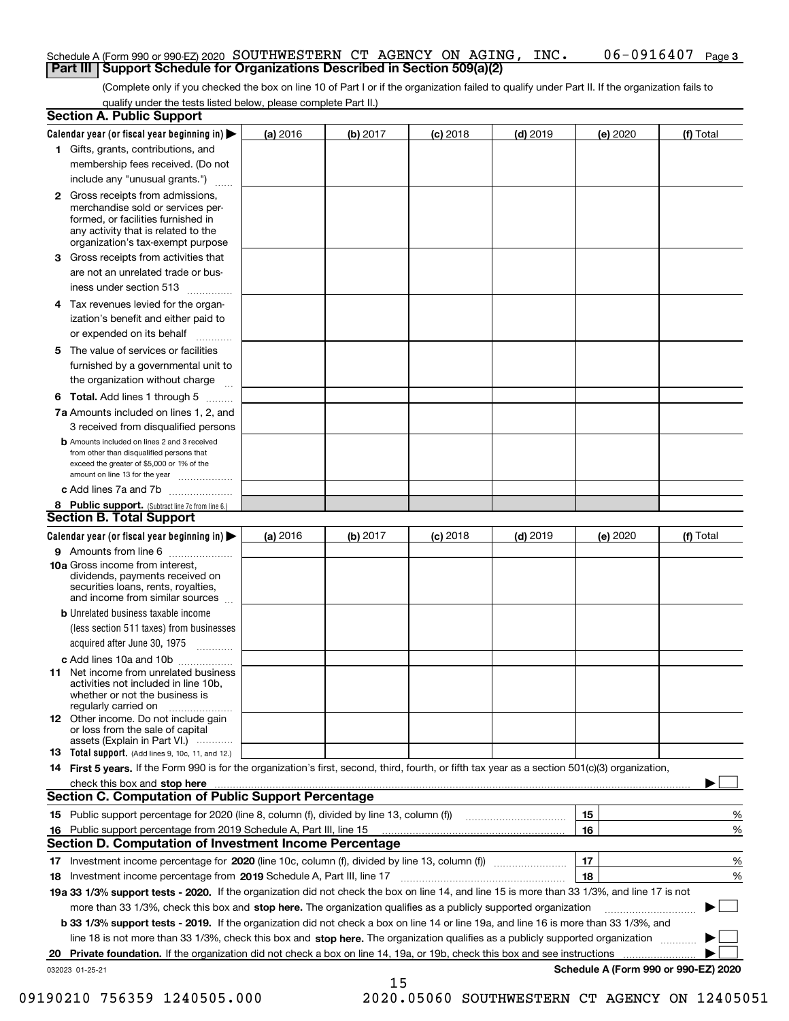#### Schedule A (Form 990 or 990-EZ) 2020 Page SOUTHWESTERN CT AGENCY ON AGING, INC. 06-0916407 **Part III Support Schedule for Organizations Described in Section 509(a)(2)**

(Complete only if you checked the box on line 10 of Part I or if the organization failed to qualify under Part II. If the organization fails to qualify under the tests listed below, please complete Part II.)

**3**

|    | <b>Section A. Public Support</b>                                                                                                                                                                                                      |          |          |            |            |                                      |           |
|----|---------------------------------------------------------------------------------------------------------------------------------------------------------------------------------------------------------------------------------------|----------|----------|------------|------------|--------------------------------------|-----------|
|    | Calendar year (or fiscal year beginning in) $\blacktriangleright$                                                                                                                                                                     | (a) 2016 | (b) 2017 | $(c)$ 2018 | $(d)$ 2019 | (e) 2020                             | (f) Total |
|    | 1 Gifts, grants, contributions, and                                                                                                                                                                                                   |          |          |            |            |                                      |           |
|    | membership fees received. (Do not                                                                                                                                                                                                     |          |          |            |            |                                      |           |
|    | include any "unusual grants.")                                                                                                                                                                                                        |          |          |            |            |                                      |           |
|    | 2 Gross receipts from admissions,<br>merchandise sold or services per-<br>formed, or facilities furnished in<br>any activity that is related to the<br>organization's tax-exempt purpose                                              |          |          |            |            |                                      |           |
|    | 3 Gross receipts from activities that<br>are not an unrelated trade or bus-<br>iness under section 513                                                                                                                                |          |          |            |            |                                      |           |
|    | 4 Tax revenues levied for the organ-<br>ization's benefit and either paid to                                                                                                                                                          |          |          |            |            |                                      |           |
|    | or expended on its behalf<br>.                                                                                                                                                                                                        |          |          |            |            |                                      |           |
|    | 5 The value of services or facilities                                                                                                                                                                                                 |          |          |            |            |                                      |           |
|    | furnished by a governmental unit to                                                                                                                                                                                                   |          |          |            |            |                                      |           |
|    | the organization without charge                                                                                                                                                                                                       |          |          |            |            |                                      |           |
|    | <b>6 Total.</b> Add lines 1 through 5                                                                                                                                                                                                 |          |          |            |            |                                      |           |
|    | 7a Amounts included on lines 1, 2, and                                                                                                                                                                                                |          |          |            |            |                                      |           |
|    | 3 received from disqualified persons<br><b>b</b> Amounts included on lines 2 and 3 received                                                                                                                                           |          |          |            |            |                                      |           |
|    | from other than disqualified persons that                                                                                                                                                                                             |          |          |            |            |                                      |           |
|    | exceed the greater of \$5,000 or 1% of the<br>amount on line 13 for the year                                                                                                                                                          |          |          |            |            |                                      |           |
|    | c Add lines 7a and 7b                                                                                                                                                                                                                 |          |          |            |            |                                      |           |
|    | 8 Public support. (Subtract line 7c from line 6.)                                                                                                                                                                                     |          |          |            |            |                                      |           |
|    | <b>Section B. Total Support</b>                                                                                                                                                                                                       |          |          |            |            |                                      |           |
|    | Calendar year (or fiscal year beginning in) $\blacktriangleright$                                                                                                                                                                     | (a) 2016 | (b) 2017 | $(c)$ 2018 | $(d)$ 2019 | (e) 2020                             | (f) Total |
|    | 9 Amounts from line 6                                                                                                                                                                                                                 |          |          |            |            |                                      |           |
|    | 10a Gross income from interest,<br>dividends, payments received on<br>securities loans, rents, royalties,<br>and income from similar sources                                                                                          |          |          |            |            |                                      |           |
|    | <b>b</b> Unrelated business taxable income                                                                                                                                                                                            |          |          |            |            |                                      |           |
|    | (less section 511 taxes) from businesses                                                                                                                                                                                              |          |          |            |            |                                      |           |
|    | acquired after June 30, 1975                                                                                                                                                                                                          |          |          |            |            |                                      |           |
|    | c Add lines 10a and 10b<br>11 Net income from unrelated business<br>activities not included in line 10b,<br>whether or not the business is<br>regularly carried on                                                                    |          |          |            |            |                                      |           |
|    | <b>12</b> Other income. Do not include gain<br>or loss from the sale of capital<br>assets (Explain in Part VI.)                                                                                                                       |          |          |            |            |                                      |           |
|    | <b>13</b> Total support. (Add lines 9, 10c, 11, and 12.)                                                                                                                                                                              |          |          |            |            |                                      |           |
|    | 14 First 5 years. If the Form 990 is for the organization's first, second, third, fourth, or fifth tax year as a section 501(c)(3) organization,                                                                                      |          |          |            |            |                                      |           |
|    | check this box and stop here with the continuum control to the change of the state of the state of the change of the state of the change of the change of the state of the change of the change of the change of the change of        |          |          |            |            |                                      |           |
|    | <b>Section C. Computation of Public Support Percentage</b>                                                                                                                                                                            |          |          |            |            |                                      |           |
|    | 15 Public support percentage for 2020 (line 8, column (f), divided by line 13, column (f))                                                                                                                                            |          |          |            |            | 15                                   | %         |
|    | 16 Public support percentage from 2019 Schedule A, Part III, line 15<br><b>Section D. Computation of Investment Income Percentage</b>                                                                                                 |          |          |            |            | 16                                   | %         |
|    |                                                                                                                                                                                                                                       |          |          |            |            | 17                                   |           |
|    | 17 Investment income percentage for 2020 (line 10c, column (f), divided by line 13, column (f))                                                                                                                                       |          |          |            |            | 18                                   | %         |
|    | <b>18</b> Investment income percentage from <b>2019</b> Schedule A, Part III, line 17<br>19a 33 1/3% support tests - 2020. If the organization did not check the box on line 14, and line 15 is more than 33 1/3%, and line 17 is not |          |          |            |            |                                      | %         |
|    | more than 33 1/3%, check this box and stop here. The organization qualifies as a publicly supported organization                                                                                                                      |          |          |            |            |                                      | ▶         |
|    | b 33 1/3% support tests - 2019. If the organization did not check a box on line 14 or line 19a, and line 16 is more than 33 1/3%, and                                                                                                 |          |          |            |            |                                      |           |
|    | line 18 is not more than 33 1/3%, check this box and stop here. The organization qualifies as a publicly supported organization                                                                                                       |          |          |            |            |                                      |           |
| 20 | Private foundation. If the organization did not check a box on line 14, 19a, or 19b, check this box and see instructions                                                                                                              |          |          |            |            | .                                    |           |
|    | 032023 01-25-21                                                                                                                                                                                                                       |          |          |            |            | Schedule A (Form 990 or 990-EZ) 2020 |           |

15

 <sup>09190210 756359 1240505.000 2020.05060</sup> SOUTHWESTERN CT AGENCY ON 12405051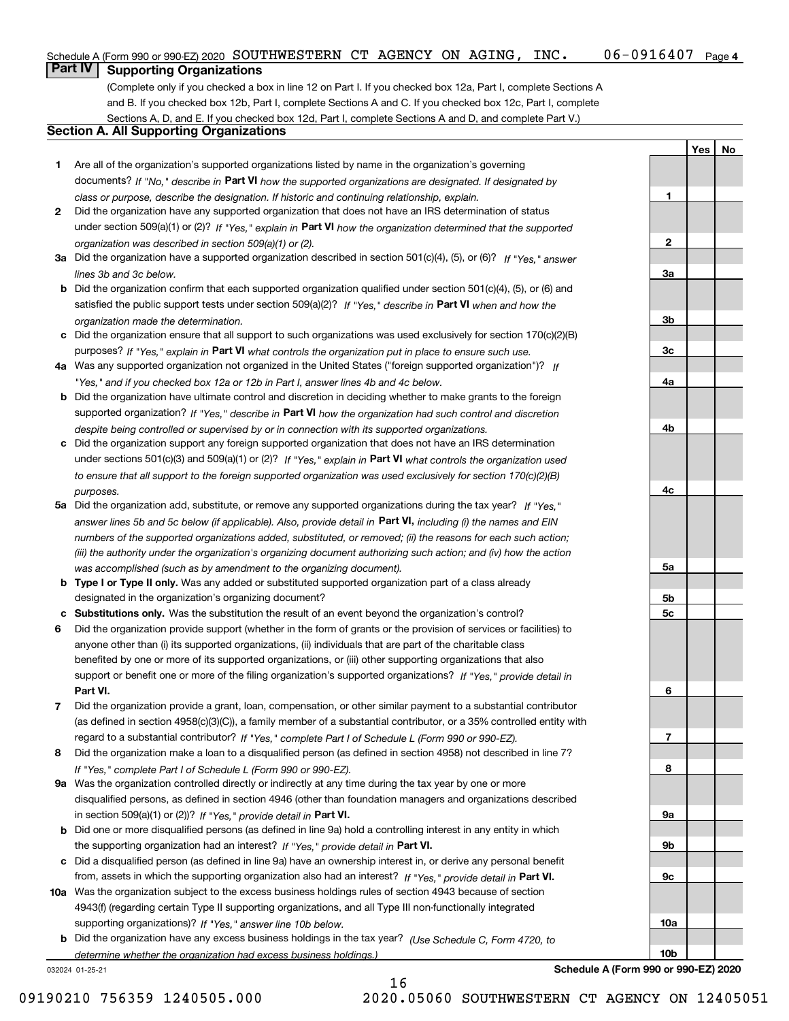#### $06 - 0916407$  Page 4 Schedule A (Form 990 or 990-EZ) 2020 Page SOUTHWESTERN CT AGENCY ON AGING, INC. 06-0916407

**Part IV Supporting Organizations**

(Complete only if you checked a box in line 12 on Part I. If you checked box 12a, Part I, complete Sections A and B. If you checked box 12b, Part I, complete Sections A and C. If you checked box 12c, Part I, complete Sections A, D, and E. If you checked box 12d, Part I, complete Sections A and D, and complete Part V.)

## **Section A. All Supporting Organizations**

- **1** Are all of the organization's supported organizations listed by name in the organization's governing documents? If "No," describe in **Part VI** how the supported organizations are designated. If designated by *class or purpose, describe the designation. If historic and continuing relationship, explain.*
- **2** Did the organization have any supported organization that does not have an IRS determination of status under section 509(a)(1) or (2)? If "Yes," explain in Part VI how the organization determined that the supported *organization was described in section 509(a)(1) or (2).*
- **3a** Did the organization have a supported organization described in section 501(c)(4), (5), or (6)? If "Yes," answer *lines 3b and 3c below.*
- **b** Did the organization confirm that each supported organization qualified under section 501(c)(4), (5), or (6) and satisfied the public support tests under section 509(a)(2)? If "Yes," describe in **Part VI** when and how the *organization made the determination.*
- **c**Did the organization ensure that all support to such organizations was used exclusively for section 170(c)(2)(B) purposes? If "Yes," explain in **Part VI** what controls the organization put in place to ensure such use.
- **4a***If* Was any supported organization not organized in the United States ("foreign supported organization")? *"Yes," and if you checked box 12a or 12b in Part I, answer lines 4b and 4c below.*
- **b** Did the organization have ultimate control and discretion in deciding whether to make grants to the foreign supported organization? If "Yes," describe in **Part VI** how the organization had such control and discretion *despite being controlled or supervised by or in connection with its supported organizations.*
- **c** Did the organization support any foreign supported organization that does not have an IRS determination under sections 501(c)(3) and 509(a)(1) or (2)? If "Yes," explain in **Part VI** what controls the organization used *to ensure that all support to the foreign supported organization was used exclusively for section 170(c)(2)(B) purposes.*
- **5a** Did the organization add, substitute, or remove any supported organizations during the tax year? If "Yes," answer lines 5b and 5c below (if applicable). Also, provide detail in **Part VI,** including (i) the names and EIN *numbers of the supported organizations added, substituted, or removed; (ii) the reasons for each such action; (iii) the authority under the organization's organizing document authorizing such action; and (iv) how the action was accomplished (such as by amendment to the organizing document).*
- **b** Type I or Type II only. Was any added or substituted supported organization part of a class already designated in the organization's organizing document?
- **cSubstitutions only.**  Was the substitution the result of an event beyond the organization's control?
- **6** Did the organization provide support (whether in the form of grants or the provision of services or facilities) to **Part VI.** *If "Yes," provide detail in* support or benefit one or more of the filing organization's supported organizations? anyone other than (i) its supported organizations, (ii) individuals that are part of the charitable class benefited by one or more of its supported organizations, or (iii) other supporting organizations that also
- **7**Did the organization provide a grant, loan, compensation, or other similar payment to a substantial contributor *If "Yes," complete Part I of Schedule L (Form 990 or 990-EZ).* regard to a substantial contributor? (as defined in section 4958(c)(3)(C)), a family member of a substantial contributor, or a 35% controlled entity with
- **8** Did the organization make a loan to a disqualified person (as defined in section 4958) not described in line 7? *If "Yes," complete Part I of Schedule L (Form 990 or 990-EZ).*
- **9a** Was the organization controlled directly or indirectly at any time during the tax year by one or more in section 509(a)(1) or (2))? If "Yes," *provide detail in* <code>Part VI.</code> disqualified persons, as defined in section 4946 (other than foundation managers and organizations described
- **b** Did one or more disqualified persons (as defined in line 9a) hold a controlling interest in any entity in which the supporting organization had an interest? If "Yes," provide detail in P**art VI**.
- **c**Did a disqualified person (as defined in line 9a) have an ownership interest in, or derive any personal benefit from, assets in which the supporting organization also had an interest? If "Yes," provide detail in P**art VI.**
- **10a** Was the organization subject to the excess business holdings rules of section 4943 because of section supporting organizations)? If "Yes," answer line 10b below. 4943(f) (regarding certain Type II supporting organizations, and all Type III non-functionally integrated
- **b** Did the organization have any excess business holdings in the tax year? (Use Schedule C, Form 4720, to *determine whether the organization had excess business holdings.)*

16

032024 01-25-21

**Schedule A (Form 990 or 990-EZ) 2020**

**YesNo**

**1**

**2**

**3a**

**3b**

**3c**

**4a**

**4b**

**4c**

**5a**

**5b5c**

**6**

**7**

**8**

**9a**

**9b**

**9c**

**10a**

**10b**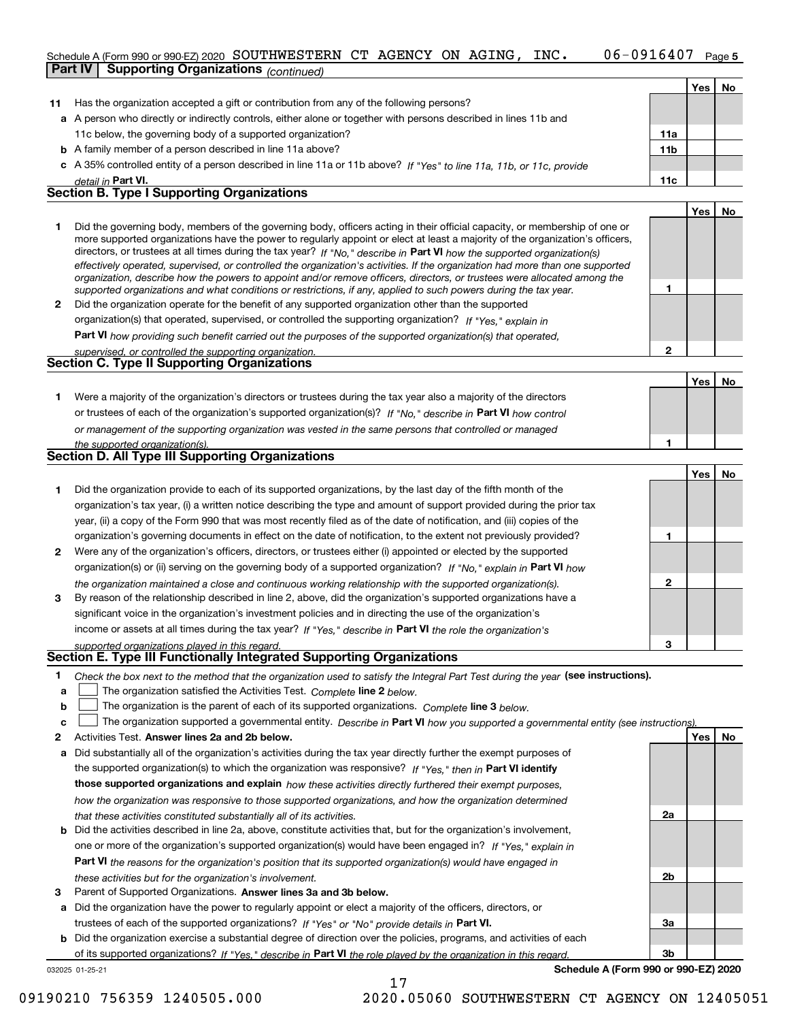#### 06-0916407 Page 5 Schedule A (Form 990 or 990-EZ) 2020 Page SOUTHWESTERN CT AGENCY ON AGING, INC. 06-0916407 **Part IV Supporting Organizations** *(continued)*

|              |                                                                                                                                                                                                                                                                                                                                                                                                                                                                                                                                                                                                                                                                                                                                                                          |                 | Yes l | <b>No</b> |
|--------------|--------------------------------------------------------------------------------------------------------------------------------------------------------------------------------------------------------------------------------------------------------------------------------------------------------------------------------------------------------------------------------------------------------------------------------------------------------------------------------------------------------------------------------------------------------------------------------------------------------------------------------------------------------------------------------------------------------------------------------------------------------------------------|-----------------|-------|-----------|
| 11           | Has the organization accepted a gift or contribution from any of the following persons?                                                                                                                                                                                                                                                                                                                                                                                                                                                                                                                                                                                                                                                                                  |                 |       |           |
|              | a A person who directly or indirectly controls, either alone or together with persons described in lines 11b and                                                                                                                                                                                                                                                                                                                                                                                                                                                                                                                                                                                                                                                         |                 |       |           |
|              | 11c below, the governing body of a supported organization?                                                                                                                                                                                                                                                                                                                                                                                                                                                                                                                                                                                                                                                                                                               | 11a             |       |           |
|              | <b>b</b> A family member of a person described in line 11a above?                                                                                                                                                                                                                                                                                                                                                                                                                                                                                                                                                                                                                                                                                                        | 11 <sub>b</sub> |       |           |
| c.           | A 35% controlled entity of a person described in line 11a or 11b above? If "Yes" to line 11a, 11b, or 11c, provide                                                                                                                                                                                                                                                                                                                                                                                                                                                                                                                                                                                                                                                       |                 |       |           |
|              | detail in Part VI.                                                                                                                                                                                                                                                                                                                                                                                                                                                                                                                                                                                                                                                                                                                                                       | 11c             |       |           |
|              | <b>Section B. Type I Supporting Organizations</b>                                                                                                                                                                                                                                                                                                                                                                                                                                                                                                                                                                                                                                                                                                                        |                 |       |           |
|              |                                                                                                                                                                                                                                                                                                                                                                                                                                                                                                                                                                                                                                                                                                                                                                          |                 | Yes   | <b>No</b> |
|              | Did the governing body, members of the governing body, officers acting in their official capacity, or membership of one or<br>more supported organizations have the power to regularly appoint or elect at least a majority of the organization's officers,<br>directors, or trustees at all times during the tax year? If "No," describe in Part VI how the supported organization(s)<br>effectively operated, supervised, or controlled the organization's activities. If the organization had more than one supported<br>organization, describe how the powers to appoint and/or remove officers, directors, or trustees were allocated among the<br>supported organizations and what conditions or restrictions, if any, applied to such powers during the tax year. |                 |       |           |
| $\mathbf{2}$ | Did the organization operate for the benefit of any supported organization other than the supported                                                                                                                                                                                                                                                                                                                                                                                                                                                                                                                                                                                                                                                                      |                 |       |           |
|              | organization(s) that operated, supervised, or controlled the supporting organization? If "Yes." explain in                                                                                                                                                                                                                                                                                                                                                                                                                                                                                                                                                                                                                                                               |                 |       |           |
|              | <b>Part VI</b> how providing such benefit carried out the purposes of the supported organization(s) that operated,                                                                                                                                                                                                                                                                                                                                                                                                                                                                                                                                                                                                                                                       |                 |       |           |
|              | supervised, or controlled the supporting organization.                                                                                                                                                                                                                                                                                                                                                                                                                                                                                                                                                                                                                                                                                                                   | 2               |       |           |
|              | <b>Section C. Type II Supporting Organizations</b>                                                                                                                                                                                                                                                                                                                                                                                                                                                                                                                                                                                                                                                                                                                       |                 |       |           |
|              |                                                                                                                                                                                                                                                                                                                                                                                                                                                                                                                                                                                                                                                                                                                                                                          |                 | Yes   | No        |
|              |                                                                                                                                                                                                                                                                                                                                                                                                                                                                                                                                                                                                                                                                                                                                                                          |                 |       |           |

**1**or trustees of each of the organization's supported organization(s)? If "No," describe in **Part VI** how control *or management of the supporting organization was vested in the same persons that controlled or managed the supported organization(s).* Were a majority of the organization's directors or trustees during the tax year also a majority of the directors

|              | the supported organization(s).                                                                                         |   |     |
|--------------|------------------------------------------------------------------------------------------------------------------------|---|-----|
|              | <b>Section D. All Type III Supporting Organizations</b>                                                                |   |     |
|              |                                                                                                                        |   | Yes |
|              | Did the organization provide to each of its supported organizations, by the last day of the fifth month of the         |   |     |
|              | organization's tax year, (i) a written notice describing the type and amount of support provided during the prior tax  |   |     |
|              | year, (ii) a copy of the Form 990 that was most recently filed as of the date of notification, and (iii) copies of the |   |     |
|              | organization's governing documents in effect on the date of notification, to the extent not previously provided?       |   |     |
| $\mathbf{2}$ | Were any of the organization's officers, directors, or trustees either (i) appointed or elected by the supported       |   |     |
|              | organization(s) or (ii) serving on the governing body of a supported organization? If "No," explain in Part VI how     |   |     |
|              | the organization maintained a close and continuous working relationship with the supported organization(s).            | ≏ |     |
| 3            | By reason of the relationship described in line 2, above, did the organization's supported organizations have a        |   |     |
|              | significant voice in the organization's investment policies and in directing the use of the organization's             |   |     |

income or assets at all times during the tax year? If "Yes," describe in **Part VI** the role the organization's *supported organizations played in this regard.*

### **Section E. Type III Functionally Integrated Supporting Organizations**

|  | Check the box next to the method that the organization used to satisfy the Integral Part Test during the year (see instructions). |  |  |  |
|--|-----------------------------------------------------------------------------------------------------------------------------------|--|--|--|
|--|-----------------------------------------------------------------------------------------------------------------------------------|--|--|--|

- **a**The organization satisfied the Activities Test. *Complete* line 2 below.  $\mathcal{L}^{\text{max}}$
- **b**The organization is the parent of each of its supported organizations. *Complete* line 3 *below.*  $\mathcal{L}^{\text{max}}$

|  | $\mathbf{c}$ $\Box$ The organization supported a governmental entity. Describe in Part VI how you supported a governmental entity (see instructions). |  |  |
|--|-------------------------------------------------------------------------------------------------------------------------------------------------------|--|--|
|--|-------------------------------------------------------------------------------------------------------------------------------------------------------|--|--|

17

- **2Answer lines 2a and 2b below. Yes No** Activities Test.
- **a** Did substantially all of the organization's activities during the tax year directly further the exempt purposes of the supported organization(s) to which the organization was responsive? If "Yes," then in **Part VI identify those supported organizations and explain**  *how these activities directly furthered their exempt purposes, how the organization was responsive to those supported organizations, and how the organization determined that these activities constituted substantially all of its activities.*
- **b** Did the activities described in line 2a, above, constitute activities that, but for the organization's involvement, **Part VI**  *the reasons for the organization's position that its supported organization(s) would have engaged in* one or more of the organization's supported organization(s) would have been engaged in? If "Yes," e*xplain in these activities but for the organization's involvement.*
- **3** Parent of Supported Organizations. Answer lines 3a and 3b below.

**a** Did the organization have the power to regularly appoint or elect a majority of the officers, directors, or trustees of each of the supported organizations? If "Yes" or "No" provide details in **Part VI.** 

**b** Did the organization exercise a substantial degree of direction over the policies, programs, and activities of each of its supported organizations? If "Yes," describe in Part VI the role played by the organization in this regard.

032025 01-25-21

**Schedule A (Form 990 or 990-EZ) 2020**

**3**

**2a**

**2b**

**3a**

**3b**

**No**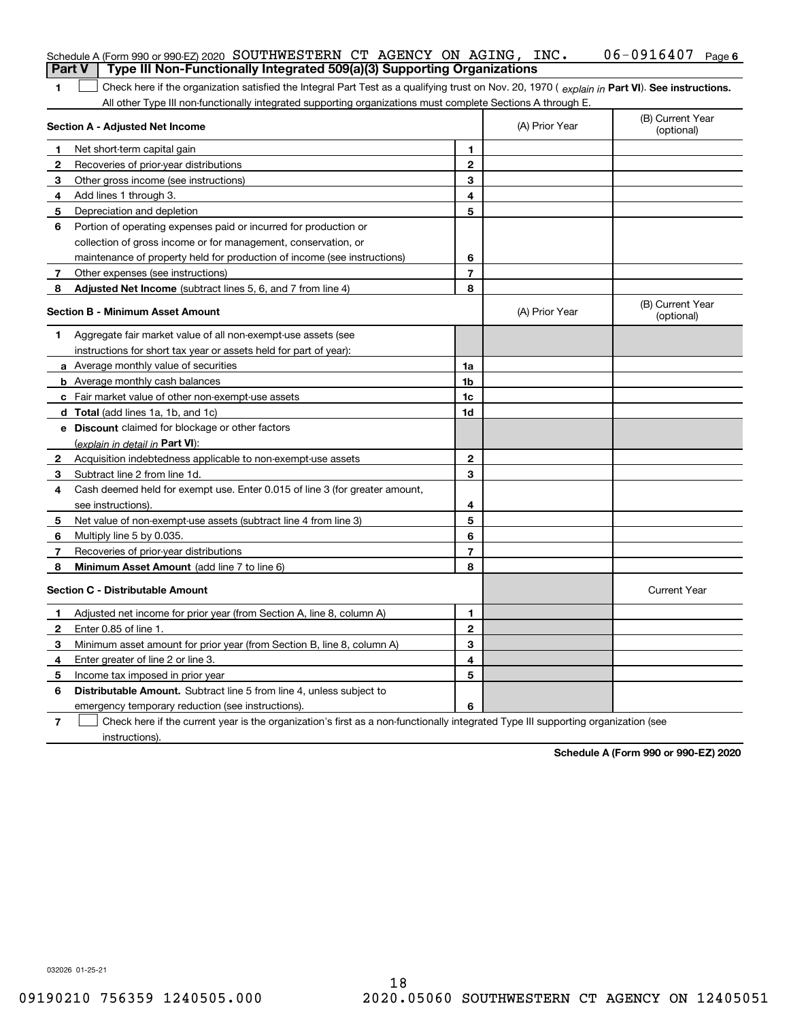|                | Schedule A (Form 990 or 990-EZ) 2020 SOUTHWESTERN CT AGENCY ON AGING, $INC$ .                                                                  |                          |                | $06 - 0916407$ Page 6          |
|----------------|------------------------------------------------------------------------------------------------------------------------------------------------|--------------------------|----------------|--------------------------------|
|                | Type III Non-Functionally Integrated 509(a)(3) Supporting Organizations<br><b>Part V</b>                                                       |                          |                |                                |
| 1              | Check here if the organization satisfied the Integral Part Test as a qualifying trust on Nov. 20, 1970 (explain in Part VI). See instructions. |                          |                |                                |
|                | All other Type III non-functionally integrated supporting organizations must complete Sections A through E.                                    |                          |                |                                |
|                | Section A - Adjusted Net Income                                                                                                                |                          | (A) Prior Year | (B) Current Year<br>(optional) |
| 1              | Net short-term capital gain                                                                                                                    | 1                        |                |                                |
| $\mathbf{2}$   | Recoveries of prior-year distributions                                                                                                         | $\mathbf{2}$             |                |                                |
| 3              | Other gross income (see instructions)                                                                                                          | 3                        |                |                                |
| 4              | Add lines 1 through 3.                                                                                                                         | 4                        |                |                                |
| 5              | Depreciation and depletion                                                                                                                     | 5                        |                |                                |
| 6              | Portion of operating expenses paid or incurred for production or                                                                               |                          |                |                                |
|                | collection of gross income or for management, conservation, or                                                                                 |                          |                |                                |
|                | maintenance of property held for production of income (see instructions)                                                                       | 6                        |                |                                |
| 7              | Other expenses (see instructions)                                                                                                              | $\overline{\phantom{a}}$ |                |                                |
| 8              | Adjusted Net Income (subtract lines 5, 6, and 7 from line 4)                                                                                   | 8                        |                |                                |
|                | <b>Section B - Minimum Asset Amount</b>                                                                                                        |                          | (A) Prior Year | (B) Current Year<br>(optional) |
| 1              | Aggregate fair market value of all non-exempt-use assets (see                                                                                  |                          |                |                                |
|                | instructions for short tax year or assets held for part of year):                                                                              |                          |                |                                |
|                | a Average monthly value of securities                                                                                                          | 1a                       |                |                                |
|                | <b>b</b> Average monthly cash balances                                                                                                         | 1b                       |                |                                |
|                | c Fair market value of other non-exempt-use assets                                                                                             | 1c                       |                |                                |
|                | d Total (add lines 1a, 1b, and 1c)                                                                                                             | 1d                       |                |                                |
|                | e Discount claimed for blockage or other factors                                                                                               |                          |                |                                |
|                | (explain in detail in Part VI):                                                                                                                |                          |                |                                |
| 2              | Acquisition indebtedness applicable to non-exempt-use assets                                                                                   | $\mathbf{2}$             |                |                                |
| 3              | Subtract line 2 from line 1d.                                                                                                                  | 3                        |                |                                |
| 4              | Cash deemed held for exempt use. Enter 0.015 of line 3 (for greater amount,                                                                    |                          |                |                                |
|                | see instructions).                                                                                                                             | 4                        |                |                                |
| 5              | Net value of non-exempt-use assets (subtract line 4 from line 3)                                                                               | 5                        |                |                                |
| 6              | Multiply line 5 by 0.035.                                                                                                                      | 6                        |                |                                |
| 7              | Recoveries of prior-year distributions                                                                                                         | $\overline{\phantom{a}}$ |                |                                |
| 8              | Minimum Asset Amount (add line 7 to line 6)                                                                                                    | 8                        |                |                                |
|                | <b>Section C - Distributable Amount</b>                                                                                                        |                          |                | <b>Current Year</b>            |
| 1.             | Adjusted net income for prior year (from Section A, line 8, column A)                                                                          | 1                        |                |                                |
| 2              | Enter 0.85 of line 1.                                                                                                                          | 2                        |                |                                |
| 3              | Minimum asset amount for prior year (from Section B, line 8, column A)                                                                         | 3                        |                |                                |
| 4              | Enter greater of line 2 or line 3.                                                                                                             | 4                        |                |                                |
| 5              | Income tax imposed in prior year                                                                                                               | 5                        |                |                                |
| 6              | <b>Distributable Amount.</b> Subtract line 5 from line 4, unless subject to                                                                    |                          |                |                                |
|                | emergency temporary reduction (see instructions).                                                                                              | 6                        |                |                                |
| $\overline{7}$ | Check here if the current year is the organization's first as a non-functionally integrated Type III supporting organization (see              |                          |                |                                |

instructions).

**Schedule A (Form 990 or 990-EZ) 2020**

032026 01-25-21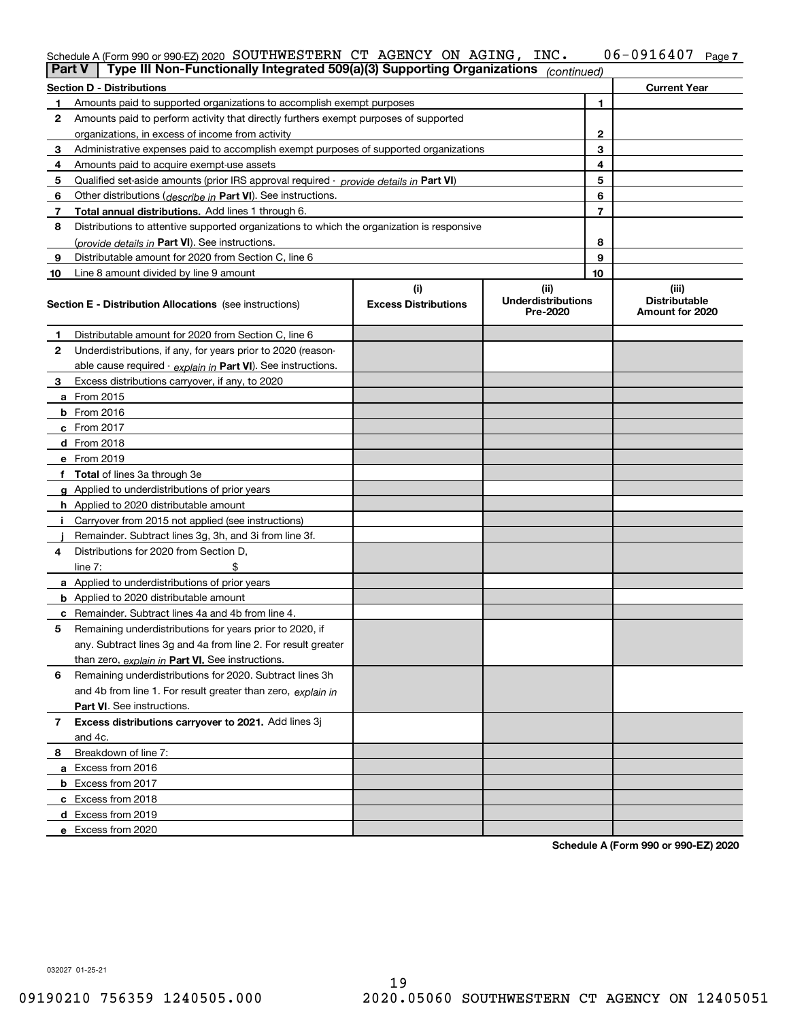#### **7** Schedule A (Form 990 or 990-EZ) 2020 Page SOUTHWESTERN CT AGENCY ON AGING, INC. 06-0916407

|    | Type III Non-Functionally Integrated 509(a)(3) Supporting Organizations<br><b>Part V</b><br>(continued) |                                    |                                               |    |                                                  |  |
|----|---------------------------------------------------------------------------------------------------------|------------------------------------|-----------------------------------------------|----|--------------------------------------------------|--|
|    | <b>Section D - Distributions</b>                                                                        |                                    |                                               |    | <b>Current Year</b>                              |  |
| 1  | Amounts paid to supported organizations to accomplish exempt purposes                                   |                                    |                                               | 1  |                                                  |  |
| 2  | Amounts paid to perform activity that directly furthers exempt purposes of supported                    |                                    |                                               |    |                                                  |  |
|    | organizations, in excess of income from activity                                                        |                                    |                                               |    |                                                  |  |
| 3  | Administrative expenses paid to accomplish exempt purposes of supported organizations                   |                                    |                                               |    |                                                  |  |
| 4  | Amounts paid to acquire exempt-use assets                                                               |                                    |                                               | 4  |                                                  |  |
| 5  | Qualified set-aside amounts (prior IRS approval required - provide details in Part VI)                  |                                    |                                               | 5  |                                                  |  |
| 6  | Other distributions ( <i>describe in</i> Part VI). See instructions.                                    |                                    |                                               | 6  |                                                  |  |
| 7  | Total annual distributions. Add lines 1 through 6.                                                      |                                    |                                               | 7  |                                                  |  |
| 8  | Distributions to attentive supported organizations to which the organization is responsive              |                                    |                                               |    |                                                  |  |
|    | (provide details in Part VI). See instructions.                                                         |                                    |                                               | 8  |                                                  |  |
| 9  | Distributable amount for 2020 from Section C, line 6                                                    |                                    |                                               | 9  |                                                  |  |
| 10 | Line 8 amount divided by line 9 amount                                                                  |                                    |                                               | 10 |                                                  |  |
|    | <b>Section E - Distribution Allocations</b> (see instructions)                                          | (i)<br><b>Excess Distributions</b> | (ii)<br><b>Underdistributions</b><br>Pre-2020 |    | (iii)<br><b>Distributable</b><br>Amount for 2020 |  |
| 1  | Distributable amount for 2020 from Section C, line 6                                                    |                                    |                                               |    |                                                  |  |
| 2  | Underdistributions, if any, for years prior to 2020 (reason-                                            |                                    |                                               |    |                                                  |  |
|    | able cause required - explain in Part VI). See instructions.                                            |                                    |                                               |    |                                                  |  |
| 3  | Excess distributions carryover, if any, to 2020                                                         |                                    |                                               |    |                                                  |  |
|    | a From 2015                                                                                             |                                    |                                               |    |                                                  |  |
|    | <b>b</b> From 2016                                                                                      |                                    |                                               |    |                                                  |  |
|    | c From $2017$                                                                                           |                                    |                                               |    |                                                  |  |
|    | d From 2018                                                                                             |                                    |                                               |    |                                                  |  |
|    | e From 2019                                                                                             |                                    |                                               |    |                                                  |  |
|    | f Total of lines 3a through 3e                                                                          |                                    |                                               |    |                                                  |  |
|    | g Applied to underdistributions of prior years                                                          |                                    |                                               |    |                                                  |  |
|    | <b>h</b> Applied to 2020 distributable amount                                                           |                                    |                                               |    |                                                  |  |
|    | Carryover from 2015 not applied (see instructions)                                                      |                                    |                                               |    |                                                  |  |
|    | Remainder. Subtract lines 3g, 3h, and 3i from line 3f.                                                  |                                    |                                               |    |                                                  |  |
| 4  | Distributions for 2020 from Section D,                                                                  |                                    |                                               |    |                                                  |  |
|    | line $7:$                                                                                               |                                    |                                               |    |                                                  |  |
|    | a Applied to underdistributions of prior years                                                          |                                    |                                               |    |                                                  |  |
|    | <b>b</b> Applied to 2020 distributable amount                                                           |                                    |                                               |    |                                                  |  |
|    | c Remainder. Subtract lines 4a and 4b from line 4.                                                      |                                    |                                               |    |                                                  |  |
| 5. | Remaining underdistributions for years prior to 2020, if                                                |                                    |                                               |    |                                                  |  |
|    | any. Subtract lines 3g and 4a from line 2. For result greater                                           |                                    |                                               |    |                                                  |  |
|    | than zero, explain in Part VI. See instructions.                                                        |                                    |                                               |    |                                                  |  |
| 6  | Remaining underdistributions for 2020. Subtract lines 3h                                                |                                    |                                               |    |                                                  |  |
|    | and 4b from line 1. For result greater than zero, explain in                                            |                                    |                                               |    |                                                  |  |
|    | Part VI. See instructions.                                                                              |                                    |                                               |    |                                                  |  |
| 7  | Excess distributions carryover to 2021. Add lines 3j                                                    |                                    |                                               |    |                                                  |  |
|    | and 4c.                                                                                                 |                                    |                                               |    |                                                  |  |
| 8  | Breakdown of line 7:                                                                                    |                                    |                                               |    |                                                  |  |
|    | a Excess from 2016                                                                                      |                                    |                                               |    |                                                  |  |
|    | <b>b</b> Excess from 2017                                                                               |                                    |                                               |    |                                                  |  |
|    | c Excess from 2018                                                                                      |                                    |                                               |    |                                                  |  |
|    | d Excess from 2019                                                                                      |                                    |                                               |    |                                                  |  |
|    | e Excess from 2020                                                                                      |                                    |                                               |    |                                                  |  |

**Schedule A (Form 990 or 990-EZ) 2020**

032027 01-25-21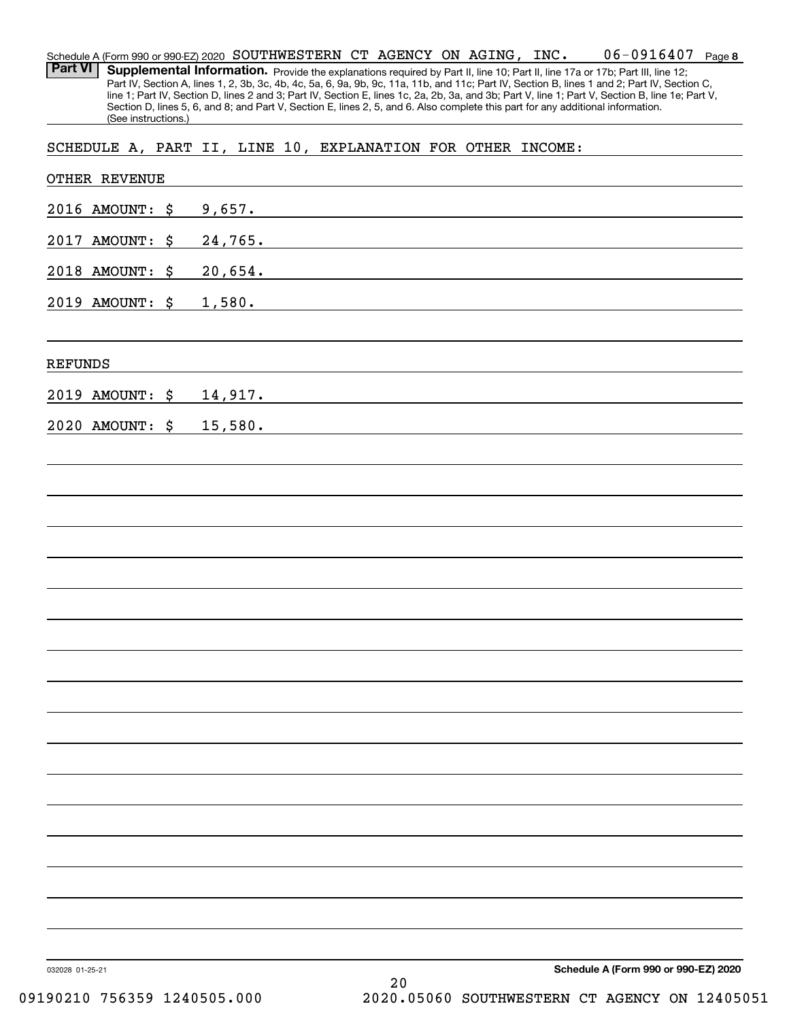**8**06-0916407 Schedule A (Form 990 or 990-EZ) 2020 Page SOUTHWESTERN CT AGENCY ON AGING, INC. Part VI | Supplemental Information. Provide the explanations required by Part II, line 10; Part II, line 17a or 17b; Part III, line 12; Part IV, Section A, lines 1, 2, 3b, 3c, 4b, 4c, 5a, 6, 9a, 9b, 9c, 11a, 11b, and 11c; Part IV, Section B, lines 1 and 2; Part IV, Section C, line 1; Part IV, Section D, lines 2 and 3; Part IV, Section E, lines 1c, 2a, 2b, 3a, and 3b; Part V, line 1; Part V, Section B, line 1e; Part V, Section D, lines 5, 6, and 8; and Part V, Section E, lines 2, 5, and 6. Also complete this part for any additional information. (See instructions.) OTHER REVENUE 2016 AMOUNT: \$ 9,657. 2017 AMOUNT: \$ 24,765. 2018 AMOUNT: \$ 20,654. 2019 AMOUNT: \$ 1,580. REFUNDS 2019 AMOUNT: \$ 14,917. 2020 AMOUNT: \$ 15,580. SCHEDULE A, PART II, LINE 10, EXPLANATION FOR OTHER INCOME: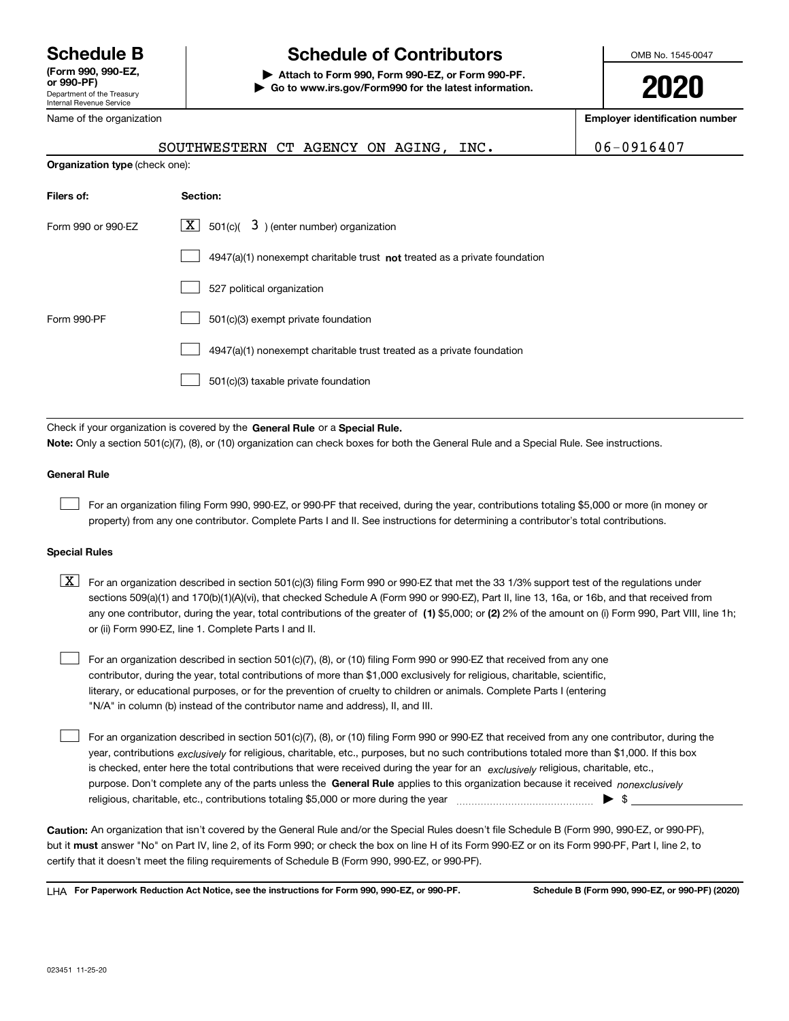Department of the Treasury Internal Revenue Service **(Form 990, 990-EZ, or 990-PF)** Name of the organization

# **Schedule B Schedule of Contributors**

**| Attach to Form 990, Form 990-EZ, or Form 990-PF. | Go to www.irs.gov/Form990 for the latest information.** OMB No. 1545-0047

**2020**

**Employer identification number**

|                                | SOUTHWESTERN CT AGENCY ON AGING, INC.                                     | 06-0916407 |
|--------------------------------|---------------------------------------------------------------------------|------------|
| Organization type (check one): |                                                                           |            |
| Filers of:                     | Section:                                                                  |            |
| Form 990 or 990-EZ             | $\lfloor x \rfloor$ 501(c)( 3) (enter number) organization                |            |
|                                | 4947(a)(1) nonexempt charitable trust not treated as a private foundation |            |
|                                | 527 political organization                                                |            |
| Form 990-PF                    | 501(c)(3) exempt private foundation                                       |            |
|                                | 4947(a)(1) nonexempt charitable trust treated as a private foundation     |            |
|                                | 501(c)(3) taxable private foundation                                      |            |

Check if your organization is covered by the **General Rule** or a **Special Rule. Note:**  Only a section 501(c)(7), (8), or (10) organization can check boxes for both the General Rule and a Special Rule. See instructions.

#### **General Rule**

 $\mathcal{L}^{\text{max}}$ 

For an organization filing Form 990, 990-EZ, or 990-PF that received, during the year, contributions totaling \$5,000 or more (in money or property) from any one contributor. Complete Parts I and II. See instructions for determining a contributor's total contributions.

#### **Special Rules**

any one contributor, during the year, total contributions of the greater of  $\,$  (1) \$5,000; or **(2)** 2% of the amount on (i) Form 990, Part VIII, line 1h;  $\boxed{\textbf{X}}$  For an organization described in section 501(c)(3) filing Form 990 or 990-EZ that met the 33 1/3% support test of the regulations under sections 509(a)(1) and 170(b)(1)(A)(vi), that checked Schedule A (Form 990 or 990-EZ), Part II, line 13, 16a, or 16b, and that received from or (ii) Form 990-EZ, line 1. Complete Parts I and II.

For an organization described in section 501(c)(7), (8), or (10) filing Form 990 or 990-EZ that received from any one contributor, during the year, total contributions of more than \$1,000 exclusively for religious, charitable, scientific, literary, or educational purposes, or for the prevention of cruelty to children or animals. Complete Parts I (entering "N/A" in column (b) instead of the contributor name and address), II, and III.  $\mathcal{L}^{\text{max}}$ 

purpose. Don't complete any of the parts unless the **General Rule** applies to this organization because it received *nonexclusively* year, contributions <sub>exclusively</sub> for religious, charitable, etc., purposes, but no such contributions totaled more than \$1,000. If this box is checked, enter here the total contributions that were received during the year for an  $\;$ exclusively religious, charitable, etc., For an organization described in section 501(c)(7), (8), or (10) filing Form 990 or 990-EZ that received from any one contributor, during the religious, charitable, etc., contributions totaling \$5,000 or more during the year  $\Box$ — $\Box$  =  $\Box$  $\mathcal{L}^{\text{max}}$ 

**Caution:**  An organization that isn't covered by the General Rule and/or the Special Rules doesn't file Schedule B (Form 990, 990-EZ, or 990-PF),  **must** but it answer "No" on Part IV, line 2, of its Form 990; or check the box on line H of its Form 990-EZ or on its Form 990-PF, Part I, line 2, to certify that it doesn't meet the filing requirements of Schedule B (Form 990, 990-EZ, or 990-PF).

**For Paperwork Reduction Act Notice, see the instructions for Form 990, 990-EZ, or 990-PF. Schedule B (Form 990, 990-EZ, or 990-PF) (2020)** LHA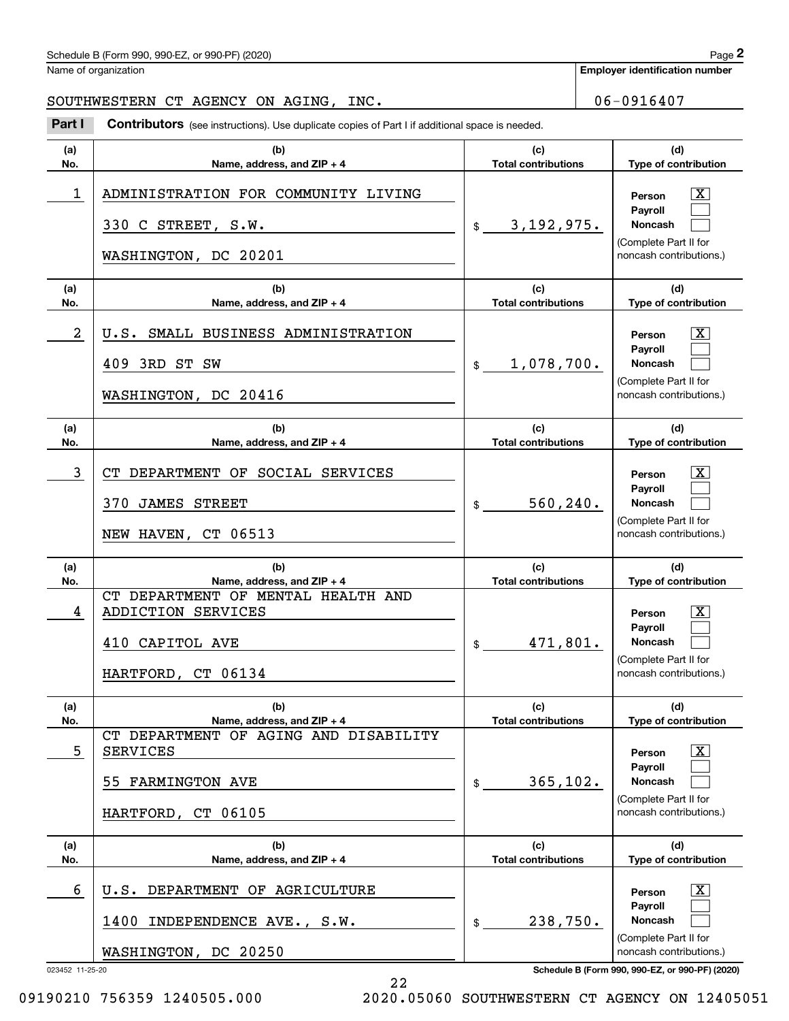## Schedule B (Form 990, 990-EZ, or 990-PF) (2020) Page 2

Name of organization

**Employer identification number**

### SOUTHWESTERN CT AGENCY ON AGING, INC. 06-0916407

Chedule B (Form 990, 990-EZ, or 990-PF) (2020)<br>
lame of organization<br> **2000 THWESTERN CT AGENCY ON AGING, INC.**<br> **2000 Part I Contributors** (see instructions). Use duplicate copies of Part I if additional space is needed

| (a)<br>No.           | (b)<br>Name, address, and $ZIP + 4$                                                                 | (c)<br><b>Total contributions</b> | (d)<br>Type of contribution                                                                                                                                |
|----------------------|-----------------------------------------------------------------------------------------------------|-----------------------------------|------------------------------------------------------------------------------------------------------------------------------------------------------------|
| 1                    | ADMINISTRATION FOR COMMUNITY LIVING<br>330 C STREET, S.W.<br>WASHINGTON, DC 20201                   | $\frac{1}{2}$ 3, 192, 975.        | ΙX<br>Person<br>Pavroll<br>Noncash<br>(Complete Part II for<br>noncash contributions.)                                                                     |
| (a)<br>No.           | (b)<br>Name, address, and $ZIP + 4$                                                                 | (c)<br><b>Total contributions</b> | (d)<br>Type of contribution                                                                                                                                |
| 2                    | U.S. SMALL BUSINESS ADMINISTRATION<br>409 3RD ST SW<br>WASHINGTON, DC 20416                         | 1,078,700.<br>$\frac{1}{2}$       | ΙX<br>Person<br>Payroll<br>Noncash<br>(Complete Part II for<br>noncash contributions.)                                                                     |
| (a)<br>No.           | (b)<br>Name, address, and $ZIP + 4$                                                                 | (c)<br><b>Total contributions</b> | (d)<br>Type of contribution                                                                                                                                |
| 3                    | CT DEPARTMENT OF SOCIAL SERVICES<br>370 JAMES STREET<br>NEW HAVEN, CT 06513                         | 560, 240.<br>\$                   | ΙX<br>Person<br>Payroll<br>Noncash<br>(Complete Part II for<br>noncash contributions.)                                                                     |
| (a)                  | (b)<br>Name, address, and ZIP + 4                                                                   | (c)<br><b>Total contributions</b> | (d)                                                                                                                                                        |
| No.<br>4             | CT DEPARTMENT OF MENTAL HEALTH AND<br>ADDICTION SERVICES<br>410 CAPITOL AVE<br>HARTFORD, CT 06134   | 471,801.<br>$\frac{1}{2}$         | Type of contribution<br>ΙX<br>Person<br>Payroll<br><b>Noncash</b><br>(Complete Part II for<br>noncash contributions.)                                      |
| (a)<br>No.           | (b)<br>Name, address, and ZIP + 4                                                                   | (c)<br><b>Total contributions</b> | (d)<br>Type of contribution                                                                                                                                |
| 5                    | CT DEPARTMENT OF AGING AND DISABILITY<br><b>SERVICES</b><br>55 FARMINGTON AVE<br>HARTFORD, CT 06105 | 365, 102.<br>$\frac{1}{2}$        | $\mathbf{X}$<br>Person<br>Payroll<br>Noncash<br>(Complete Part II for<br>noncash contributions.)                                                           |
| (a)<br>No.           | (b)<br>Name, address, and $ZIP + 4$                                                                 | (c)<br><b>Total contributions</b> | (d)<br>Type of contribution                                                                                                                                |
| 6<br>023452 11-25-20 | DEPARTMENT OF AGRICULTURE<br>U.S.<br>INDEPENDENCE AVE., S.W.<br>1400<br>WASHINGTON, DC 20250        | 238,750.<br>$\frac{1}{2}$         | $\lfloor x \rfloor$<br>Person<br>Payroll<br>Noncash<br>(Complete Part II for<br>noncash contributions.)<br>Schedule B (Form 990, 990-EZ, or 990-PF) (2020) |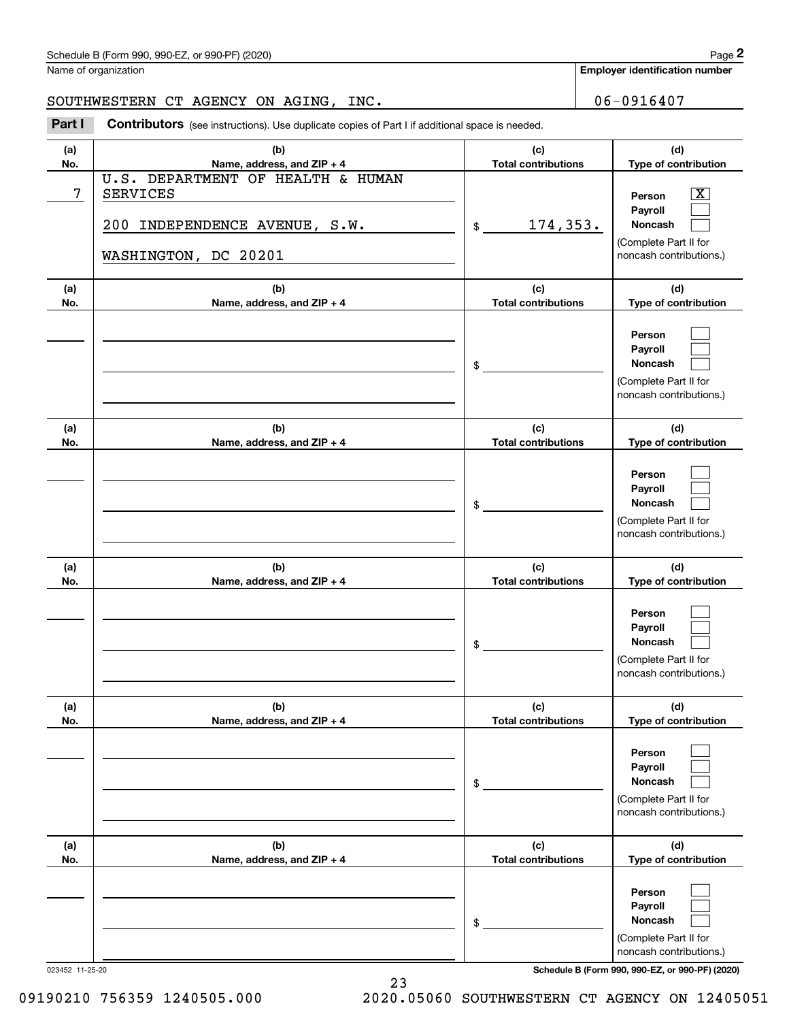Name of organization

**Employer identification number**

## SOUTHWESTERN CT AGENCY ON AGING, INC. 06-0916407

Chedule B (Form 990, 990-EZ, or 990-PF) (2020)<br>
lame of organization<br> **2000 THWESTERN CT AGENCY ON AGING, INC.**<br> **2000 Part I Contributors** (see instructions). Use duplicate copies of Part I if additional space is needed

| (a)<br>No. | (b)<br>Name, address, and ZIP + 4                                                                             | (c)<br><b>Total contributions</b> | (d)<br>Type of contribution                                                                      |
|------------|---------------------------------------------------------------------------------------------------------------|-----------------------------------|--------------------------------------------------------------------------------------------------|
| 7          | U.S. DEPARTMENT OF HEALTH & HUMAN<br><b>SERVICES</b><br>200 INDEPENDENCE AVENUE, S.W.<br>WASHINGTON, DC 20201 | <u>174,353.</u><br>$\mathfrak s$  | $\mathbf{X}$<br>Person<br>Payroll<br>Noncash<br>(Complete Part II for<br>noncash contributions.) |
| (a)<br>No. | (b)<br>Name, address, and ZIP + 4                                                                             | (c)<br><b>Total contributions</b> | (d)<br>Type of contribution                                                                      |
|            |                                                                                                               | \$                                | Person<br>Payroll<br>Noncash<br>(Complete Part II for<br>noncash contributions.)                 |
| (a)<br>No. | (b)<br>Name, address, and ZIP + 4                                                                             | (c)<br><b>Total contributions</b> | (d)<br>Type of contribution                                                                      |
|            |                                                                                                               | \$                                | Person<br>Payroll<br>Noncash<br>(Complete Part II for<br>noncash contributions.)                 |
| (a)<br>No. | (b)<br>Name, address, and ZIP + 4                                                                             | (c)<br><b>Total contributions</b> | (d)<br>Type of contribution                                                                      |
|            |                                                                                                               | \$                                | Person<br>Payroll<br>Noncash<br>(Complete Part II for<br>noncash contributions.)                 |
| (a)<br>No. | (b)<br>Name, address, and ZIP + 4                                                                             | (c)<br><b>Total contributions</b> | (d)<br>Type of contribution                                                                      |
|            |                                                                                                               | \$                                | Person<br>Payroll<br>Noncash<br>(Complete Part II for<br>noncash contributions.)                 |
| (a)<br>No. | (b)<br>Name, address, and ZIP + 4                                                                             | (c)<br><b>Total contributions</b> | (d)<br>Type of contribution                                                                      |
|            |                                                                                                               | \$                                | Person<br>Payroll<br>Noncash<br>(Complete Part II for<br>noncash contributions.)                 |

023452 11-25-20 **Schedule B (Form 990, 990-EZ, or 990-PF) (2020)**

09190210 756359 1240505.000 2020.05060 SOUTHWESTERN CT AGENCY ON 12405051

23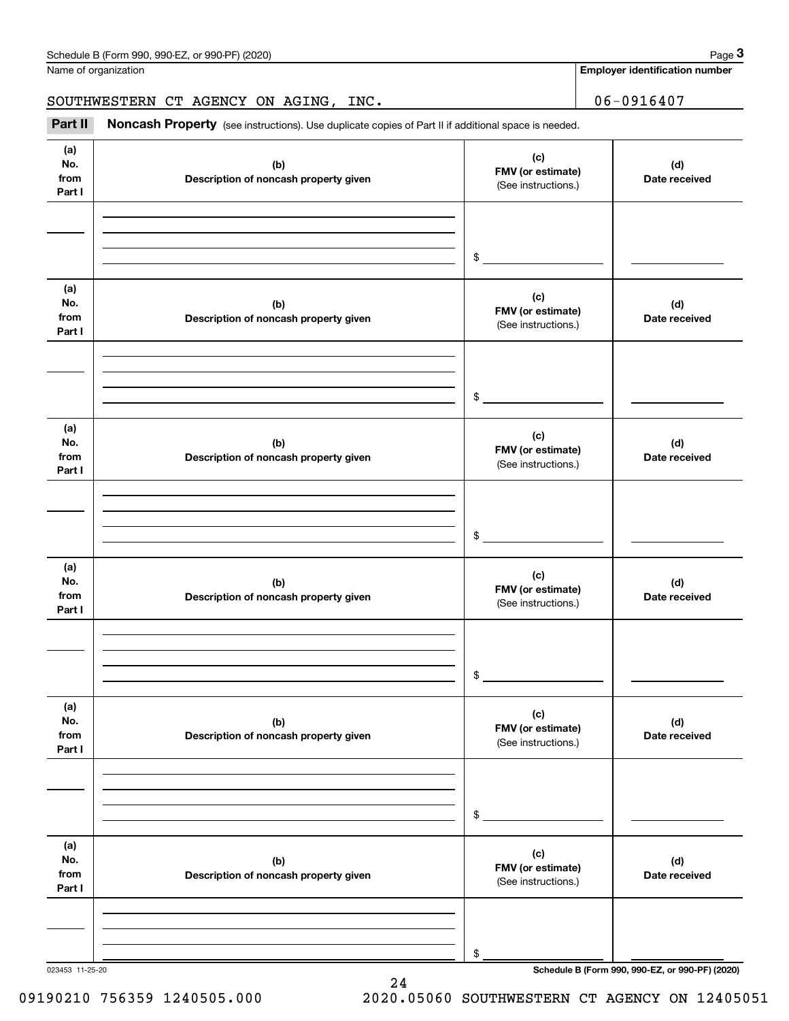|                              | Schedule B (Form 990, 990-EZ, or 990-PF) (2020)                                                     |                                                 | Page 3                                |  |
|------------------------------|-----------------------------------------------------------------------------------------------------|-------------------------------------------------|---------------------------------------|--|
|                              | Name of organization                                                                                |                                                 | <b>Employer identification number</b> |  |
|                              | SOUTHWESTERN CT AGENCY ON AGING, INC.                                                               |                                                 | $06 - 0916407$                        |  |
| Part II                      | Noncash Property (see instructions). Use duplicate copies of Part II if additional space is needed. |                                                 |                                       |  |
| (a)<br>No.<br>from<br>Part I | (b)<br>Description of noncash property given                                                        | (c)<br>FMV (or estimate)<br>(See instructions.) | (d)<br>Date received                  |  |
|                              |                                                                                                     | \$                                              |                                       |  |
| (a)<br>No.<br>from<br>Part I | (b)<br>Description of noncash property given                                                        | (c)<br>FMV (or estimate)<br>(See instructions.) | (d)<br>Date received                  |  |
|                              |                                                                                                     | \$                                              |                                       |  |
| (a)<br>No.<br>from<br>Part I | (b)<br>Description of noncash property given                                                        | (c)<br>FMV (or estimate)<br>(See instructions.) | (d)<br>Date received                  |  |
|                              |                                                                                                     | \$                                              |                                       |  |
| (a)<br>No.<br>from<br>Part I | (b)<br>Description of noncash property given                                                        | (c)<br>FMV (or estimate)<br>(See instructions.) | (d)<br>Date received                  |  |
|                              |                                                                                                     | $\mathsf{\$}$                                   |                                       |  |
| (a)<br>No.<br>from<br>Part I | (b)<br>Description of noncash property given                                                        | (c)<br>FMV (or estimate)<br>(See instructions.) | (d)<br>Date received                  |  |
|                              |                                                                                                     | \$                                              |                                       |  |
| (a)<br>No.<br>from<br>Part I | (b)<br>Description of noncash property given                                                        | (c)<br>FMV (or estimate)<br>(See instructions.) | (d)<br>Date received                  |  |
|                              |                                                                                                     | \$                                              |                                       |  |

24

023453 11-25-20 **Schedule B (Form 990, 990-EZ, or 990-PF) (2020)**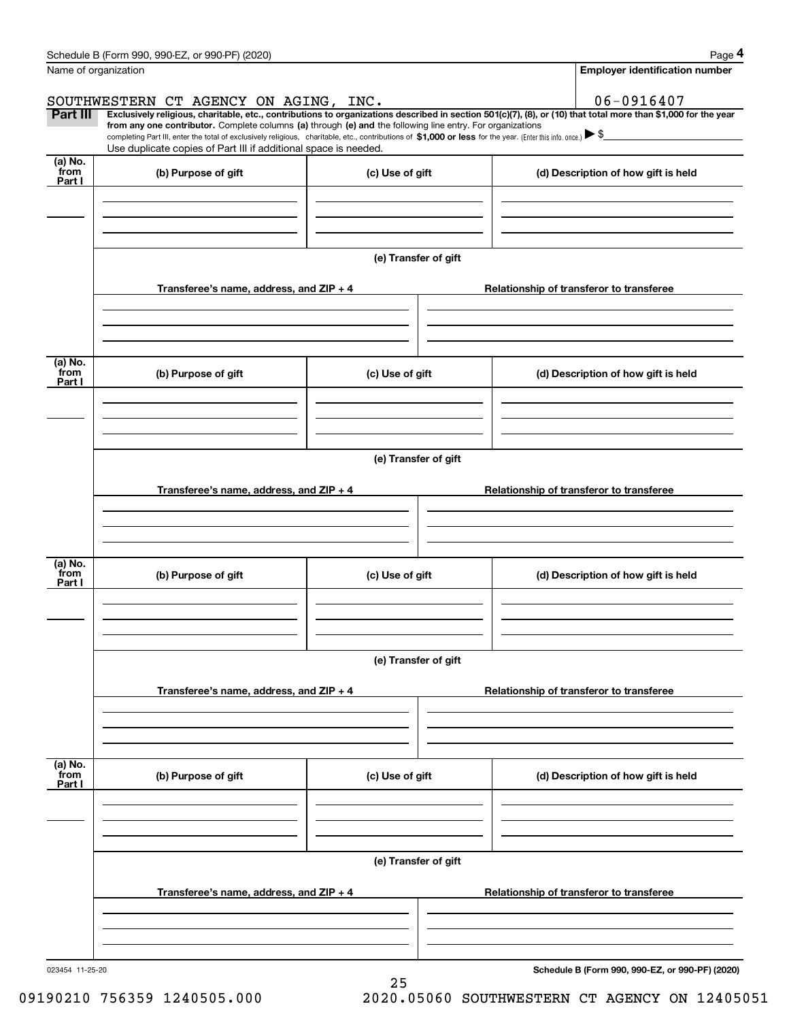|                           | Schedule B (Form 990, 990-EZ, or 990-PF) (2020)                                                                                                                                                                                                                              |                      | Page 4                                          |  |  |
|---------------------------|------------------------------------------------------------------------------------------------------------------------------------------------------------------------------------------------------------------------------------------------------------------------------|----------------------|-------------------------------------------------|--|--|
|                           | Name of organization                                                                                                                                                                                                                                                         |                      | <b>Employer identification number</b>           |  |  |
|                           | SOUTHWESTERN CT AGENCY ON AGING, INC.                                                                                                                                                                                                                                        |                      | 06-0916407                                      |  |  |
| Part III                  | Exclusively religious, charitable, etc., contributions to organizations described in section 501(c)(7), (8), or (10) that total more than \$1,000 for the year<br>from any one contributor. Complete columns (a) through (e) and the following line entry. For organizations |                      |                                                 |  |  |
|                           | completing Part III, enter the total of exclusively religious, charitable, etc., contributions of \$1,000 or less for the year. (Enter this info. once.) \\$<br>Use duplicate copies of Part III if additional space is needed.                                              |                      |                                                 |  |  |
| (a) No.<br>from<br>Part I | (b) Purpose of gift                                                                                                                                                                                                                                                          | (c) Use of gift      | (d) Description of how gift is held             |  |  |
|                           |                                                                                                                                                                                                                                                                              |                      |                                                 |  |  |
|                           |                                                                                                                                                                                                                                                                              |                      |                                                 |  |  |
|                           |                                                                                                                                                                                                                                                                              | (e) Transfer of gift |                                                 |  |  |
|                           | Transferee's name, address, and ZIP + 4                                                                                                                                                                                                                                      |                      | Relationship of transferor to transferee        |  |  |
|                           |                                                                                                                                                                                                                                                                              |                      |                                                 |  |  |
|                           |                                                                                                                                                                                                                                                                              |                      |                                                 |  |  |
| (a) No.                   |                                                                                                                                                                                                                                                                              |                      |                                                 |  |  |
| from<br>Part I            | (b) Purpose of gift                                                                                                                                                                                                                                                          | (c) Use of gift      | (d) Description of how gift is held             |  |  |
|                           |                                                                                                                                                                                                                                                                              |                      |                                                 |  |  |
|                           |                                                                                                                                                                                                                                                                              |                      |                                                 |  |  |
|                           |                                                                                                                                                                                                                                                                              | (e) Transfer of gift |                                                 |  |  |
|                           |                                                                                                                                                                                                                                                                              |                      |                                                 |  |  |
|                           | Transferee's name, address, and ZIP + 4                                                                                                                                                                                                                                      |                      | Relationship of transferor to transferee        |  |  |
|                           |                                                                                                                                                                                                                                                                              |                      |                                                 |  |  |
|                           |                                                                                                                                                                                                                                                                              |                      |                                                 |  |  |
| (a) No.<br>from<br>Part I | (b) Purpose of gift                                                                                                                                                                                                                                                          | (c) Use of gift      | (d) Description of how gift is held             |  |  |
|                           |                                                                                                                                                                                                                                                                              |                      |                                                 |  |  |
|                           |                                                                                                                                                                                                                                                                              |                      |                                                 |  |  |
|                           |                                                                                                                                                                                                                                                                              | (e) Transfer of gift |                                                 |  |  |
|                           |                                                                                                                                                                                                                                                                              |                      |                                                 |  |  |
|                           | Transferee's name, address, and ZIP + 4                                                                                                                                                                                                                                      |                      | Relationship of transferor to transferee        |  |  |
|                           |                                                                                                                                                                                                                                                                              |                      |                                                 |  |  |
|                           |                                                                                                                                                                                                                                                                              |                      |                                                 |  |  |
| (a) No.<br>from<br>Part I | (b) Purpose of gift                                                                                                                                                                                                                                                          | (c) Use of gift      | (d) Description of how gift is held             |  |  |
|                           |                                                                                                                                                                                                                                                                              |                      |                                                 |  |  |
|                           |                                                                                                                                                                                                                                                                              |                      |                                                 |  |  |
|                           |                                                                                                                                                                                                                                                                              |                      |                                                 |  |  |
|                           |                                                                                                                                                                                                                                                                              | (e) Transfer of gift |                                                 |  |  |
|                           | Transferee's name, address, and ZIP + 4                                                                                                                                                                                                                                      |                      | Relationship of transferor to transferee        |  |  |
|                           |                                                                                                                                                                                                                                                                              |                      |                                                 |  |  |
|                           |                                                                                                                                                                                                                                                                              |                      |                                                 |  |  |
| 023454 11-25-20           |                                                                                                                                                                                                                                                                              |                      | Schedule B (Form 990, 990-EZ, or 990-PF) (2020) |  |  |
|                           |                                                                                                                                                                                                                                                                              | 25                   |                                                 |  |  |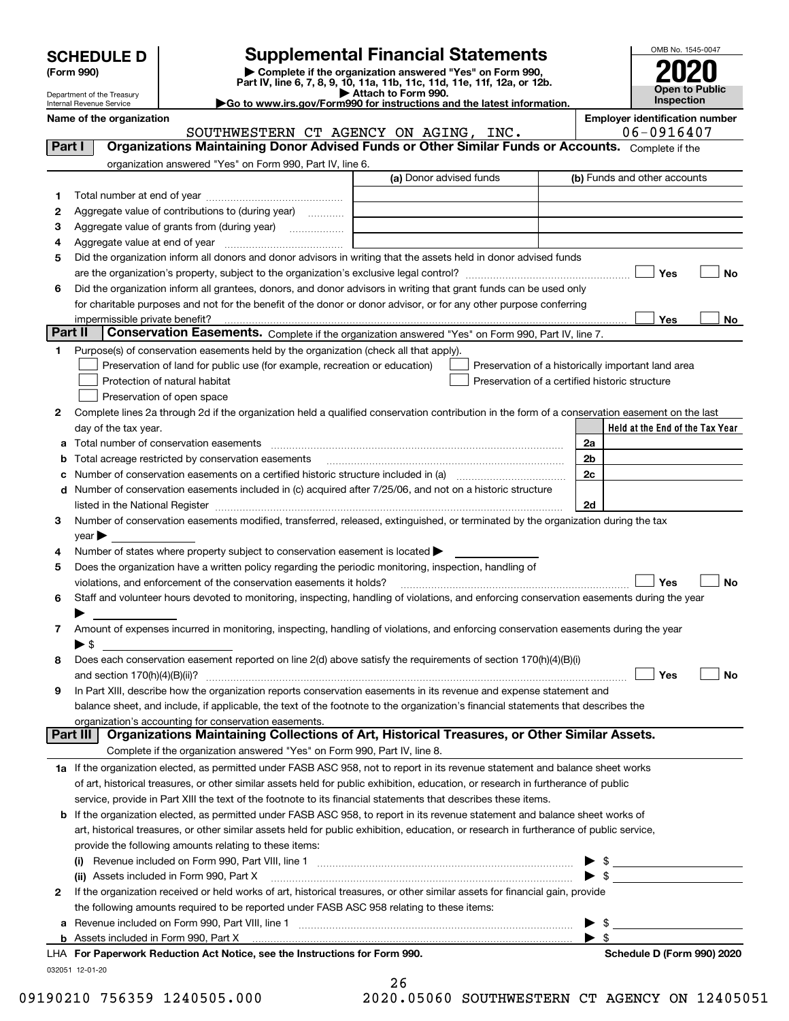|  | <b>SCHEDULE D</b> |  |  |  |
|--|-------------------|--|--|--|
|--|-------------------|--|--|--|

# **Supplemental Financial Statements**

(Form 990)<br>
Pepartment of the Treasury<br>
Department of the Treasury<br>
Department of the Treasury<br>
Department of the Treasury<br> **Co to www.irs.gov/Form990 for instructions and the latest information.**<br> **Co to www.irs.gov/Form9** 



Department of the Treasury Internal Revenue Service

**Name of the organization**<br>SOUTHERSTERN CT AGENCY ON AGENG TNC 06-0916407

|         | SOUTHWESTERN CT AGENCY ON AGING, INC.                                                                                                                                | 06-0916407                                         |
|---------|----------------------------------------------------------------------------------------------------------------------------------------------------------------------|----------------------------------------------------|
| Part I  | Organizations Maintaining Donor Advised Funds or Other Similar Funds or Accounts. Complete if the                                                                    |                                                    |
|         | organization answered "Yes" on Form 990, Part IV, line 6.                                                                                                            |                                                    |
|         | (a) Donor advised funds                                                                                                                                              | (b) Funds and other accounts                       |
| 1       |                                                                                                                                                                      |                                                    |
| 2       | Aggregate value of contributions to (during year)                                                                                                                    |                                                    |
| з       | Aggregate value of grants from (during year)                                                                                                                         |                                                    |
| 4       |                                                                                                                                                                      |                                                    |
| 5       | Did the organization inform all donors and donor advisors in writing that the assets held in donor advised funds                                                     |                                                    |
|         |                                                                                                                                                                      | Yes<br>No                                          |
| 6       | Did the organization inform all grantees, donors, and donor advisors in writing that grant funds can be used only                                                    |                                                    |
|         | for charitable purposes and not for the benefit of the donor or donor advisor, or for any other purpose conferring                                                   |                                                    |
|         | impermissible private benefit?                                                                                                                                       | Yes<br>No                                          |
| Part II | Conservation Easements. Complete if the organization answered "Yes" on Form 990, Part IV, line 7.                                                                    |                                                    |
| 1       | Purpose(s) of conservation easements held by the organization (check all that apply).                                                                                |                                                    |
|         | Preservation of land for public use (for example, recreation or education)                                                                                           | Preservation of a historically important land area |
|         | Protection of natural habitat                                                                                                                                        | Preservation of a certified historic structure     |
|         | Preservation of open space                                                                                                                                           |                                                    |
| 2       | Complete lines 2a through 2d if the organization held a qualified conservation contribution in the form of a conservation easement on the last                       |                                                    |
|         | day of the tax year.                                                                                                                                                 | Held at the End of the Tax Year                    |
| a       |                                                                                                                                                                      | 2a                                                 |
|         | Total acreage restricted by conservation easements<br>Number of conservation easements on a certified historic structure included in (a) manufacture included in (a) | 2b<br>2c                                           |
|         | Number of conservation easements included in (c) acquired after 7/25/06, and not on a historic structure                                                             |                                                    |
| d       |                                                                                                                                                                      | 2d                                                 |
| 3       | Number of conservation easements modified, transferred, released, extinguished, or terminated by the organization during the tax                                     |                                                    |
|         | year                                                                                                                                                                 |                                                    |
| 4       | Number of states where property subject to conservation easement is located >                                                                                        |                                                    |
| 5       | Does the organization have a written policy regarding the periodic monitoring, inspection, handling of                                                               |                                                    |
|         | violations, and enforcement of the conservation easements it holds?                                                                                                  | Yes<br>No                                          |
| 6       | Staff and volunteer hours devoted to monitoring, inspecting, handling of violations, and enforcing conservation easements during the year                            |                                                    |
|         |                                                                                                                                                                      |                                                    |
| 7       | Amount of expenses incurred in monitoring, inspecting, handling of violations, and enforcing conservation easements during the year                                  |                                                    |
|         | ► \$                                                                                                                                                                 |                                                    |
| 8       | Does each conservation easement reported on line 2(d) above satisfy the requirements of section 170(h)(4)(B)(i)                                                      |                                                    |
|         |                                                                                                                                                                      | Yes<br>No                                          |
| 9       | In Part XIII, describe how the organization reports conservation easements in its revenue and expense statement and                                                  |                                                    |
|         | balance sheet, and include, if applicable, the text of the footnote to the organization's financial statements that describes the                                    |                                                    |
|         | organization's accounting for conservation easements.                                                                                                                |                                                    |
|         | Organizations Maintaining Collections of Art, Historical Treasures, or Other Similar Assets.<br>Part III                                                             |                                                    |
|         | Complete if the organization answered "Yes" on Form 990, Part IV, line 8.                                                                                            |                                                    |
|         | 1a If the organization elected, as permitted under FASB ASC 958, not to report in its revenue statement and balance sheet works                                      |                                                    |
|         | of art, historical treasures, or other similar assets held for public exhibition, education, or research in furtherance of public                                    |                                                    |
|         | service, provide in Part XIII the text of the footnote to its financial statements that describes these items.                                                       |                                                    |
| b       | If the organization elected, as permitted under FASB ASC 958, to report in its revenue statement and balance sheet works of                                          |                                                    |
|         | art, historical treasures, or other similar assets held for public exhibition, education, or research in furtherance of public service,                              |                                                    |
|         | provide the following amounts relating to these items:                                                                                                               |                                                    |
|         | (ii) Assets included in Form 990, Part X                                                                                                                             | $\blacktriangleright$ \$                           |
| 2       | If the organization received or held works of art, historical treasures, or other similar assets for financial gain, provide                                         |                                                    |
|         | the following amounts required to be reported under FASB ASC 958 relating to these items:                                                                            |                                                    |
| а       |                                                                                                                                                                      | - \$                                               |
| b       |                                                                                                                                                                      | $\blacktriangleright$ s                            |
|         |                                                                                                                                                                      |                                                    |

032051 12-01-20 **For Paperwork Reduction Act Notice, see the Instructions for Form 990. Schedule D (Form 990) 2020** LHA

| Schedule D (Form 990) 2020 |  |  |
|----------------------------|--|--|
|                            |  |  |

26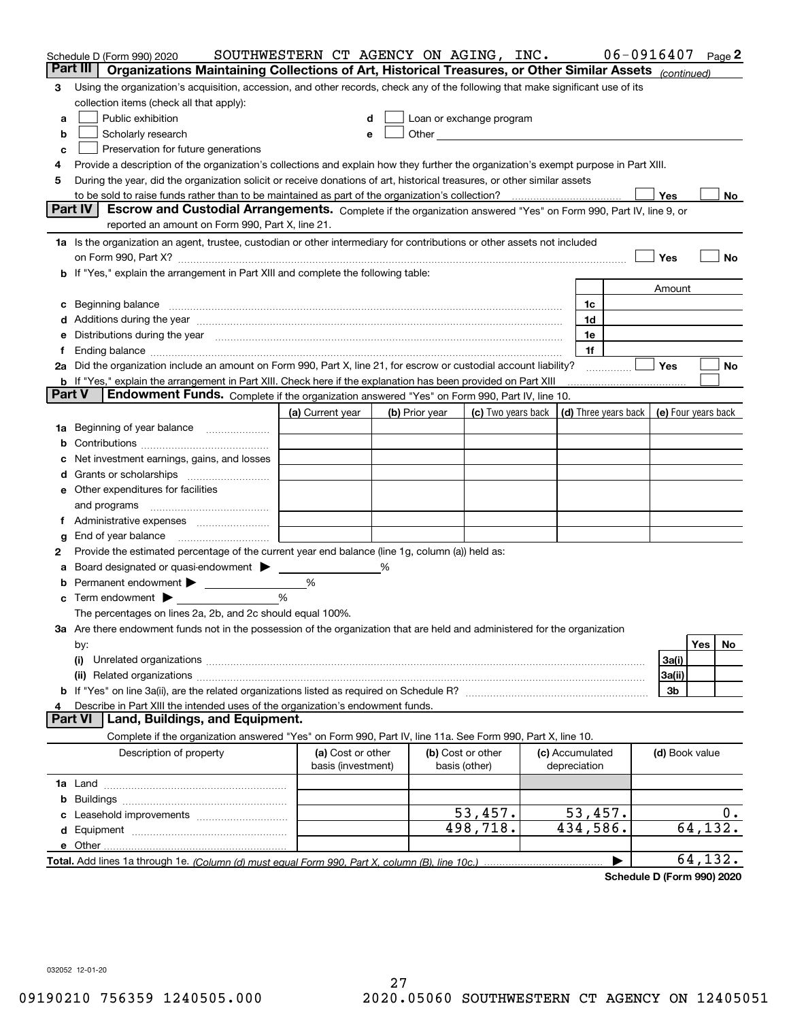|        | Schedule D (Form 990) 2020                                                                                                                                                                                                     | SOUTHWESTERN CT AGENCY ON AGING, INC.   |   |                |                                                                                                                                                                                                                                |                                 | 06-0916407 |                     |          | Page 2 |
|--------|--------------------------------------------------------------------------------------------------------------------------------------------------------------------------------------------------------------------------------|-----------------------------------------|---|----------------|--------------------------------------------------------------------------------------------------------------------------------------------------------------------------------------------------------------------------------|---------------------------------|------------|---------------------|----------|--------|
|        | Organizations Maintaining Collections of Art, Historical Treasures, or Other Similar Assets (continued)<br>Part III                                                                                                            |                                         |   |                |                                                                                                                                                                                                                                |                                 |            |                     |          |        |
| 3      | Using the organization's acquisition, accession, and other records, check any of the following that make significant use of its                                                                                                |                                         |   |                |                                                                                                                                                                                                                                |                                 |            |                     |          |        |
|        | collection items (check all that apply):                                                                                                                                                                                       |                                         |   |                |                                                                                                                                                                                                                                |                                 |            |                     |          |        |
| a      | Public exhibition                                                                                                                                                                                                              |                                         |   |                | Loan or exchange program                                                                                                                                                                                                       |                                 |            |                     |          |        |
| b      | Scholarly research                                                                                                                                                                                                             | е                                       |   |                | Other and the control of the control of the control of the control of the control of the control of the control of the control of the control of the control of the control of the control of the control of the control of th |                                 |            |                     |          |        |
| c      | Preservation for future generations                                                                                                                                                                                            |                                         |   |                |                                                                                                                                                                                                                                |                                 |            |                     |          |        |
| 4      | Provide a description of the organization's collections and explain how they further the organization's exempt purpose in Part XIII.                                                                                           |                                         |   |                |                                                                                                                                                                                                                                |                                 |            |                     |          |        |
| 5      | During the year, did the organization solicit or receive donations of art, historical treasures, or other similar assets                                                                                                       |                                         |   |                |                                                                                                                                                                                                                                |                                 |            |                     |          |        |
|        |                                                                                                                                                                                                                                |                                         |   |                |                                                                                                                                                                                                                                |                                 |            | Yes                 |          | No     |
|        | <b>Part IV</b><br>Escrow and Custodial Arrangements. Complete if the organization answered "Yes" on Form 990, Part IV, line 9, or                                                                                              |                                         |   |                |                                                                                                                                                                                                                                |                                 |            |                     |          |        |
|        | reported an amount on Form 990, Part X, line 21.                                                                                                                                                                               |                                         |   |                |                                                                                                                                                                                                                                |                                 |            |                     |          |        |
|        | 1a Is the organization an agent, trustee, custodian or other intermediary for contributions or other assets not included                                                                                                       |                                         |   |                |                                                                                                                                                                                                                                |                                 |            |                     |          |        |
|        |                                                                                                                                                                                                                                |                                         |   |                |                                                                                                                                                                                                                                |                                 |            | Yes                 |          | No     |
|        | b If "Yes," explain the arrangement in Part XIII and complete the following table:                                                                                                                                             |                                         |   |                |                                                                                                                                                                                                                                |                                 |            |                     |          |        |
|        |                                                                                                                                                                                                                                |                                         |   |                |                                                                                                                                                                                                                                |                                 |            | Amount              |          |        |
|        |                                                                                                                                                                                                                                |                                         |   |                |                                                                                                                                                                                                                                | 1c                              |            |                     |          |        |
|        | Additions during the year manufactured and an anti-manufactured and the year manufactured and all the year manufactured and all the year manufactured and all the year manufactured and all the year manufactured and all the  |                                         |   |                |                                                                                                                                                                                                                                | 1d                              |            |                     |          |        |
|        | Distributions during the year manufactured and continuum control of the year manufactured and control of the year manufactured and control of the year manufactured and control of the year manufactured and control of the ye |                                         |   |                |                                                                                                                                                                                                                                | 1e                              |            |                     |          |        |
|        |                                                                                                                                                                                                                                |                                         |   |                |                                                                                                                                                                                                                                | 1f                              |            |                     |          |        |
|        | 2a Did the organization include an amount on Form 990, Part X, line 21, for escrow or custodial account liability?                                                                                                             |                                         |   |                |                                                                                                                                                                                                                                |                                 |            | Yes                 |          | No     |
| Part V | <b>b</b> If "Yes," explain the arrangement in Part XIII. Check here if the explanation has been provided on Part XIII<br>Endowment Funds. Complete if the organization answered "Yes" on Form 990, Part IV, line 10.           |                                         |   |                |                                                                                                                                                                                                                                |                                 |            |                     |          |        |
|        |                                                                                                                                                                                                                                |                                         |   |                |                                                                                                                                                                                                                                |                                 |            |                     |          |        |
|        |                                                                                                                                                                                                                                | (a) Current year                        |   | (b) Prior year | (c) Two years back                                                                                                                                                                                                             | (d) Three years back            |            | (e) Four years back |          |        |
| 1a     | Beginning of year balance                                                                                                                                                                                                      |                                         |   |                |                                                                                                                                                                                                                                |                                 |            |                     |          |        |
|        |                                                                                                                                                                                                                                |                                         |   |                |                                                                                                                                                                                                                                |                                 |            |                     |          |        |
|        | Net investment earnings, gains, and losses                                                                                                                                                                                     |                                         |   |                |                                                                                                                                                                                                                                |                                 |            |                     |          |        |
|        | Other expenditures for facilities                                                                                                                                                                                              |                                         |   |                |                                                                                                                                                                                                                                |                                 |            |                     |          |        |
| е      |                                                                                                                                                                                                                                |                                         |   |                |                                                                                                                                                                                                                                |                                 |            |                     |          |        |
|        | and programs                                                                                                                                                                                                                   |                                         |   |                |                                                                                                                                                                                                                                |                                 |            |                     |          |        |
|        | End of year balance                                                                                                                                                                                                            |                                         |   |                |                                                                                                                                                                                                                                |                                 |            |                     |          |        |
| g<br>2 | Provide the estimated percentage of the current year end balance (line 1g, column (a)) held as:                                                                                                                                |                                         |   |                |                                                                                                                                                                                                                                |                                 |            |                     |          |        |
|        | Board designated or quasi-endowment                                                                                                                                                                                            |                                         | % |                |                                                                                                                                                                                                                                |                                 |            |                     |          |        |
|        | Permanent endowment >                                                                                                                                                                                                          | %                                       |   |                |                                                                                                                                                                                                                                |                                 |            |                     |          |        |
| с      | Term endowment $\blacktriangleright$                                                                                                                                                                                           | %                                       |   |                |                                                                                                                                                                                                                                |                                 |            |                     |          |        |
|        | The percentages on lines 2a, 2b, and 2c should equal 100%.                                                                                                                                                                     |                                         |   |                |                                                                                                                                                                                                                                |                                 |            |                     |          |        |
|        | 3a Are there endowment funds not in the possession of the organization that are held and administered for the organization                                                                                                     |                                         |   |                |                                                                                                                                                                                                                                |                                 |            |                     |          |        |
|        | by:                                                                                                                                                                                                                            |                                         |   |                |                                                                                                                                                                                                                                |                                 |            |                     | Yes      | No     |
|        | (i)                                                                                                                                                                                                                            |                                         |   |                |                                                                                                                                                                                                                                |                                 |            | 3a(i)               |          |        |
|        |                                                                                                                                                                                                                                |                                         |   |                |                                                                                                                                                                                                                                |                                 |            | 3a(ii)              |          |        |
|        |                                                                                                                                                                                                                                |                                         |   |                |                                                                                                                                                                                                                                |                                 |            | 3b                  |          |        |
|        | Describe in Part XIII the intended uses of the organization's endowment funds.                                                                                                                                                 |                                         |   |                |                                                                                                                                                                                                                                |                                 |            |                     |          |        |
|        | Land, Buildings, and Equipment.<br>Part VI                                                                                                                                                                                     |                                         |   |                |                                                                                                                                                                                                                                |                                 |            |                     |          |        |
|        | Complete if the organization answered "Yes" on Form 990, Part IV, line 11a. See Form 990, Part X, line 10.                                                                                                                     |                                         |   |                |                                                                                                                                                                                                                                |                                 |            |                     |          |        |
|        | Description of property                                                                                                                                                                                                        | (a) Cost or other<br>basis (investment) |   |                | (b) Cost or other<br>basis (other)                                                                                                                                                                                             | (c) Accumulated<br>depreciation |            | (d) Book value      |          |        |
|        |                                                                                                                                                                                                                                |                                         |   |                |                                                                                                                                                                                                                                |                                 |            |                     |          |        |
| b      |                                                                                                                                                                                                                                |                                         |   |                |                                                                                                                                                                                                                                |                                 |            |                     |          |        |
|        |                                                                                                                                                                                                                                |                                         |   |                | 53,457.                                                                                                                                                                                                                        | 53,457.                         |            |                     |          | 0.     |
| d      |                                                                                                                                                                                                                                |                                         |   |                | 498,718.                                                                                                                                                                                                                       | 434,586.                        |            |                     | 64, 132. |        |
|        | e Other                                                                                                                                                                                                                        |                                         |   |                |                                                                                                                                                                                                                                |                                 |            |                     |          |        |
|        |                                                                                                                                                                                                                                |                                         |   |                |                                                                                                                                                                                                                                |                                 |            |                     | 64, 132. |        |

**Schedule D (Form 990) 2020**

032052 12-01-20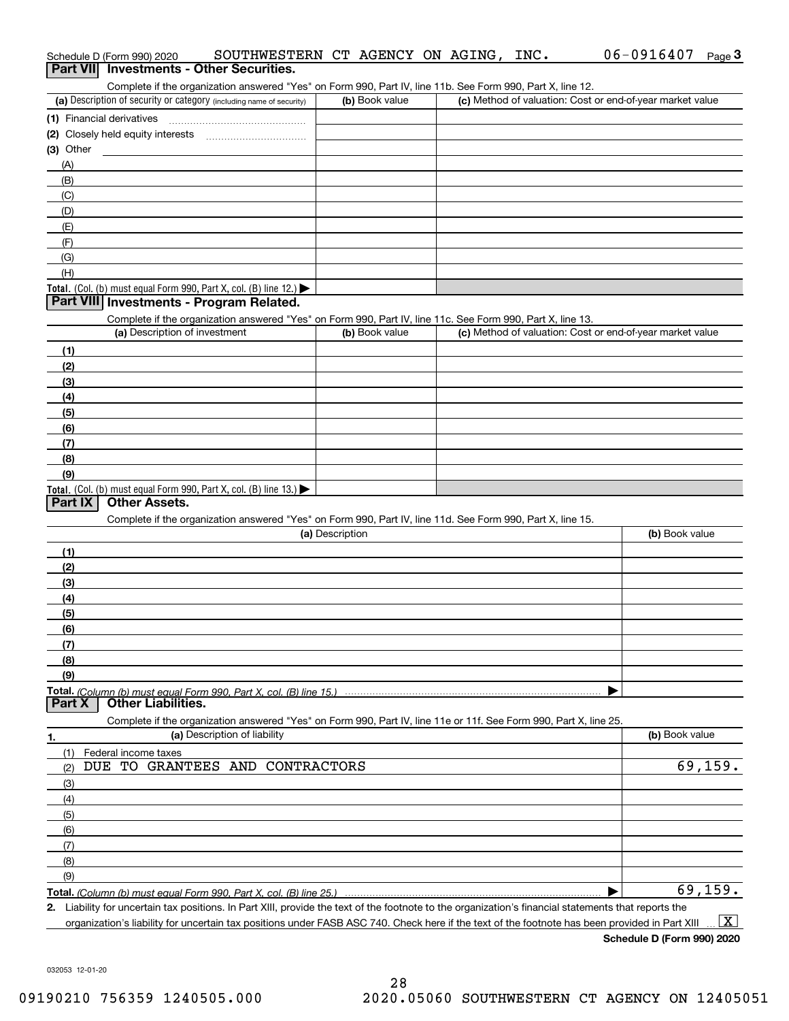|             | Schedule D (Form 990) 2020               | SOUTHWESTERN CT AGENCY ON AGING, INC.                                                                             |                 |                |  | 06-0916407                                                                                                                                           | Page $3$           |
|-------------|------------------------------------------|-------------------------------------------------------------------------------------------------------------------|-----------------|----------------|--|------------------------------------------------------------------------------------------------------------------------------------------------------|--------------------|
|             | Part VII Investments - Other Securities. |                                                                                                                   |                 |                |  |                                                                                                                                                      |                    |
|             |                                          | Complete if the organization answered "Yes" on Form 990, Part IV, line 11b. See Form 990, Part X, line 12.        |                 |                |  | (c) Method of valuation: Cost or end-of-year market value                                                                                            |                    |
|             |                                          | (a) Description of security or category (including name of security)                                              |                 | (b) Book value |  |                                                                                                                                                      |                    |
|             |                                          |                                                                                                                   |                 |                |  |                                                                                                                                                      |                    |
| $(3)$ Other |                                          | (2) Closely held equity interests [11] [2] Closely held equity interests                                          |                 |                |  |                                                                                                                                                      |                    |
| (A)         |                                          |                                                                                                                   |                 |                |  |                                                                                                                                                      |                    |
| (B)         |                                          |                                                                                                                   |                 |                |  |                                                                                                                                                      |                    |
| (C)         |                                          |                                                                                                                   |                 |                |  |                                                                                                                                                      |                    |
| (D)         |                                          |                                                                                                                   |                 |                |  |                                                                                                                                                      |                    |
| (E)         |                                          |                                                                                                                   |                 |                |  |                                                                                                                                                      |                    |
| (F)         |                                          |                                                                                                                   |                 |                |  |                                                                                                                                                      |                    |
| (G)         |                                          |                                                                                                                   |                 |                |  |                                                                                                                                                      |                    |
| (H)         |                                          |                                                                                                                   |                 |                |  |                                                                                                                                                      |                    |
|             |                                          | Total. (Col. (b) must equal Form 990, Part X, col. (B) line 12.)                                                  |                 |                |  |                                                                                                                                                      |                    |
|             |                                          | Part VIII Investments - Program Related.                                                                          |                 |                |  |                                                                                                                                                      |                    |
|             |                                          | Complete if the organization answered "Yes" on Form 990, Part IV, line 11c. See Form 990, Part X, line 13.        |                 |                |  |                                                                                                                                                      |                    |
|             | (a) Description of investment            |                                                                                                                   |                 | (b) Book value |  | (c) Method of valuation: Cost or end-of-year market value                                                                                            |                    |
| (1)         |                                          |                                                                                                                   |                 |                |  |                                                                                                                                                      |                    |
| (2)         |                                          |                                                                                                                   |                 |                |  |                                                                                                                                                      |                    |
| (3)<br>(4)  |                                          |                                                                                                                   |                 |                |  |                                                                                                                                                      |                    |
| (5)         |                                          |                                                                                                                   |                 |                |  |                                                                                                                                                      |                    |
| (6)         |                                          |                                                                                                                   |                 |                |  |                                                                                                                                                      |                    |
| (7)         |                                          |                                                                                                                   |                 |                |  |                                                                                                                                                      |                    |
| (8)         |                                          |                                                                                                                   |                 |                |  |                                                                                                                                                      |                    |
| (9)         |                                          |                                                                                                                   |                 |                |  |                                                                                                                                                      |                    |
|             |                                          | Total. (Col. (b) must equal Form 990, Part X, col. (B) line 13.)                                                  |                 |                |  |                                                                                                                                                      |                    |
| Part IX     | <b>Other Assets.</b>                     |                                                                                                                   |                 |                |  |                                                                                                                                                      |                    |
|             |                                          | Complete if the organization answered "Yes" on Form 990, Part IV, line 11d. See Form 990, Part X, line 15.        |                 |                |  |                                                                                                                                                      |                    |
|             |                                          |                                                                                                                   | (a) Description |                |  | (b) Book value                                                                                                                                       |                    |
| (1)         |                                          |                                                                                                                   |                 |                |  |                                                                                                                                                      |                    |
| (2)         |                                          |                                                                                                                   |                 |                |  |                                                                                                                                                      |                    |
| (3)         |                                          |                                                                                                                   |                 |                |  |                                                                                                                                                      |                    |
| (4)         |                                          |                                                                                                                   |                 |                |  |                                                                                                                                                      |                    |
| (5)<br>(6)  |                                          |                                                                                                                   |                 |                |  |                                                                                                                                                      |                    |
| (7)         |                                          |                                                                                                                   |                 |                |  |                                                                                                                                                      |                    |
| (8)         |                                          |                                                                                                                   |                 |                |  |                                                                                                                                                      |                    |
| (9)         |                                          |                                                                                                                   |                 |                |  |                                                                                                                                                      |                    |
|             |                                          |                                                                                                                   |                 |                |  |                                                                                                                                                      |                    |
| Part X      | <b>Other Liabilities.</b>                |                                                                                                                   |                 |                |  |                                                                                                                                                      |                    |
|             |                                          | Complete if the organization answered "Yes" on Form 990, Part IV, line 11e or 11f. See Form 990, Part X, line 25. |                 |                |  |                                                                                                                                                      |                    |
| 1.          |                                          | (a) Description of liability                                                                                      |                 |                |  | (b) Book value                                                                                                                                       |                    |
| (1)         | Federal income taxes                     |                                                                                                                   |                 |                |  |                                                                                                                                                      |                    |
| (2)         |                                          | DUE TO GRANTEES AND CONTRACTORS                                                                                   |                 |                |  | 69, 159.                                                                                                                                             |                    |
| (3)         |                                          |                                                                                                                   |                 |                |  |                                                                                                                                                      |                    |
| (4)         |                                          |                                                                                                                   |                 |                |  |                                                                                                                                                      |                    |
| (5)         |                                          |                                                                                                                   |                 |                |  |                                                                                                                                                      |                    |
| (6)         |                                          |                                                                                                                   |                 |                |  |                                                                                                                                                      |                    |
| (7)         |                                          |                                                                                                                   |                 |                |  |                                                                                                                                                      |                    |
| (8)<br>(9)  |                                          |                                                                                                                   |                 |                |  |                                                                                                                                                      |                    |
|             |                                          |                                                                                                                   |                 |                |  | 69, 159.                                                                                                                                             |                    |
|             |                                          |                                                                                                                   |                 |                |  | 2. Liability for uncertain tax positions. In Part XIII, provide the text of the footnote to the organization's financial statements that reports the |                    |
|             |                                          |                                                                                                                   |                 |                |  | organization's liability for uncertain tax positions under FASB ASC 740. Check here if the text of the footnote has been provided in Part XIII       | $\boxed{\text{X}}$ |

**Schedule D (Form 990) 2020**

06-0916407 Page 3

032053 12-01-20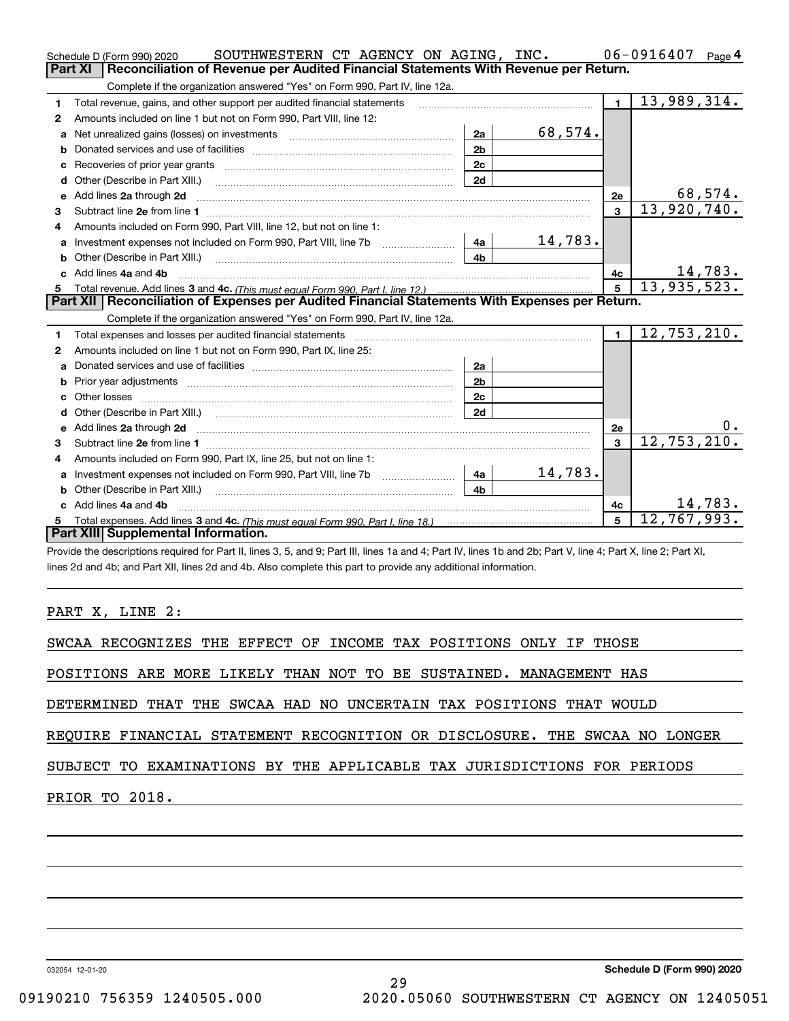|    | SOUTHWESTERN CT AGENCY ON AGING, INC.<br>Schedule D (Form 990) 2020                                                                                                                                                                  |                |         |                | $06 - 0916407$<br>Page 4     |
|----|--------------------------------------------------------------------------------------------------------------------------------------------------------------------------------------------------------------------------------------|----------------|---------|----------------|------------------------------|
|    | Reconciliation of Revenue per Audited Financial Statements With Revenue per Return.<br><b>Part XI</b>                                                                                                                                |                |         |                |                              |
|    | Complete if the organization answered "Yes" on Form 990, Part IV, line 12a.                                                                                                                                                          |                |         |                |                              |
| 1  | Total revenue, gains, and other support per audited financial statements                                                                                                                                                             |                |         | $\blacksquare$ | $\overline{13,989,314}$ .    |
| 2  | Amounts included on line 1 but not on Form 990, Part VIII, line 12:                                                                                                                                                                  |                |         |                |                              |
| a  |                                                                                                                                                                                                                                      | 2a             | 68,574. |                |                              |
|    |                                                                                                                                                                                                                                      | 2 <sub>b</sub> |         |                |                              |
| c  | Recoveries of prior year grants [11] Recoveries of prior year grants [11] Recoveries of prior year grants                                                                                                                            | 2c             |         |                |                              |
| d  | Other (Describe in Part XIII.) <b>Construction Contract Construction</b> [                                                                                                                                                           | 2d             |         |                |                              |
| е  | Add lines 2a through 2d                                                                                                                                                                                                              |                |         | 2e             | 68,574.                      |
| 3  |                                                                                                                                                                                                                                      |                |         | $\mathbf{3}$   | 13,920,740.                  |
| 4  | Amounts included on Form 990, Part VIII, line 12, but not on line 1:                                                                                                                                                                 |                |         |                |                              |
|    | Investment expenses not included on Form 990, Part VIII, line 7b [100] [100] [4a]                                                                                                                                                    |                | 14,783. |                |                              |
|    |                                                                                                                                                                                                                                      | 4 <sub>h</sub> |         |                |                              |
| c. | Add lines 4a and 4b                                                                                                                                                                                                                  |                |         | 4с             | $\frac{14,783}{13,935,523.}$ |
|    |                                                                                                                                                                                                                                      |                |         | $\overline{5}$ |                              |
|    |                                                                                                                                                                                                                                      |                |         |                |                              |
|    | Part XII   Reconciliation of Expenses per Audited Financial Statements With Expenses per Return.                                                                                                                                     |                |         |                |                              |
|    | Complete if the organization answered "Yes" on Form 990, Part IV, line 12a.                                                                                                                                                          |                |         |                |                              |
| 1  | Total expenses and losses per audited financial statements [11] [12] manuscription and contract the statements [13] manuscription and the statements [13] manuscription and the statements and the statements and the statemen       |                |         | $\mathbf{1}$   | 12,753,210.                  |
| 2  | Amounts included on line 1 but not on Form 990, Part IX, line 25:                                                                                                                                                                    |                |         |                |                              |
| a  |                                                                                                                                                                                                                                      | 2a             |         |                |                              |
|    | Prior year adjustments <i>www.www.www.www.www.www.www.www.www.</i> ww.                                                                                                                                                               | 2 <sub>b</sub> |         |                |                              |
|    |                                                                                                                                                                                                                                      | 2c             |         |                |                              |
|    |                                                                                                                                                                                                                                      | 2d             |         |                |                              |
|    | Add lines 2a through 2d <b>contained a contained a contained a contained a contained a contained a contained a contained a contact a contact a contact a contact a contact a contact a contact a contact a contact a contact a c</b> |                |         | 2e             | 0.                           |
| 3  |                                                                                                                                                                                                                                      |                |         | $\mathbf{a}$   | 12, 753, 210.                |
| 4  | Amounts included on Form 990, Part IX, line 25, but not on line 1:                                                                                                                                                                   |                |         |                |                              |
|    |                                                                                                                                                                                                                                      |                | 14,783. |                |                              |
| b  |                                                                                                                                                                                                                                      | 4b             |         |                |                              |
|    | c Add lines 4a and 4b                                                                                                                                                                                                                |                |         | 4c             | 14,783.                      |
|    | Part XIII Supplemental Information.                                                                                                                                                                                                  |                |         | 5              | 12,767,993.                  |

Provide the descriptions required for Part II, lines 3, 5, and 9; Part III, lines 1a and 4; Part IV, lines 1b and 2b; Part V, line 4; Part X, line 2; Part XI, lines 2d and 4b; and Part XII, lines 2d and 4b. Also complete this part to provide any additional information.

PART X, LINE 2:

SWCAA RECOGNIZES THE EFFECT OF INCOME TAX POSITIONS ONLY IF THOSE

POSITIONS ARE MORE LIKELY THAN NOT TO BE SUSTAINED. MANAGEMENT HAS

DETERMINED THAT THE SWCAA HAD NO UNCERTAIN TAX POSITIONS THAT WOULD

REQUIRE FINANCIAL STATEMENT RECOGNITION OR DISCLOSURE. THE SWCAA NO LONGER

29

### SUBJECT TO EXAMINATIONS BY THE APPLICABLE TAX JURISDICTIONS FOR PERIODS

PRIOR TO 2018.

032054 12-01-20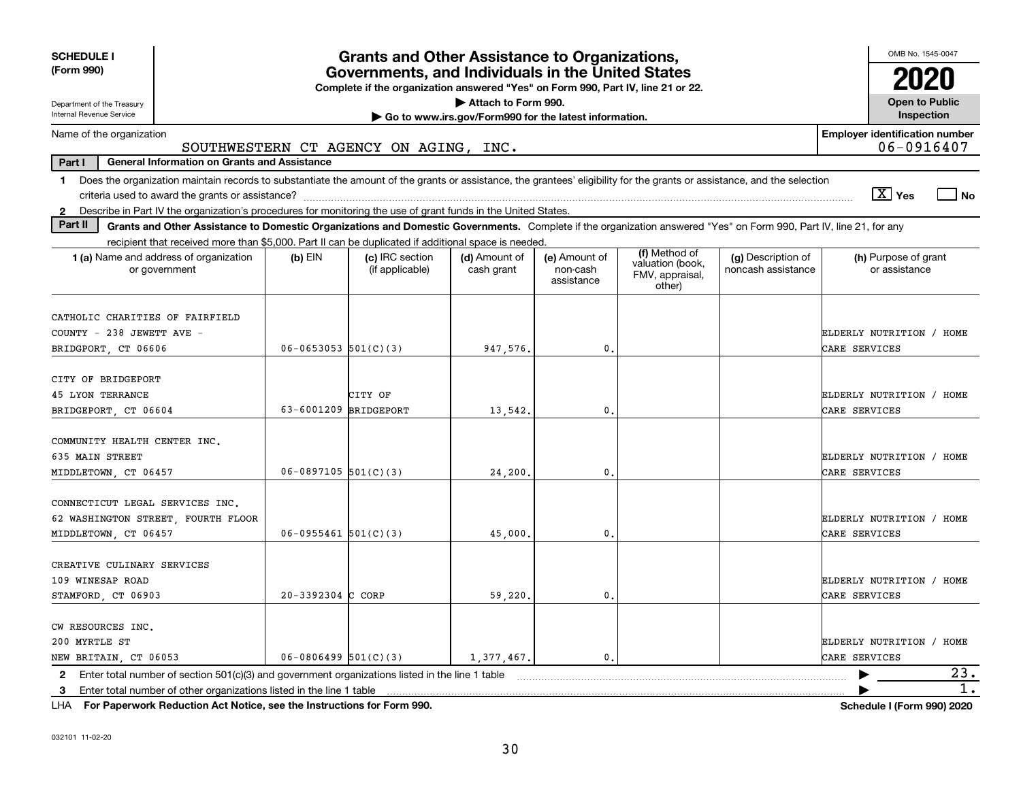| <b>SCHEDULE I</b><br>(Form 990)                                                                                                                                                                                                                                                                                |                                                                                                                                                                                                                                                                                                                                                                                         | <b>Grants and Other Assistance to Organizations,</b><br>Governments, and Individuals in the United States<br>Complete if the organization answered "Yes" on Form 990, Part IV, line 21 or 22. |            |                |  |  | OMB No. 1545-0047                         |  |  |  |
|----------------------------------------------------------------------------------------------------------------------------------------------------------------------------------------------------------------------------------------------------------------------------------------------------------------|-----------------------------------------------------------------------------------------------------------------------------------------------------------------------------------------------------------------------------------------------------------------------------------------------------------------------------------------------------------------------------------------|-----------------------------------------------------------------------------------------------------------------------------------------------------------------------------------------------|------------|----------------|--|--|-------------------------------------------|--|--|--|
| Attach to Form 990.<br><b>Open to Public</b><br>Department of the Treasury                                                                                                                                                                                                                                     |                                                                                                                                                                                                                                                                                                                                                                                         |                                                                                                                                                                                               |            |                |  |  |                                           |  |  |  |
| Internal Revenue Service<br>Inspection<br>Go to www.irs.gov/Form990 for the latest information.                                                                                                                                                                                                                |                                                                                                                                                                                                                                                                                                                                                                                         |                                                                                                                                                                                               |            |                |  |  |                                           |  |  |  |
|                                                                                                                                                                                                                                                                                                                | <b>Employer identification number</b><br>Name of the organization<br>06-0916407<br>SOUTHWESTERN CT AGENCY ON AGING, INC.                                                                                                                                                                                                                                                                |                                                                                                                                                                                               |            |                |  |  |                                           |  |  |  |
| Part I<br><b>General Information on Grants and Assistance</b>                                                                                                                                                                                                                                                  |                                                                                                                                                                                                                                                                                                                                                                                         |                                                                                                                                                                                               |            |                |  |  |                                           |  |  |  |
| 1                                                                                                                                                                                                                                                                                                              | Does the organization maintain records to substantiate the amount of the grants or assistance, the grantees' eligibility for the grants or assistance, and the selection<br>$\boxed{\text{X}}$ Yes<br>l No                                                                                                                                                                              |                                                                                                                                                                                               |            |                |  |  |                                           |  |  |  |
| Describe in Part IV the organization's procedures for monitoring the use of grant funds in the United States.<br>$\mathbf{2}$<br>Part II<br>Grants and Other Assistance to Domestic Organizations and Domestic Governments. Complete if the organization answered "Yes" on Form 990, Part IV, line 21, for any |                                                                                                                                                                                                                                                                                                                                                                                         |                                                                                                                                                                                               |            |                |  |  |                                           |  |  |  |
|                                                                                                                                                                                                                                                                                                                |                                                                                                                                                                                                                                                                                                                                                                                         |                                                                                                                                                                                               |            |                |  |  |                                           |  |  |  |
| 1 (a) Name and address of organization<br>or government                                                                                                                                                                                                                                                        | recipient that received more than \$5,000. Part II can be duplicated if additional space is needed.<br>(f) Method of<br>(c) IRC section<br>(d) Amount of<br>(e) Amount of<br>(g) Description of<br>(h) Purpose of grant<br>$(b)$ EIN<br>valuation (book,<br>noncash assistance<br>or assistance<br>(if applicable)<br>cash grant<br>non-cash<br>FMV, appraisal,<br>assistance<br>other) |                                                                                                                                                                                               |            |                |  |  |                                           |  |  |  |
| CATHOLIC CHARITIES OF FAIRFIELD<br>COUNTY - 238 JEWETT AVE -<br>BRIDGPORT, CT 06606                                                                                                                                                                                                                            | $06 - 0653053$ $501(C)(3)$                                                                                                                                                                                                                                                                                                                                                              |                                                                                                                                                                                               | 947,576.   | 0.             |  |  | ELDERLY NUTRITION / HOME<br>CARE SERVICES |  |  |  |
| CITY OF BRIDGEPORT<br><b>45 LYON TERRANCE</b><br>BRIDGEPORT, CT 06604                                                                                                                                                                                                                                          | 63-6001209 BRIDGEPORT                                                                                                                                                                                                                                                                                                                                                                   | CITY OF                                                                                                                                                                                       | 13,542.    | $\mathbf{0}$ . |  |  | ELDERLY NUTRITION / HOME<br>CARE SERVICES |  |  |  |
| COMMUNITY HEALTH CENTER INC.<br>635 MAIN STREET<br>MIDDLETOWN, CT 06457                                                                                                                                                                                                                                        | $06-0897105$ 501(C)(3)                                                                                                                                                                                                                                                                                                                                                                  |                                                                                                                                                                                               | 24, 200.   | $\mathbf{0}$ . |  |  | ELDERLY NUTRITION / HOME<br>CARE SERVICES |  |  |  |
| CONNECTICUT LEGAL SERVICES INC.<br>62 WASHINGTON STREET FOURTH FLOOR<br>MIDDLETOWN, CT 06457                                                                                                                                                                                                                   | $06 - 0955461$ 501(C)(3)                                                                                                                                                                                                                                                                                                                                                                |                                                                                                                                                                                               | 45,000.    | $\mathbf{0}$ . |  |  | ELDERLY NUTRITION / HOME<br>CARE SERVICES |  |  |  |
| CREATIVE CULINARY SERVICES<br>109 WINESAP ROAD<br>STAMFORD, CT 06903                                                                                                                                                                                                                                           | $20 - 3392304$ C CORP                                                                                                                                                                                                                                                                                                                                                                   |                                                                                                                                                                                               | 59,220.    | 0.             |  |  | ELDERLY NUTRITION / HOME<br>CARE SERVICES |  |  |  |
| CW RESOURCES INC.<br>200 MYRTLE ST<br>NEW BRITAIN, CT 06053                                                                                                                                                                                                                                                    | $06 - 0806499$ 501(C)(3)                                                                                                                                                                                                                                                                                                                                                                |                                                                                                                                                                                               | 1,377,467. | $\mathbf{0}$ . |  |  | ELDERLY NUTRITION / HOME<br>CARE SERVICES |  |  |  |
| Enter total number of section $501(c)(3)$ and government organizations listed in the line 1 table<br>$\mathbf{2}$                                                                                                                                                                                              |                                                                                                                                                                                                                                                                                                                                                                                         |                                                                                                                                                                                               |            |                |  |  | 23.                                       |  |  |  |
| Enter total number of other organizations listed in the line 1 table<br>3                                                                                                                                                                                                                                      |                                                                                                                                                                                                                                                                                                                                                                                         |                                                                                                                                                                                               |            |                |  |  | $1$ .                                     |  |  |  |

**For Paperwork Reduction Act Notice, see the Instructions for Form 990. Schedule I (Form 990) 2020** LHA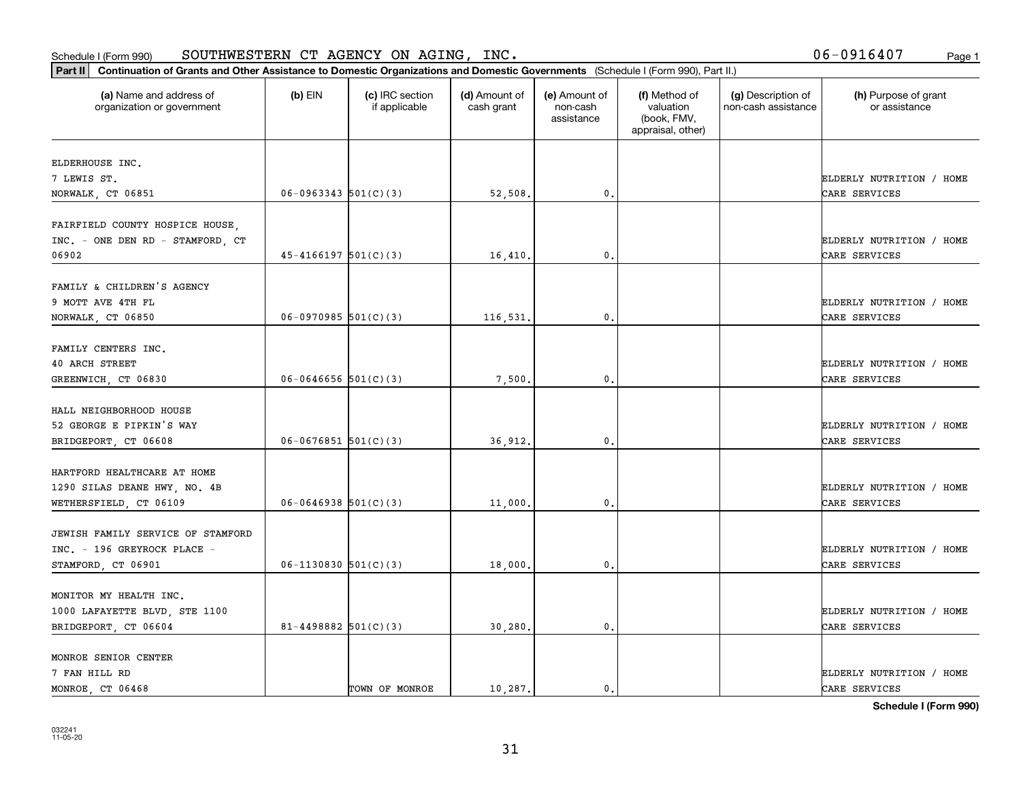#### Schedule I (Form 990) Page 1 SOUTHWESTERN CT AGENCY ON AGING, INC. 06-0916407

| (a) Name and address of<br>organization or government | $(b)$ EIN                  | (c) IRC section<br>if applicable | (d) Amount of<br>cash grant | (e) Amount of<br>non-cash<br>assistance | (f) Method of<br>valuation<br>(book, FMV,<br>appraisal, other) | (g) Description of<br>non-cash assistance | (h) Purpose of grant<br>or assistance |
|-------------------------------------------------------|----------------------------|----------------------------------|-----------------------------|-----------------------------------------|----------------------------------------------------------------|-------------------------------------------|---------------------------------------|
| ELDERHOUSE INC.                                       |                            |                                  |                             |                                         |                                                                |                                           |                                       |
| 7 LEWIS ST.                                           |                            |                                  |                             |                                         |                                                                |                                           | ELDERLY NUTRITION / HOME              |
| NORWALK, CT 06851                                     | $06-0963343$ $501(C)(3)$   |                                  | 52,508.                     | $\mathbf 0$ .                           |                                                                |                                           | CARE SERVICES                         |
| FAIRFIELD COUNTY HOSPICE HOUSE,                       |                            |                                  |                             |                                         |                                                                |                                           |                                       |
| INC. - ONE DEN RD - STAMFORD, CT                      |                            |                                  |                             |                                         |                                                                |                                           | ELDERLY NUTRITION / HOME              |
| 06902                                                 | $45 - 4166197$ $501(C)(3)$ |                                  | 16,410                      | 0.                                      |                                                                |                                           | CARE SERVICES                         |
| FAMILY & CHILDREN'S AGENCY                            |                            |                                  |                             |                                         |                                                                |                                           |                                       |
| 9 MOTT AVE 4TH FL                                     |                            |                                  |                             |                                         |                                                                |                                           | ELDERLY NUTRITION / HOME              |
| NORWALK, CT 06850                                     | $06-0970985$ 501(C)(3)     |                                  | 116,531.                    | $\mathfrak{o}$ .                        |                                                                |                                           | CARE SERVICES                         |
|                                                       |                            |                                  |                             |                                         |                                                                |                                           |                                       |
| FAMILY CENTERS INC.                                   |                            |                                  |                             |                                         |                                                                |                                           |                                       |
| 40 ARCH STREET                                        |                            |                                  |                             |                                         |                                                                |                                           | ELDERLY NUTRITION / HOME              |
| GREENWICH, CT 06830                                   | $06 - 0646656$ 501(C)(3)   |                                  | 7,500                       | 0.                                      |                                                                |                                           | CARE SERVICES                         |
| HALL NEIGHBORHOOD HOUSE                               |                            |                                  |                             |                                         |                                                                |                                           |                                       |
| 52 GEORGE E PIPKIN'S WAY                              |                            |                                  |                             |                                         |                                                                |                                           | ELDERLY NUTRITION / HOME              |
| BRIDGEPORT, CT 06608                                  | $06 - 0676851$ 501(C)(3)   |                                  | 36,912.                     | $\mathbf{0}$                            |                                                                |                                           | CARE SERVICES                         |
| HARTFORD HEALTHCARE AT HOME                           |                            |                                  |                             |                                         |                                                                |                                           |                                       |
| 1290 SILAS DEANE HWY, NO. 4B                          |                            |                                  |                             |                                         |                                                                |                                           | ELDERLY NUTRITION / HOME              |
| WETHERSFIELD, CT 06109                                | $06 - 0646938$ 501(C)(3)   |                                  | 11,000.                     | $\mathbf{0}$                            |                                                                |                                           | CARE SERVICES                         |
|                                                       |                            |                                  |                             |                                         |                                                                |                                           |                                       |
| JEWISH FAMILY SERVICE OF STAMFORD                     |                            |                                  |                             |                                         |                                                                |                                           |                                       |
| INC. - 196 GREYROCK PLACE -                           |                            |                                  |                             |                                         |                                                                |                                           | ELDERLY NUTRITION / HOME              |
| STAMFORD, CT 06901                                    | $06-1130830$ 501(C)(3)     |                                  | 18,000                      | $\mathfrak{o}$ .                        |                                                                |                                           | CARE SERVICES                         |
| MONITOR MY HEALTH INC.                                |                            |                                  |                             |                                         |                                                                |                                           |                                       |
| 1000 LAFAYETTE BLVD, STE 1100                         |                            |                                  |                             |                                         |                                                                |                                           | ELDERLY NUTRITION / HOME              |
| BRIDGEPORT, CT 06604                                  | $81 - 4498882$ 501(C)(3)   |                                  | 30,280.                     | $\mathfrak{o}$ .                        |                                                                |                                           | CARE SERVICES                         |
|                                                       |                            |                                  |                             |                                         |                                                                |                                           |                                       |
| MONROE SENIOR CENTER                                  |                            |                                  |                             |                                         |                                                                |                                           |                                       |
| 7 FAN HILL RD                                         |                            |                                  |                             |                                         |                                                                |                                           | ELDERLY NUTRITION / HOME              |
| MONROE CT 06468                                       |                            | TOWN OF MONROE                   | 10.287.                     | $\mathfrak{o}$ .                        |                                                                |                                           | CARE SERVICES                         |

**Schedule I (Form 990)**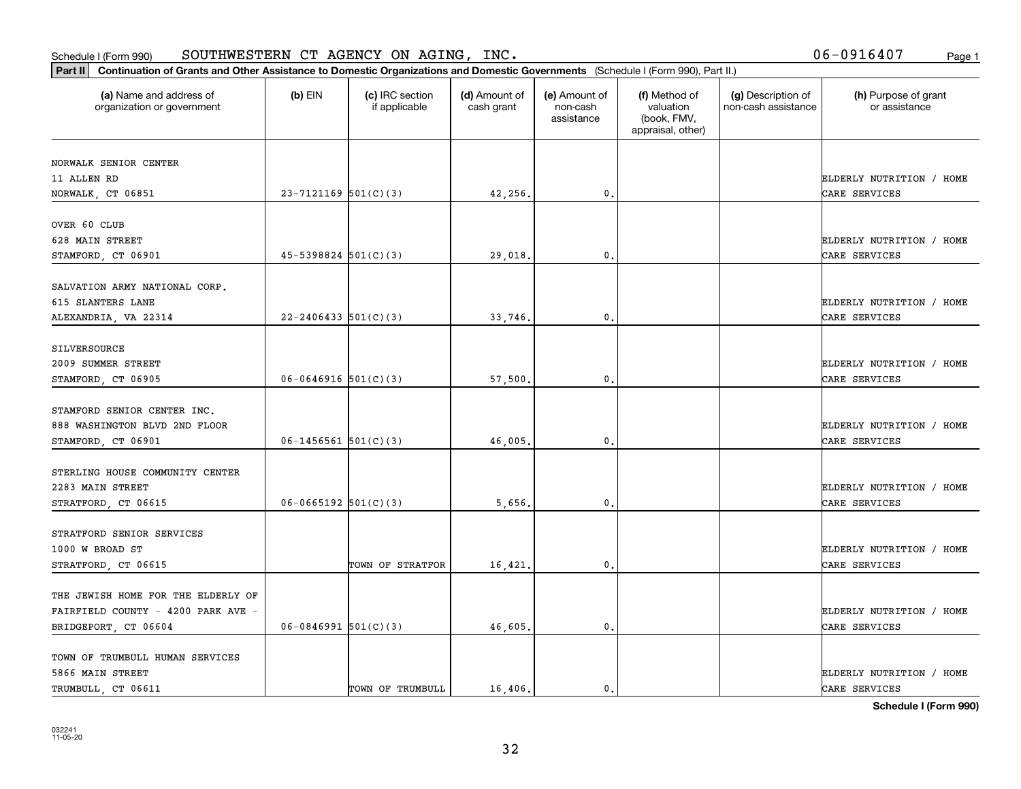#### Schedule I (Form 990)  ${\tt SOUTHWESTERN}$   ${\tt CT}$   ${\tt AGENCY}$   ${\tt ON}$   ${\tt AGING}$  ,  ${\tt INC}$  ,  ${\tt NNC}$  ,  ${\tt NNC}$  ,  ${\tt NNC}$  ,  ${\tt NNC}$  ,  ${\tt NNC}$  ,  ${\tt NNC}$  ,  ${\tt NNC}$  ,  ${\tt NNC}$  ,  ${\tt NNC}$  ,  ${\tt NNC}$  ,  ${\tt NNC}$  ,  ${\tt NNC}$  ,  ${\tt NNC}$  ,  ${\tt NNC}$  ,  ${\tt$

06-0916407

| Part II   Continuation of Grants and Other Assistance to Domestic Organizations and Domestic Governments (Schedule I (Form 990), Part II.) |                            |                                  |                             |                                         |                                                                |                                           |                                       |
|--------------------------------------------------------------------------------------------------------------------------------------------|----------------------------|----------------------------------|-----------------------------|-----------------------------------------|----------------------------------------------------------------|-------------------------------------------|---------------------------------------|
| (a) Name and address of<br>organization or government                                                                                      | $(b)$ EIN                  | (c) IRC section<br>if applicable | (d) Amount of<br>cash grant | (e) Amount of<br>non-cash<br>assistance | (f) Method of<br>valuation<br>(book, FMV,<br>appraisal, other) | (g) Description of<br>non-cash assistance | (h) Purpose of grant<br>or assistance |
| NORWALK SENIOR CENTER                                                                                                                      |                            |                                  |                             |                                         |                                                                |                                           |                                       |
| 11 ALLEN RD                                                                                                                                |                            |                                  |                             |                                         |                                                                |                                           | ELDERLY NUTRITION / HOME              |
| NORWALK, CT 06851                                                                                                                          | $23 - 7121169$ 501(C)(3)   |                                  | 42,256.                     | 0.                                      |                                                                |                                           | CARE SERVICES                         |
|                                                                                                                                            |                            |                                  |                             |                                         |                                                                |                                           |                                       |
| OVER 60 CLUB                                                                                                                               |                            |                                  |                             |                                         |                                                                |                                           |                                       |
| 628 MAIN STREET                                                                                                                            |                            |                                  |                             |                                         |                                                                |                                           | ELDERLY NUTRITION / HOME              |
| STAMFORD, CT 06901                                                                                                                         | $45 - 5398824$ $501(C)(3)$ |                                  | 29,018.                     | 0.                                      |                                                                |                                           | CARE SERVICES                         |
|                                                                                                                                            |                            |                                  |                             |                                         |                                                                |                                           |                                       |
| SALVATION ARMY NATIONAL CORP.                                                                                                              |                            |                                  |                             |                                         |                                                                |                                           |                                       |
| 615 SLANTERS LANE                                                                                                                          |                            |                                  |                             |                                         |                                                                |                                           | ELDERLY NUTRITION / HOME              |
| ALEXANDRIA, VA 22314                                                                                                                       | $22 - 2406433$ 501(C)(3)   |                                  | 33,746.                     | $\mathbf{0}$ .                          |                                                                |                                           | CARE SERVICES                         |
| SILVERSOURCE                                                                                                                               |                            |                                  |                             |                                         |                                                                |                                           |                                       |
| 2009 SUMMER STREET                                                                                                                         |                            |                                  |                             |                                         |                                                                |                                           | ELDERLY NUTRITION / HOME              |
| STAMFORD, CT 06905                                                                                                                         | $06 - 0646916$ 501(C)(3)   |                                  | 57,500.                     | 0.                                      |                                                                |                                           | CARE SERVICES                         |
|                                                                                                                                            |                            |                                  |                             |                                         |                                                                |                                           |                                       |
| STAMFORD SENIOR CENTER INC.                                                                                                                |                            |                                  |                             |                                         |                                                                |                                           |                                       |
| 888 WASHINGTON BLVD 2ND FLOOR                                                                                                              |                            |                                  |                             |                                         |                                                                |                                           | ELDERLY NUTRITION / HOME              |
| STAMFORD, CT 06901                                                                                                                         | $06 - 1456561$ 501(C)(3)   |                                  | 46,005.                     | 0.                                      |                                                                |                                           | CARE SERVICES                         |
|                                                                                                                                            |                            |                                  |                             |                                         |                                                                |                                           |                                       |
| STERLING HOUSE COMMUNITY CENTER                                                                                                            |                            |                                  |                             |                                         |                                                                |                                           |                                       |
| 2283 MAIN STREET                                                                                                                           |                            |                                  |                             |                                         |                                                                |                                           | ELDERLY NUTRITION / HOME              |
| STRATFORD, CT 06615                                                                                                                        | $06 - 0665192$ 501(C)(3)   |                                  | 5,656.                      | 0.                                      |                                                                |                                           | CARE SERVICES                         |
|                                                                                                                                            |                            |                                  |                             |                                         |                                                                |                                           |                                       |
| STRATFORD SENIOR SERVICES                                                                                                                  |                            |                                  |                             |                                         |                                                                |                                           |                                       |
| 1000 W BROAD ST                                                                                                                            |                            |                                  |                             |                                         |                                                                |                                           | ELDERLY NUTRITION / HOME              |
| STRATFORD, CT 06615                                                                                                                        |                            | TOWN OF STRATFOR                 | 16,421.                     | $\mathfrak{o}$ .                        |                                                                |                                           | CARE SERVICES                         |
|                                                                                                                                            |                            |                                  |                             |                                         |                                                                |                                           |                                       |
| THE JEWISH HOME FOR THE ELDERLY OF                                                                                                         |                            |                                  |                             |                                         |                                                                |                                           |                                       |
| FAIRFIELD COUNTY - 4200 PARK AVE -                                                                                                         |                            |                                  |                             |                                         |                                                                |                                           | ELDERLY NUTRITION / HOME              |
| BRIDGEPORT, CT 06604                                                                                                                       | $06 - 0846991$ 501(C)(3)   |                                  | 46,605.                     | $\mathfrak o$ .                         |                                                                |                                           | CARE SERVICES                         |
| TOWN OF TRUMBULL HUMAN SERVICES                                                                                                            |                            |                                  |                             |                                         |                                                                |                                           |                                       |
| 5866 MAIN STREET                                                                                                                           |                            |                                  |                             |                                         |                                                                |                                           | ELDERLY NUTRITION / HOME              |
| TRUMBULL CT 06611                                                                                                                          |                            | TOWN OF TRUMBULL                 | 16,406.                     | $\mathbf{0}$ .                          |                                                                |                                           | CARE SERVICES                         |

**Schedule I (Form 990)**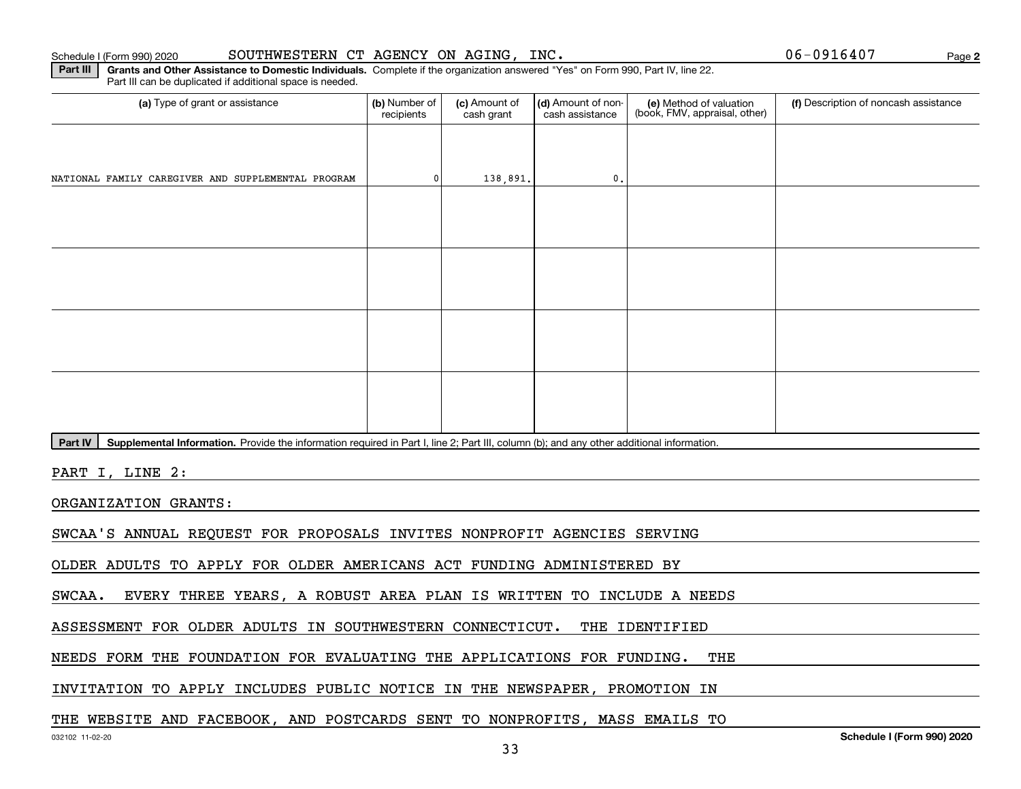**2**

**Part III | Grants and Other Assistance to Domestic Individuals. Complete if the organization answered "Yes" on Form 990, Part IV, line 22.** Part III can be duplicated if additional space is needed.

| (a) Type of grant or assistance                                                                                                                      | (b) Number of<br>recipients | (c) Amount of<br>cash grant | (d) Amount of non-<br>cash assistance | (e) Method of valuation<br>(book, FMV, appraisal, other) | (f) Description of noncash assistance |
|------------------------------------------------------------------------------------------------------------------------------------------------------|-----------------------------|-----------------------------|---------------------------------------|----------------------------------------------------------|---------------------------------------|
|                                                                                                                                                      |                             |                             |                                       |                                                          |                                       |
| NATIONAL FAMILY CAREGIVER AND SUPPLEMENTAL PROGRAM                                                                                                   |                             | 138,891.                    | 0.                                    |                                                          |                                       |
|                                                                                                                                                      |                             |                             |                                       |                                                          |                                       |
|                                                                                                                                                      |                             |                             |                                       |                                                          |                                       |
|                                                                                                                                                      |                             |                             |                                       |                                                          |                                       |
|                                                                                                                                                      |                             |                             |                                       |                                                          |                                       |
|                                                                                                                                                      |                             |                             |                                       |                                                          |                                       |
|                                                                                                                                                      |                             |                             |                                       |                                                          |                                       |
|                                                                                                                                                      |                             |                             |                                       |                                                          |                                       |
|                                                                                                                                                      |                             |                             |                                       |                                                          |                                       |
| Supplemental Information. Provide the information required in Part I, line 2; Part III, column (b); and any other additional information.<br>Part IV |                             |                             |                                       |                                                          |                                       |
| PART I, LINE 2:                                                                                                                                      |                             |                             |                                       |                                                          |                                       |

ORGANIZATION GRANTS:

SWCAA'S ANNUAL REQUEST FOR PROPOSALS INVITES NONPROFIT AGENCIES SERVING

OLDER ADULTS TO APPLY FOR OLDER AMERICANS ACT FUNDING ADMINISTERED BY

SWCAA. EVERY THREE YEARS, A ROBUST AREA PLAN IS WRITTEN TO INCLUDE A NEEDS

ASSESSMENT FOR OLDER ADULTS IN SOUTHWESTERN CONNECTICUT. THE IDENTIFIED

NEEDS FORM THE FOUNDATION FOR EVALUATING THE APPLICATIONS FOR FUNDING. THE

INVITATION TO APPLY INCLUDES PUBLIC NOTICE IN THE NEWSPAPER, PROMOTION IN

## THE WEBSITE AND FACEBOOK, AND POSTCARDS SENT TO NONPROFITS, MASS EMAILS TO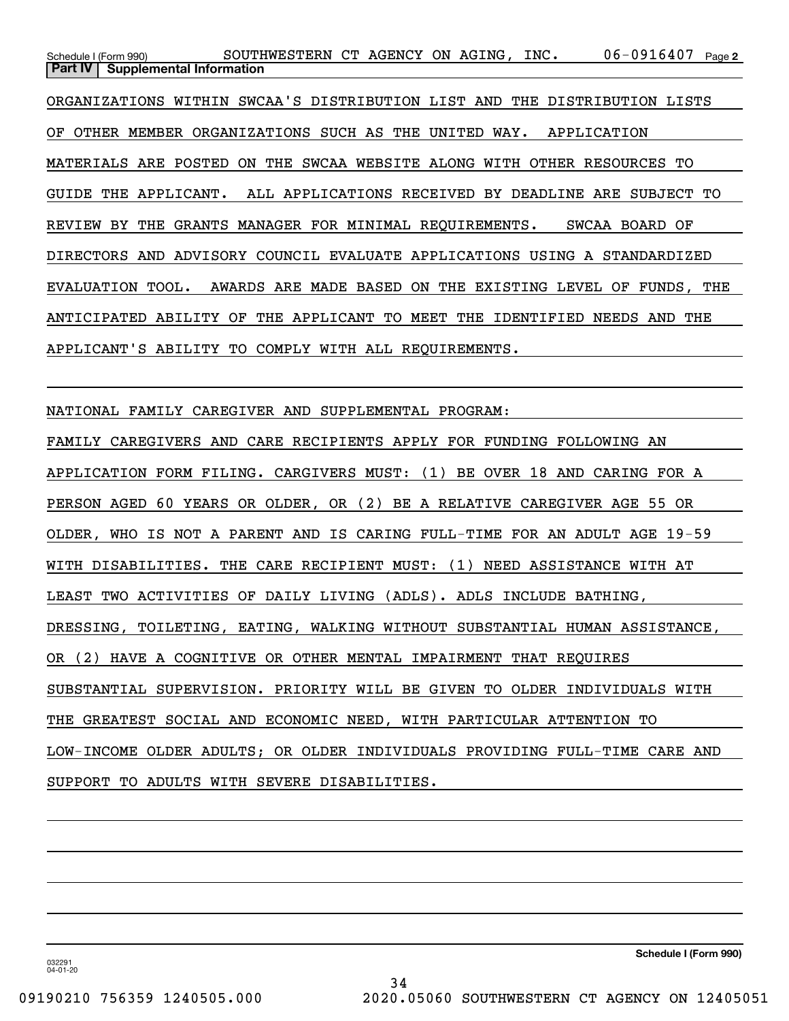06-0916407 Page 2 Schedule I (Form 990) SOUTHWESTERN CT AGENCY ON AGING, INC. 06-0916407 page **Part IV** | Supplemental Information ORGANIZATIONS WITHIN SWCAA'S DISTRIBUTION LIST AND THE DISTRIBUTION LISTS OF OTHER MEMBER ORGANIZATIONS SUCH AS THE UNITED WAY. APPLICATION MATERIALS ARE POSTED ON THE SWCAA WEBSITE ALONG WITH OTHER RESOURCES TO GUIDE THE APPLICANT. ALL APPLICATIONS RECEIVED BY DEADLINE ARE SUBJECT TO REVIEW BY THE GRANTS MANAGER FOR MINIMAL REQUIREMENTS. SWCAA BOARD OF DIRECTORS AND ADVISORY COUNCIL EVALUATE APPLICATIONS USING A STANDARDIZED EVALUATION TOOL. AWARDS ARE MADE BASED ON THE EXISTING LEVEL OF FUNDS, THE ANTICIPATED ABILITY OF THE APPLICANT TO MEET THE IDENTIFIED NEEDS AND THE APPLICANT'S ABILITY TO COMPLY WITH ALL REQUIREMENTS.

NATIONAL FAMILY CAREGIVER AND SUPPLEMENTAL PROGRAM:

FAMILY CAREGIVERS AND CARE RECIPIENTS APPLY FOR FUNDING FOLLOWING AN APPLICATION FORM FILING. CARGIVERS MUST: (1) BE OVER 18 AND CARING FOR A PERSON AGED 60 YEARS OR OLDER, OR (2) BE A RELATIVE CAREGIVER AGE 55 OR OLDER, WHO IS NOT A PARENT AND IS CARING FULL-TIME FOR AN ADULT AGE 19-59 WITH DISABILITIES. THE CARE RECIPIENT MUST: (1) NEED ASSISTANCE WITH AT LEAST TWO ACTIVITIES OF DAILY LIVING (ADLS). ADLS INCLUDE BATHING, DRESSING, TOILETING, EATING, WALKING WITHOUT SUBSTANTIAL HUMAN ASSISTANCE, OR (2) HAVE A COGNITIVE OR OTHER MENTAL IMPAIRMENT THAT REQUIRES SUBSTANTIAL SUPERVISION. PRIORITY WILL BE GIVEN TO OLDER INDIVIDUALS WITH THE GREATEST SOCIAL AND ECONOMIC NEED, WITH PARTICULAR ATTENTION TO LOW-INCOME OLDER ADULTS; OR OLDER INDIVIDUALS PROVIDING FULL-TIME CARE AND SUPPORT TO ADULTS WITH SEVERE DISABILITIES.

**Schedule I (Form 990)**

032291 04-01-20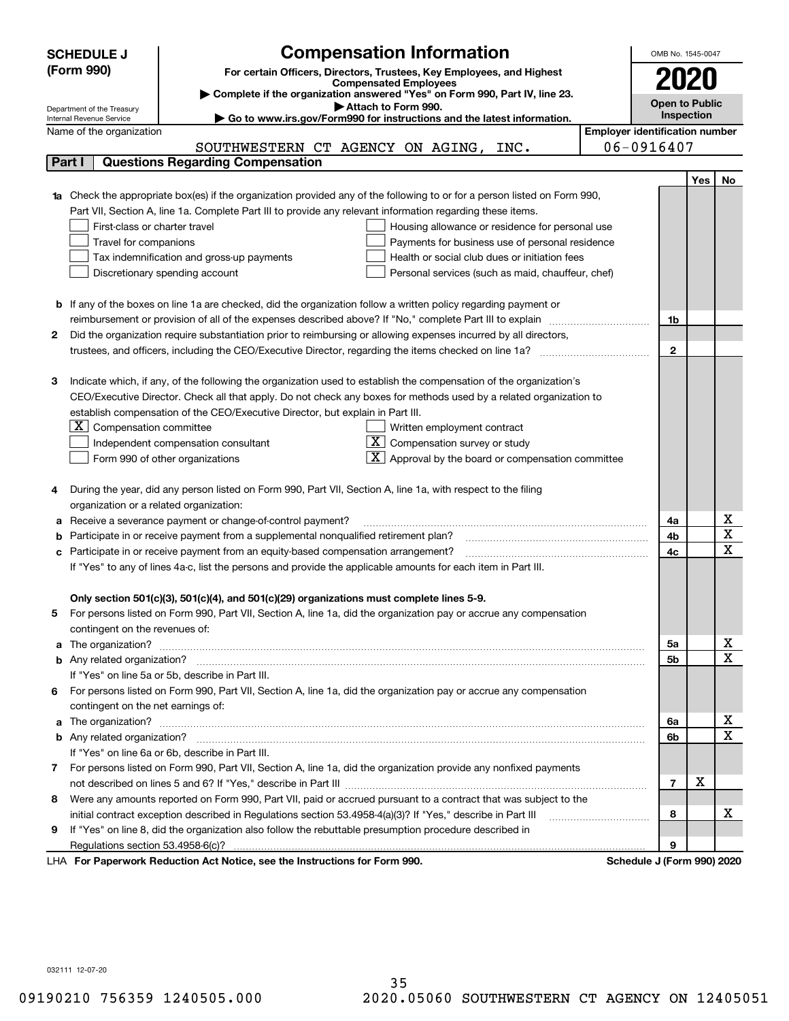|    | <b>SCHEDULE J</b>                                                                                                                                       |                                                                            | <b>Compensation Information</b>                              |                                                   |                                       | OMB No. 1545-0047 |     |                                            |  |  |
|----|---------------------------------------------------------------------------------------------------------------------------------------------------------|----------------------------------------------------------------------------|--------------------------------------------------------------|---------------------------------------------------|---------------------------------------|-------------------|-----|--------------------------------------------|--|--|
|    | (Form 990)                                                                                                                                              |                                                                            |                                                              |                                                   |                                       |                   |     |                                            |  |  |
|    | For certain Officers, Directors, Trustees, Key Employees, and Highest<br><b>Compensated Employees</b>                                                   |                                                                            |                                                              |                                                   |                                       | 2020              |     |                                            |  |  |
|    |                                                                                                                                                         | Complete if the organization answered "Yes" on Form 990, Part IV, line 23. |                                                              |                                                   |                                       |                   |     |                                            |  |  |
|    | Attach to Form 990.<br>Department of the Treasury<br>Go to www.irs.gov/Form990 for instructions and the latest information.<br>Internal Revenue Service |                                                                            |                                                              |                                                   |                                       |                   |     | <b>Open to Public</b><br><b>Inspection</b> |  |  |
|    | Name of the organization                                                                                                                                |                                                                            |                                                              |                                                   | <b>Employer identification number</b> |                   |     |                                            |  |  |
|    |                                                                                                                                                         | SOUTHWESTERN CT AGENCY ON AGING, INC.                                      |                                                              |                                                   | $06 - 0916407$                        |                   |     |                                            |  |  |
|    | <b>Questions Regarding Compensation</b><br>Part I                                                                                                       |                                                                            |                                                              |                                                   |                                       |                   |     |                                            |  |  |
|    |                                                                                                                                                         |                                                                            |                                                              |                                                   |                                       |                   | Yes | No                                         |  |  |
|    | 1a Check the appropriate box(es) if the organization provided any of the following to or for a person listed on Form 990,                               |                                                                            |                                                              |                                                   |                                       |                   |     |                                            |  |  |
|    | Part VII, Section A, line 1a. Complete Part III to provide any relevant information regarding these items.                                              |                                                                            |                                                              |                                                   |                                       |                   |     |                                            |  |  |
|    | First-class or charter travel                                                                                                                           |                                                                            |                                                              | Housing allowance or residence for personal use   |                                       |                   |     |                                            |  |  |
|    | Travel for companions                                                                                                                                   |                                                                            |                                                              | Payments for business use of personal residence   |                                       |                   |     |                                            |  |  |
|    | Tax indemnification and gross-up payments                                                                                                               |                                                                            |                                                              | Health or social club dues or initiation fees     |                                       |                   |     |                                            |  |  |
|    | Discretionary spending account                                                                                                                          |                                                                            |                                                              | Personal services (such as maid, chauffeur, chef) |                                       |                   |     |                                            |  |  |
|    |                                                                                                                                                         |                                                                            |                                                              |                                                   |                                       |                   |     |                                            |  |  |
|    | <b>b</b> If any of the boxes on line 1a are checked, did the organization follow a written policy regarding payment or                                  |                                                                            |                                                              |                                                   |                                       |                   |     |                                            |  |  |
|    | reimbursement or provision of all of the expenses described above? If "No," complete Part III to explain                                                |                                                                            |                                                              |                                                   |                                       | 1b                |     |                                            |  |  |
| 2  | Did the organization require substantiation prior to reimbursing or allowing expenses incurred by all directors,                                        |                                                                            |                                                              |                                                   |                                       |                   |     |                                            |  |  |
|    | trustees, and officers, including the CEO/Executive Director, regarding the items checked on line 1a?                                                   |                                                                            |                                                              |                                                   |                                       | $\mathbf{2}$      |     |                                            |  |  |
|    |                                                                                                                                                         |                                                                            |                                                              |                                                   |                                       |                   |     |                                            |  |  |
| з  | Indicate which, if any, of the following the organization used to establish the compensation of the organization's                                      |                                                                            |                                                              |                                                   |                                       |                   |     |                                            |  |  |
|    | CEO/Executive Director. Check all that apply. Do not check any boxes for methods used by a related organization to                                      |                                                                            |                                                              |                                                   |                                       |                   |     |                                            |  |  |
|    | establish compensation of the CEO/Executive Director, but explain in Part III.                                                                          |                                                                            |                                                              |                                                   |                                       |                   |     |                                            |  |  |
|    | $X$ Compensation committee                                                                                                                              |                                                                            | Written employment contract                                  |                                                   |                                       |                   |     |                                            |  |  |
|    | Independent compensation consultant                                                                                                                     |                                                                            | $X$ Compensation survey or study                             |                                                   |                                       |                   |     |                                            |  |  |
|    | Form 990 of other organizations                                                                                                                         |                                                                            | $\mathbf{X}$ Approval by the board or compensation committee |                                                   |                                       |                   |     |                                            |  |  |
|    |                                                                                                                                                         |                                                                            |                                                              |                                                   |                                       |                   |     |                                            |  |  |
|    | During the year, did any person listed on Form 990, Part VII, Section A, line 1a, with respect to the filing                                            |                                                                            |                                                              |                                                   |                                       |                   |     |                                            |  |  |
|    | organization or a related organization:                                                                                                                 |                                                                            |                                                              |                                                   |                                       |                   |     |                                            |  |  |
| а  | Receive a severance payment or change-of-control payment?                                                                                               |                                                                            |                                                              |                                                   |                                       | 4a                |     | х                                          |  |  |
| b  | Participate in or receive payment from a supplemental nonqualified retirement plan?                                                                     |                                                                            |                                                              |                                                   |                                       | 4b                |     | $\overline{\texttt{x}}$                    |  |  |
| с  | Participate in or receive payment from an equity-based compensation arrangement?                                                                        |                                                                            |                                                              |                                                   |                                       | 4c                |     | $\overline{\text{x}}$                      |  |  |
|    | If "Yes" to any of lines 4a-c, list the persons and provide the applicable amounts for each item in Part III.                                           |                                                                            |                                                              |                                                   |                                       |                   |     |                                            |  |  |
|    |                                                                                                                                                         |                                                                            |                                                              |                                                   |                                       |                   |     |                                            |  |  |
|    | Only section 501(c)(3), 501(c)(4), and 501(c)(29) organizations must complete lines 5-9.                                                                |                                                                            |                                                              |                                                   |                                       |                   |     |                                            |  |  |
|    | For persons listed on Form 990, Part VII, Section A, line 1a, did the organization pay or accrue any compensation                                       |                                                                            |                                                              |                                                   |                                       |                   |     |                                            |  |  |
|    | contingent on the revenues of:                                                                                                                          |                                                                            |                                                              |                                                   |                                       |                   |     |                                            |  |  |
| a  |                                                                                                                                                         |                                                                            |                                                              |                                                   |                                       | 5а                |     | x                                          |  |  |
|    |                                                                                                                                                         |                                                                            |                                                              |                                                   |                                       | <b>5b</b>         |     | $\overline{\text{x}}$                      |  |  |
|    | If "Yes" on line 5a or 5b, describe in Part III.                                                                                                        |                                                                            |                                                              |                                                   |                                       |                   |     |                                            |  |  |
| 6. | For persons listed on Form 990, Part VII, Section A, line 1a, did the organization pay or accrue any compensation                                       |                                                                            |                                                              |                                                   |                                       |                   |     |                                            |  |  |
|    | contingent on the net earnings of:                                                                                                                      |                                                                            |                                                              |                                                   |                                       |                   |     |                                            |  |  |
| a  |                                                                                                                                                         |                                                                            |                                                              |                                                   |                                       | 6а                |     | x                                          |  |  |
|    |                                                                                                                                                         |                                                                            |                                                              |                                                   |                                       | 6b                |     | $\overline{\text{x}}$                      |  |  |
|    | If "Yes" on line 6a or 6b, describe in Part III.                                                                                                        |                                                                            |                                                              |                                                   |                                       |                   |     |                                            |  |  |
|    | 7 For persons listed on Form 990, Part VII, Section A, line 1a, did the organization provide any nonfixed payments                                      |                                                                            |                                                              |                                                   |                                       |                   |     |                                            |  |  |
|    |                                                                                                                                                         |                                                                            |                                                              |                                                   |                                       | 7                 | X   |                                            |  |  |
| 8  | Were any amounts reported on Form 990, Part VII, paid or accrued pursuant to a contract that was subject to the                                         |                                                                            |                                                              |                                                   |                                       |                   |     |                                            |  |  |
|    | initial contract exception described in Regulations section 53.4958-4(a)(3)? If "Yes," describe in Part III                                             |                                                                            |                                                              |                                                   |                                       | 8                 |     | х                                          |  |  |
| 9  | If "Yes" on line 8, did the organization also follow the rebuttable presumption procedure described in                                                  |                                                                            |                                                              |                                                   |                                       |                   |     |                                            |  |  |
|    |                                                                                                                                                         |                                                                            |                                                              |                                                   |                                       | 9                 |     |                                            |  |  |
|    |                                                                                                                                                         | Reperserved Reduction Act Notice, and the Instructions for Ferm 000        |                                                              |                                                   | Schodule 1/Form 00012000              |                   |     |                                            |  |  |

LHA For Paperwork Reduction Act Notice, see the Instructions for Form 990. Schedule J (Form 990) 2020

032111 12-07-20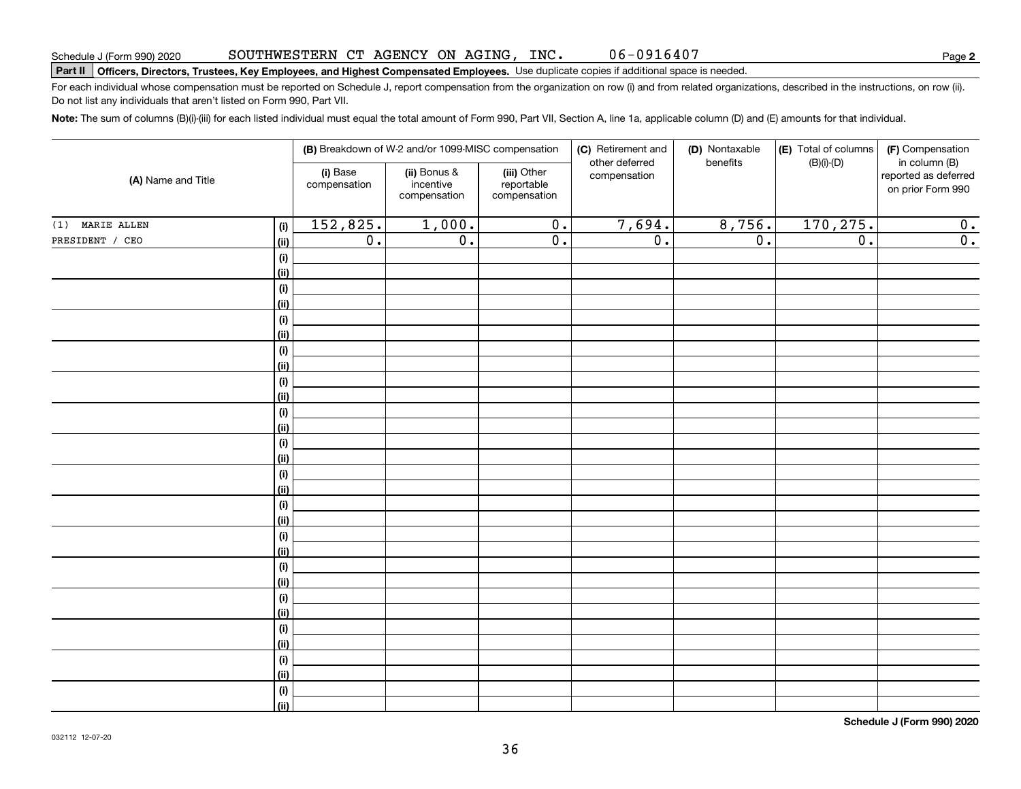#### SOUTHWESTERN CT AGENCY ON AGING, INC. 06-0916407

# **Part II Officers, Directors, Trustees, Key Employees, and Highest Compensated Employees.**  Schedule J (Form 990) 2020 Page Use duplicate copies if additional space is needed.

For each individual whose compensation must be reported on Schedule J, report compensation from the organization on row (i) and from related organizations, described in the instructions, on row (ii). Do not list any individuals that aren't listed on Form 990, Part VII.

**Note:**  The sum of columns (B)(i)-(iii) for each listed individual must equal the total amount of Form 990, Part VII, Section A, line 1a, applicable column (D) and (E) amounts for that individual.

|                    |                              |                                                                                                    | (B) Breakdown of W-2 and/or 1099-MISC compensation |                  | (C) Retirement and             | (D) Nontaxable   | (E) Total of columns | (F) Compensation                                           |
|--------------------|------------------------------|----------------------------------------------------------------------------------------------------|----------------------------------------------------|------------------|--------------------------------|------------------|----------------------|------------------------------------------------------------|
| (A) Name and Title |                              | (i) Base<br>(ii) Bonus &<br>(iii) Other<br>incentive<br>reportable<br>compensation<br>compensation |                                                    | compensation     | other deferred<br>compensation | benefits         | $(B)(i)-(D)$         | in column (B)<br>reported as deferred<br>on prior Form 990 |
| (1) MARIE ALLEN    | (i)                          | 152,825.                                                                                           | 1,000.                                             | $\overline{0}$ . | 7,694.                         | 8,756.           | 170, 275.            | 0.                                                         |
| PRESIDENT / CEO    | (ii)                         | $\overline{0}$ .                                                                                   | $\overline{0}$ .                                   | $\overline{0}$ . | $\overline{0}$ .               | $\overline{0}$ . | $\overline{0}$ .     | $\overline{0}$ .                                           |
|                    | $\qquad \qquad \textbf{(i)}$ |                                                                                                    |                                                    |                  |                                |                  |                      |                                                            |
|                    | (ii)                         |                                                                                                    |                                                    |                  |                                |                  |                      |                                                            |
|                    | (i)                          |                                                                                                    |                                                    |                  |                                |                  |                      |                                                            |
|                    | (ii)                         |                                                                                                    |                                                    |                  |                                |                  |                      |                                                            |
|                    | (i)                          |                                                                                                    |                                                    |                  |                                |                  |                      |                                                            |
|                    | (ii)                         |                                                                                                    |                                                    |                  |                                |                  |                      |                                                            |
|                    | (i)                          |                                                                                                    |                                                    |                  |                                |                  |                      |                                                            |
|                    | (ii)                         |                                                                                                    |                                                    |                  |                                |                  |                      |                                                            |
|                    | $\qquad \qquad \textbf{(i)}$ |                                                                                                    |                                                    |                  |                                |                  |                      |                                                            |
|                    | (ii)                         |                                                                                                    |                                                    |                  |                                |                  |                      |                                                            |
|                    | $\qquad \qquad \textbf{(i)}$ |                                                                                                    |                                                    |                  |                                |                  |                      |                                                            |
|                    | (ii)                         |                                                                                                    |                                                    |                  |                                |                  |                      |                                                            |
|                    | $\qquad \qquad \textbf{(i)}$ |                                                                                                    |                                                    |                  |                                |                  |                      |                                                            |
|                    | (ii)                         |                                                                                                    |                                                    |                  |                                |                  |                      |                                                            |
|                    | (i)<br>(ii)                  |                                                                                                    |                                                    |                  |                                |                  |                      |                                                            |
|                    | (i)                          |                                                                                                    |                                                    |                  |                                |                  |                      |                                                            |
|                    | (ii)                         |                                                                                                    |                                                    |                  |                                |                  |                      |                                                            |
|                    | $\qquad \qquad \textbf{(i)}$ |                                                                                                    |                                                    |                  |                                |                  |                      |                                                            |
|                    | (ii)                         |                                                                                                    |                                                    |                  |                                |                  |                      |                                                            |
|                    | $\qquad \qquad \textbf{(i)}$ |                                                                                                    |                                                    |                  |                                |                  |                      |                                                            |
|                    | (ii)                         |                                                                                                    |                                                    |                  |                                |                  |                      |                                                            |
|                    | $(\sf{i})$                   |                                                                                                    |                                                    |                  |                                |                  |                      |                                                            |
|                    | (ii)                         |                                                                                                    |                                                    |                  |                                |                  |                      |                                                            |
|                    | (i)                          |                                                                                                    |                                                    |                  |                                |                  |                      |                                                            |
|                    | (ii)                         |                                                                                                    |                                                    |                  |                                |                  |                      |                                                            |
|                    | (i)                          |                                                                                                    |                                                    |                  |                                |                  |                      |                                                            |
|                    | (ii)                         |                                                                                                    |                                                    |                  |                                |                  |                      |                                                            |
|                    | $(\sf{i})$                   |                                                                                                    |                                                    |                  |                                |                  |                      |                                                            |
|                    | (ii)                         |                                                                                                    |                                                    |                  |                                |                  |                      |                                                            |

**Schedule J (Form 990) 2020**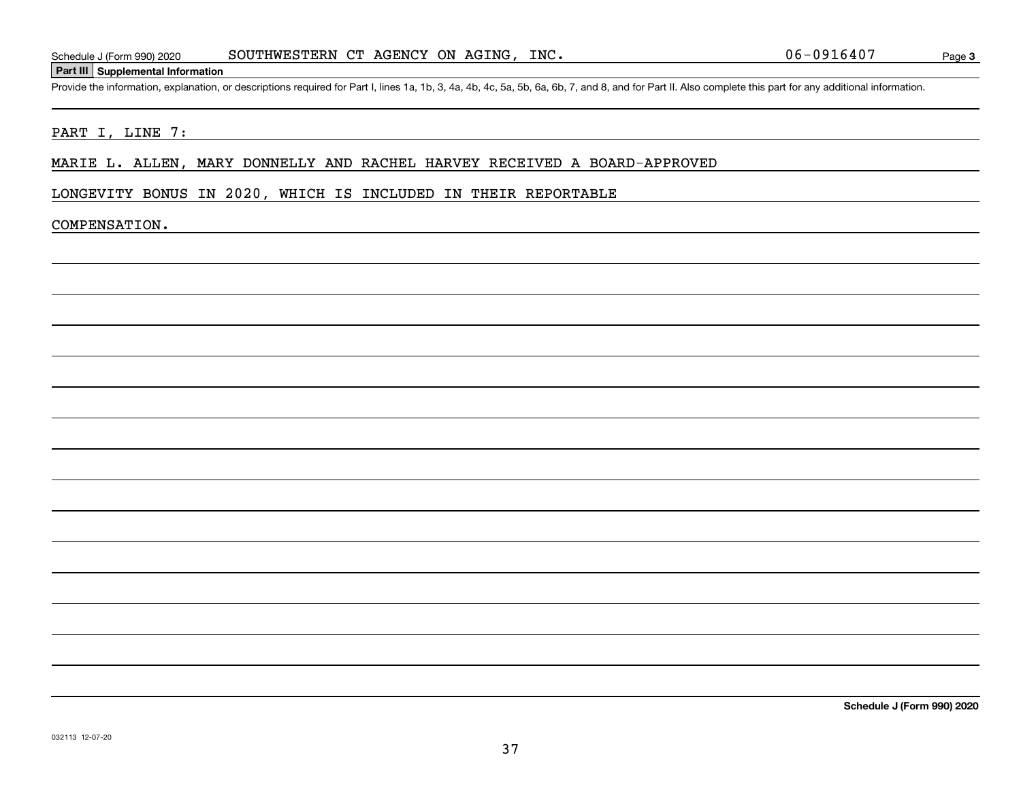#### **Part III Supplemental Information**

Schedule J (Form 990) 2020 SOUTHWESTERN CT AGENCY ON AGING, INC. 06-0916407<br>Part III Supplemental Information<br>Provide the information, explanation, or descriptions required for Part I, lines 1a, 1b, 3, 4a, 4b, 4c, 5a, 5b,

#### PART I, LINE 7:

#### MARIE L. ALLEN, MARY DONNELLY AND RACHEL HARVEY RECEIVED A BOARD-APPROVED

### LONGEVITY BONUS IN 2020, WHICH IS INCLUDED IN THEIR REPORTABLE

#### COMPENSATION.

**Schedule J (Form 990) 2020**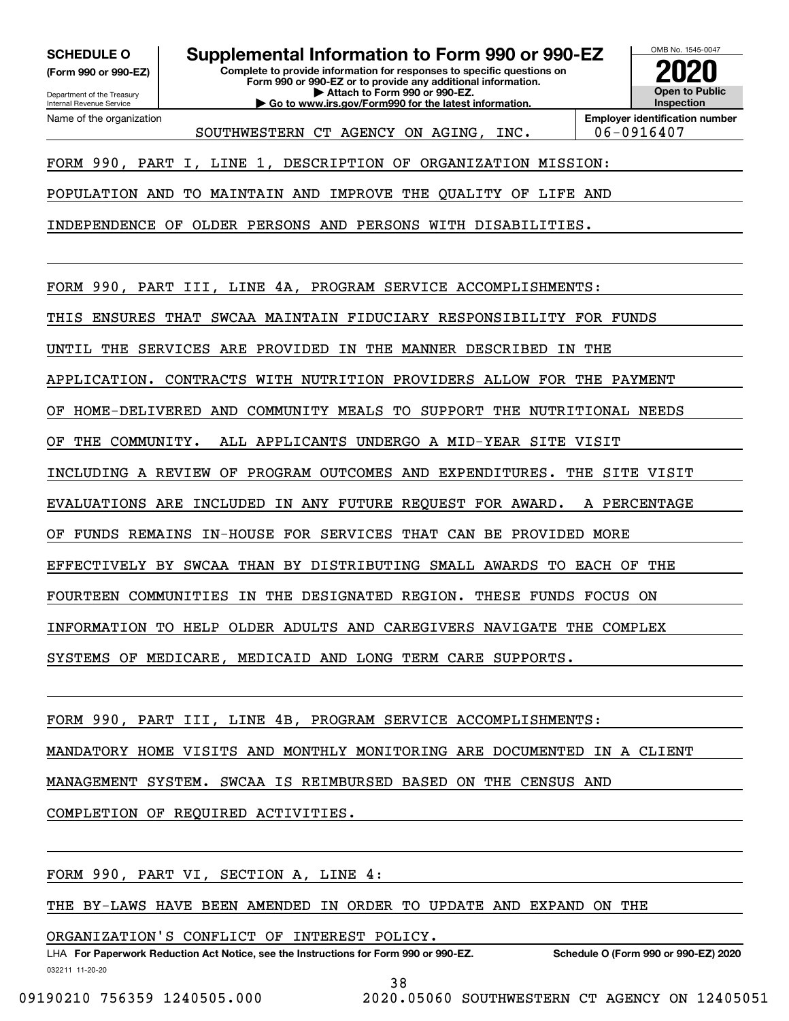**(Form 990 or 990-EZ)**

Department of the Treasury Internal Revenue Service Name of the organization

**SCHEDULE O Supplemental Information to Form 990 or 990-EZ**

**Complete to provide information for responses to specific questions on Form 990 or 990-EZ or to provide any additional information. | Attach to Form 990 or 990-EZ.**

**| Go to www.irs.gov/Form990 for the latest information.**



**Employer identification number** SOUTHWESTERN CT AGENCY ON AGING, INC. | 06-0916407

FORM 990, PART I, LINE 1, DESCRIPTION OF ORGANIZATION MISSION:

POPULATION AND TO MAINTAIN AND IMPROVE THE QUALITY OF LIFE AND

INDEPENDENCE OF OLDER PERSONS AND PERSONS WITH DISABILITIES.

FORM 990, PART III, LINE 4A, PROGRAM SERVICE ACCOMPLISHMENTS:

THIS ENSURES THAT SWCAA MAINTAIN FIDUCIARY RESPONSIBILITY FOR FUNDS

UNTIL THE SERVICES ARE PROVIDED IN THE MANNER DESCRIBED IN THE

APPLICATION. CONTRACTS WITH NUTRITION PROVIDERS ALLOW FOR THE PAYMENT

OF HOME-DELIVERED AND COMMUNITY MEALS TO SUPPORT THE NUTRITIONAL NEEDS

OF THE COMMUNITY. ALL APPLICANTS UNDERGO A MID-YEAR SITE VISIT

INCLUDING A REVIEW OF PROGRAM OUTCOMES AND EXPENDITURES. THE SITE VISIT

EVALUATIONS ARE INCLUDED IN ANY FUTURE REQUEST FOR AWARD. A PERCENTAGE

OF FUNDS REMAINS IN-HOUSE FOR SERVICES THAT CAN BE PROVIDED MORE

EFFECTIVELY BY SWCAA THAN BY DISTRIBUTING SMALL AWARDS TO EACH OF THE

FOURTEEN COMMUNITIES IN THE DESIGNATED REGION. THESE FUNDS FOCUS ON

INFORMATION TO HELP OLDER ADULTS AND CAREGIVERS NAVIGATE THE COMPLEX

SYSTEMS OF MEDICARE, MEDICAID AND LONG TERM CARE SUPPORTS.

FORM 990, PART III, LINE 4B, PROGRAM SERVICE ACCOMPLISHMENTS: MANDATORY HOME VISITS AND MONTHLY MONITORING ARE DOCUMENTED IN A CLIENT MANAGEMENT SYSTEM. SWCAA IS REIMBURSED BASED ON THE CENSUS AND COMPLETION OF REQUIRED ACTIVITIES.

FORM 990, PART VI, SECTION A, LINE 4:

THE BY-LAWS HAVE BEEN AMENDED IN ORDER TO UPDATE AND EXPAND ON THE

ORGANIZATION'S CONFLICT OF INTEREST POLICY.

032211 11-20-20 LHA For Paperwork Reduction Act Notice, see the Instructions for Form 990 or 990-EZ. Schedule O (Form 990 or 990-EZ) 2020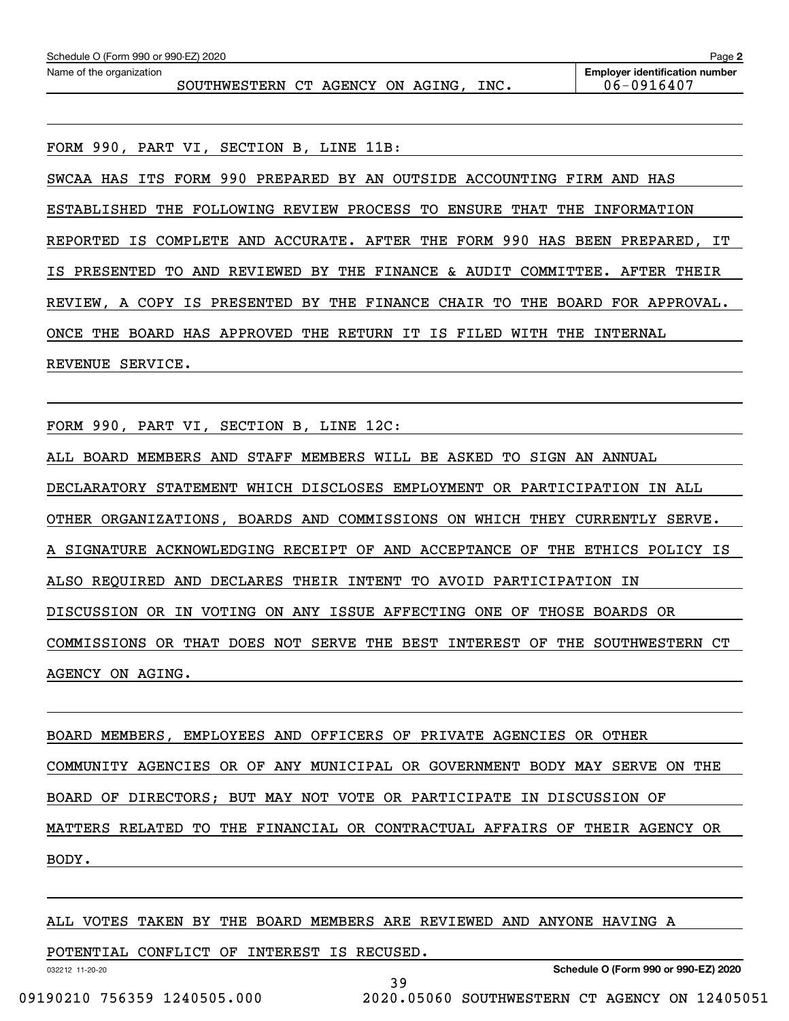| Schedule O (Form 990 or 990-EZ) 2020<br>Page 2 |                                       |  |  |  |  |  |  |
|------------------------------------------------|---------------------------------------|--|--|--|--|--|--|
| Name of the organization                       | <b>Employer identification number</b> |  |  |  |  |  |  |
| SOUTHWESTERN CT AGENCY ON AGING,<br>INC.       | 06-0916407                            |  |  |  |  |  |  |

FORM 990, PART VI, SECTION B, LINE 11B:

SWCAA HAS ITS FORM 990 PREPARED BY AN OUTSIDE ACCOUNTING FIRM AND HAS ESTABLISHED THE FOLLOWING REVIEW PROCESS TO ENSURE THAT THE INFORMATION REPORTED IS COMPLETE AND ACCURATE. AFTER THE FORM 990 HAS BEEN PREPARED, IT IS PRESENTED TO AND REVIEWED BY THE FINANCE & AUDIT COMMITTEE. AFTER THEIR REVIEW, A COPY IS PRESENTED BY THE FINANCE CHAIR TO THE BOARD FOR APPROVAL. ONCE THE BOARD HAS APPROVED THE RETURN IT IS FILED WITH THE INTERNAL REVENUE SERVICE.

FORM 990, PART VI, SECTION B, LINE 12C:

ALL BOARD MEMBERS AND STAFF MEMBERS WILL BE ASKED TO SIGN AN ANNUAL DECLARATORY STATEMENT WHICH DISCLOSES EMPLOYMENT OR PARTICIPATION IN ALL OTHER ORGANIZATIONS, BOARDS AND COMMISSIONS ON WHICH THEY CURRENTLY SERVE. A SIGNATURE ACKNOWLEDGING RECEIPT OF AND ACCEPTANCE OF THE ETHICS POLICY IS ALSO REQUIRED AND DECLARES THEIR INTENT TO AVOID PARTICIPATION IN DISCUSSION OR IN VOTING ON ANY ISSUE AFFECTING ONE OF THOSE BOARDS OR COMMISSIONS OR THAT DOES NOT SERVE THE BEST INTEREST OF THE SOUTHWESTERN CT AGENCY ON AGING.

BOARD MEMBERS, EMPLOYEES AND OFFICERS OF PRIVATE AGENCIES OR OTHER COMMUNITY AGENCIES OR OF ANY MUNICIPAL OR GOVERNMENT BODY MAY SERVE ON THE BOARD OF DIRECTORS; BUT MAY NOT VOTE OR PARTICIPATE IN DISCUSSION OF MATTERS RELATED TO THE FINANCIAL OR CONTRACTUAL AFFAIRS OF THEIR AGENCY OR BODY.

39

## ALL VOTES TAKEN BY THE BOARD MEMBERS ARE REVIEWED AND ANYONE HAVING A

POTENTIAL CONFLICT OF INTEREST IS RECUSED.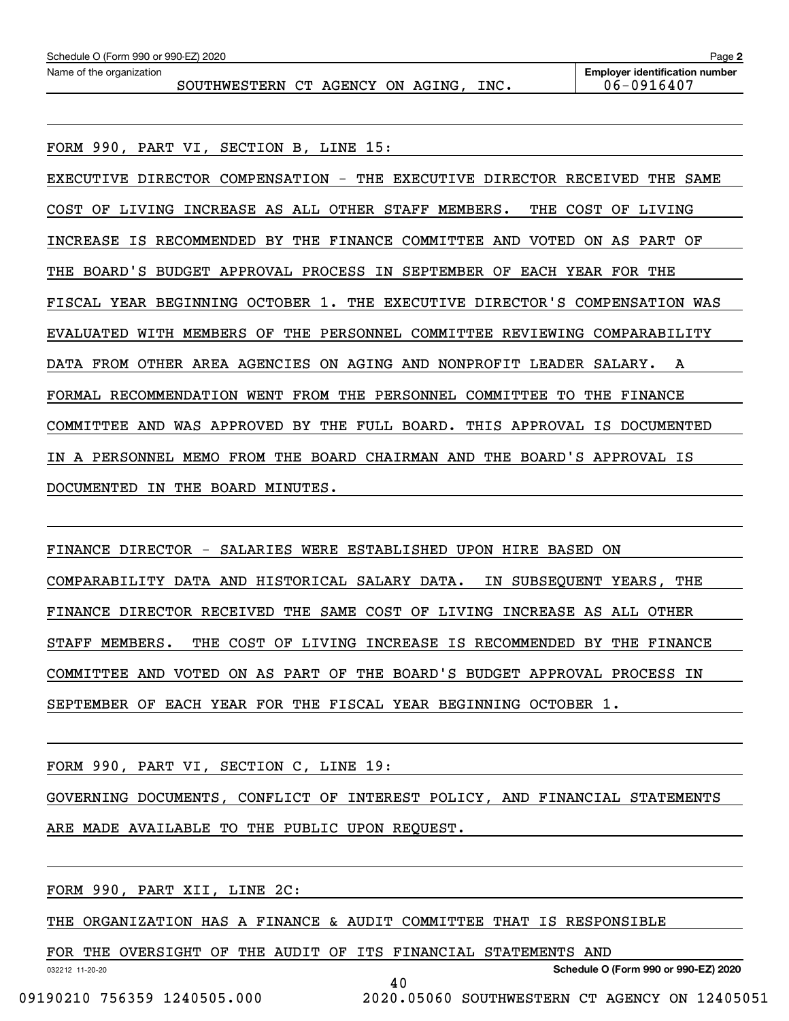| Schedule O (Form 990 or 990-EZ) 2020 |                                  |  |  |  |  |      | Page 2                                |
|--------------------------------------|----------------------------------|--|--|--|--|------|---------------------------------------|
| Name of the organization             |                                  |  |  |  |  |      | <b>Employer identification number</b> |
|                                      | SOUTHWESTERN CT AGENCY ON AGING. |  |  |  |  | INC. | 06-0916407                            |

FORM 990, PART VI, SECTION B, LINE 15: EXECUTIVE DIRECTOR COMPENSATION - THE EXECUTIVE DIRECTOR RECEIVED THE SAME COST OF LIVING INCREASE AS ALL OTHER STAFF MEMBERS. THE COST OF LIVING INCREASE IS RECOMMENDED BY THE FINANCE COMMITTEE AND VOTED ON AS PART OF THE BOARD'S BUDGET APPROVAL PROCESS IN SEPTEMBER OF EACH YEAR FOR THE FISCAL YEAR BEGINNING OCTOBER 1. THE EXECUTIVE DIRECTOR'S COMPENSATION WAS EVALUATED WITH MEMBERS OF THE PERSONNEL COMMITTEE REVIEWING COMPARABILITY DATA FROM OTHER AREA AGENCIES ON AGING AND NONPROFIT LEADER SALARY. A FORMAL RECOMMENDATION WENT FROM THE PERSONNEL COMMITTEE TO THE FINANCE COMMITTEE AND WAS APPROVED BY THE FULL BOARD. THIS APPROVAL IS DOCUMENTED IN A PERSONNEL MEMO FROM THE BOARD CHAIRMAN AND THE BOARD'S APPROVAL IS DOCUMENTED IN THE BOARD MINUTES.

FINANCE DIRECTOR - SALARIES WERE ESTABLISHED UPON HIRE BASED ON COMPARABILITY DATA AND HISTORICAL SALARY DATA. IN SUBSEQUENT YEARS, THE FINANCE DIRECTOR RECEIVED THE SAME COST OF LIVING INCREASE AS ALL OTHER STAFF MEMBERS. THE COST OF LIVING INCREASE IS RECOMMENDED BY THE FINANCE COMMITTEE AND VOTED ON AS PART OF THE BOARD'S BUDGET APPROVAL PROCESS IN SEPTEMBER OF EACH YEAR FOR THE FISCAL YEAR BEGINNING OCTOBER 1.

FORM 990, PART VI, SECTION C, LINE 19:

GOVERNING DOCUMENTS, CONFLICT OF INTEREST POLICY, AND FINANCIAL STATEMENTS

40

ARE MADE AVAILABLE TO THE PUBLIC UPON REQUEST.

FORM 990, PART XII, LINE 2C:

THE ORGANIZATION HAS A FINANCE & AUDIT COMMITTEE THAT IS RESPONSIBLE

FOR THE OVERSIGHT OF THE AUDIT OF ITS FINANCIAL STATEMENTS AND

032212 11-20-20

**Schedule O (Form 990 or 990-EZ) 2020**